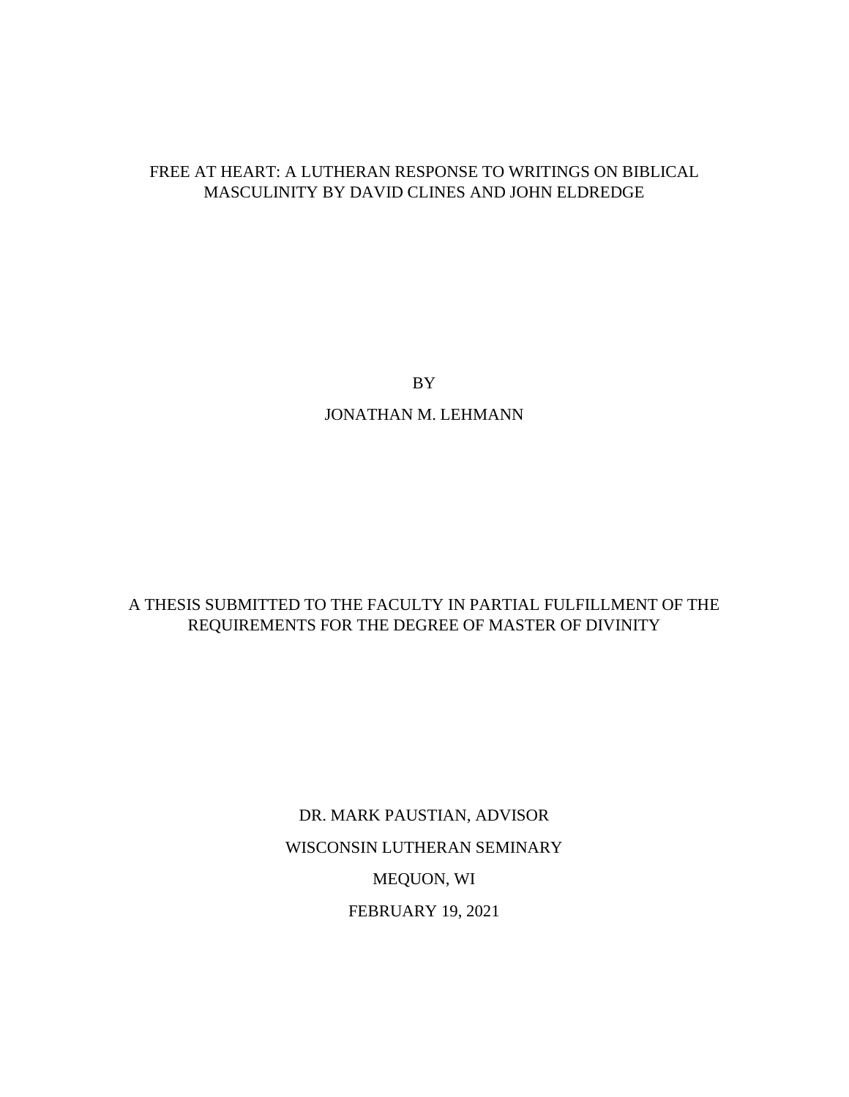# FREE AT HEART: A LUTHERAN RESPONSE TO WRITINGS ON BIBLICAL MASCULINITY BY DAVID CLINES AND JOHN ELDREDGE

BY

# JONATHAN M. LEHMANN

# A THESIS SUBMITTED TO THE FACULTY IN PARTIAL FULFILLMENT OF THE REQUIREMENTS FOR THE DEGREE OF MASTER OF DIVINITY

DR. MARK PAUSTIAN, ADVISOR WISCONSIN LUTHERAN SEMINARY MEQUON, WI FEBRUARY 19, 2021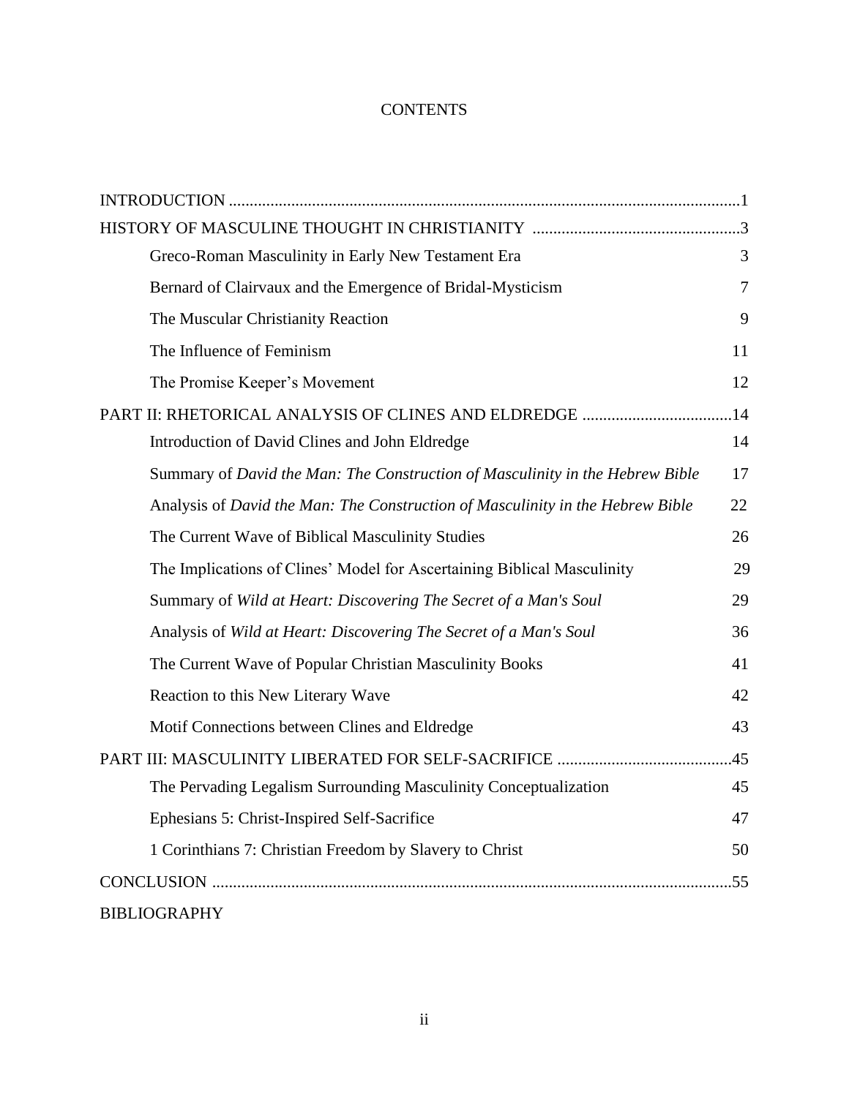# **CONTENTS**

| Greco-Roman Masculinity in Early New Testament Era                             | 3   |
|--------------------------------------------------------------------------------|-----|
| Bernard of Clairvaux and the Emergence of Bridal-Mysticism                     | 7   |
| The Muscular Christianity Reaction                                             | 9   |
| The Influence of Feminism                                                      | 11  |
| The Promise Keeper's Movement                                                  | 12  |
| PART II: RHETORICAL ANALYSIS OF CLINES AND ELDREDGE 14                         |     |
| Introduction of David Clines and John Eldredge                                 | 14  |
| Summary of David the Man: The Construction of Masculinity in the Hebrew Bible  | 17  |
| Analysis of David the Man: The Construction of Masculinity in the Hebrew Bible | 22  |
| The Current Wave of Biblical Masculinity Studies                               | 26  |
| The Implications of Clines' Model for Ascertaining Biblical Masculinity        | 29  |
| Summary of Wild at Heart: Discovering The Secret of a Man's Soul               | 29  |
| Analysis of Wild at Heart: Discovering The Secret of a Man's Soul              | 36  |
| The Current Wave of Popular Christian Masculinity Books                        | 41  |
| Reaction to this New Literary Wave                                             | 42  |
| Motif Connections between Clines and Eldredge                                  | 43  |
|                                                                                | .45 |
| The Pervading Legalism Surrounding Masculinity Conceptualization               | 45  |
| Ephesians 5: Christ-Inspired Self-Sacrifice                                    | 47  |
| 1 Corinthians 7: Christian Freedom by Slavery to Christ                        | 50  |
|                                                                                | .55 |
| <b>BIBLIOGRAPHY</b>                                                            |     |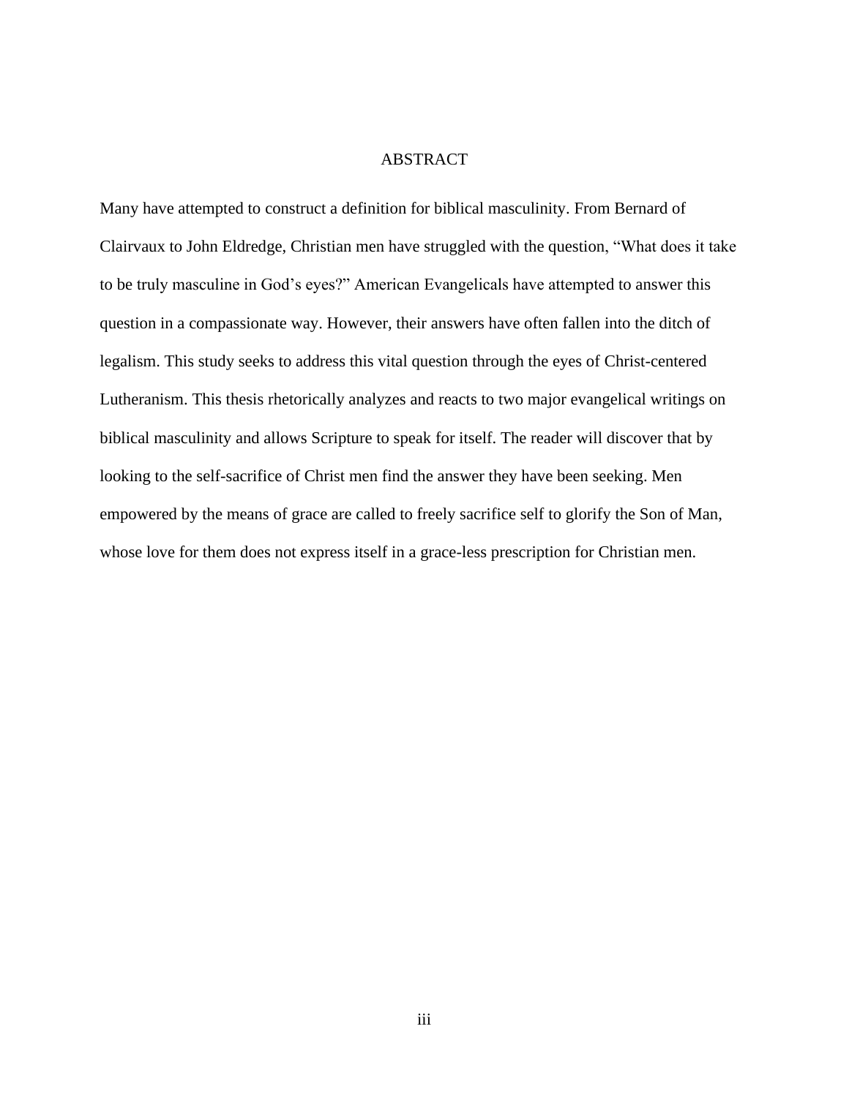#### ABSTRACT

Many have attempted to construct a definition for biblical masculinity. From Bernard of Clairvaux to John Eldredge, Christian men have struggled with the question, "What does it take to be truly masculine in God's eyes?" American Evangelicals have attempted to answer this question in a compassionate way. However, their answers have often fallen into the ditch of legalism. This study seeks to address this vital question through the eyes of Christ-centered Lutheranism. This thesis rhetorically analyzes and reacts to two major evangelical writings on biblical masculinity and allows Scripture to speak for itself. The reader will discover that by looking to the self-sacrifice of Christ men find the answer they have been seeking. Men empowered by the means of grace are called to freely sacrifice self to glorify the Son of Man, whose love for them does not express itself in a grace-less prescription for Christian men.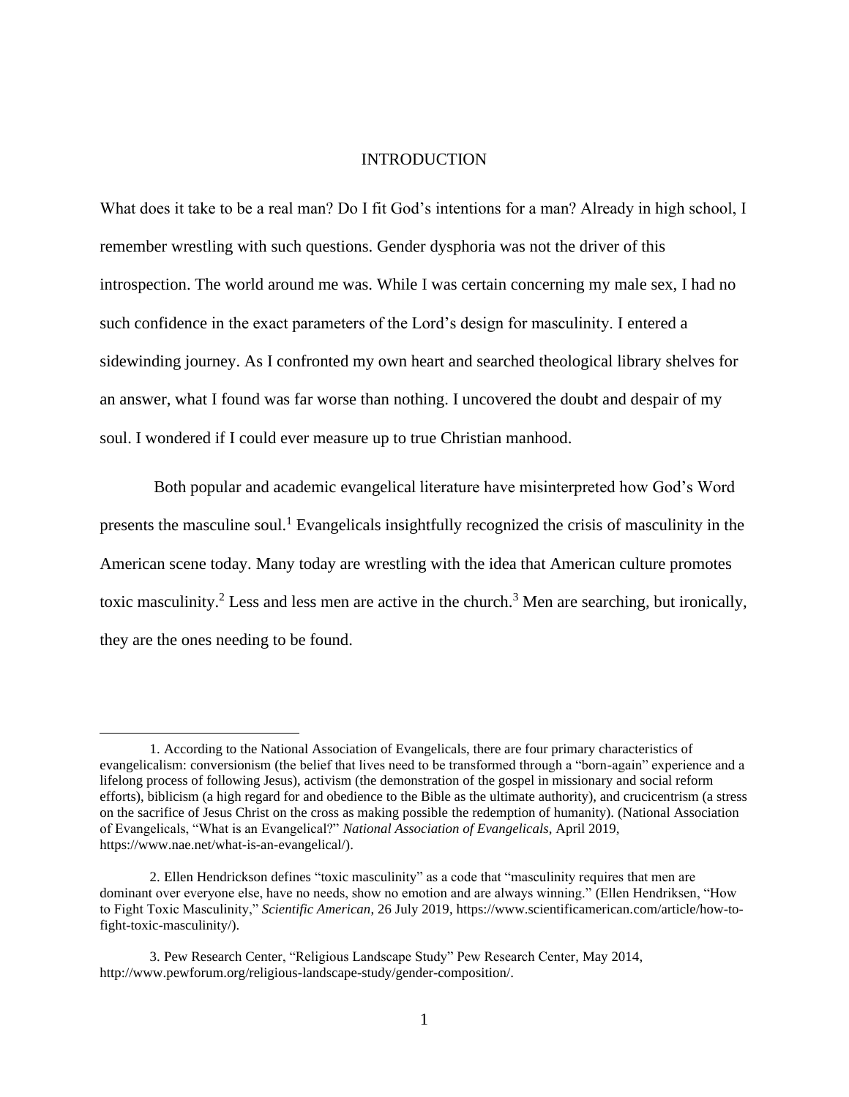#### INTRODUCTION

What does it take to be a real man? Do I fit God's intentions for a man? Already in high school, I remember wrestling with such questions. Gender dysphoria was not the driver of this introspection. The world around me was. While I was certain concerning my male sex, I had no such confidence in the exact parameters of the Lord's design for masculinity. I entered a sidewinding journey. As I confronted my own heart and searched theological library shelves for an answer, what I found was far worse than nothing. I uncovered the doubt and despair of my soul. I wondered if I could ever measure up to true Christian manhood.

Both popular and academic evangelical literature have misinterpreted how God's Word presents the masculine soul.<sup>1</sup> Evangelicals insightfully recognized the crisis of masculinity in the American scene today. Many today are wrestling with the idea that American culture promotes toxic masculinity.<sup>2</sup> Less and less men are active in the church.<sup>3</sup> Men are searching, but ironically, they are the ones needing to be found.

<sup>1.</sup> According to the National Association of Evangelicals, there are four primary characteristics of evangelicalism: conversionism (the belief that lives need to be transformed through a "born-again" experience and a lifelong process of following Jesus), activism (the demonstration of the gospel in missionary and social reform efforts), biblicism (a high regard for and obedience to the Bible as the ultimate authority), and crucicentrism (a stress on the sacrifice of Jesus Christ on the cross as making possible the redemption of humanity). (National Association of Evangelicals, "What is an Evangelical?" *National Association of Evangelicals*, April 2019, https://www.nae.net/what-is-an-evangelical/).

<sup>2.</sup> Ellen Hendrickson defines "toxic masculinity" as a code that "masculinity requires that men are dominant over everyone else, have no needs, show no emotion and are always winning." (Ellen Hendriksen, "How to Fight Toxic Masculinity," *Scientific American*, 26 July 2019, https://www.scientificamerican.com/article/how-tofight-toxic-masculinity/).

<sup>3.</sup> Pew Research Center, "Religious Landscape Study" Pew Research Center, May 2014, http://www.pewforum.org/religious-landscape-study/gender-composition/.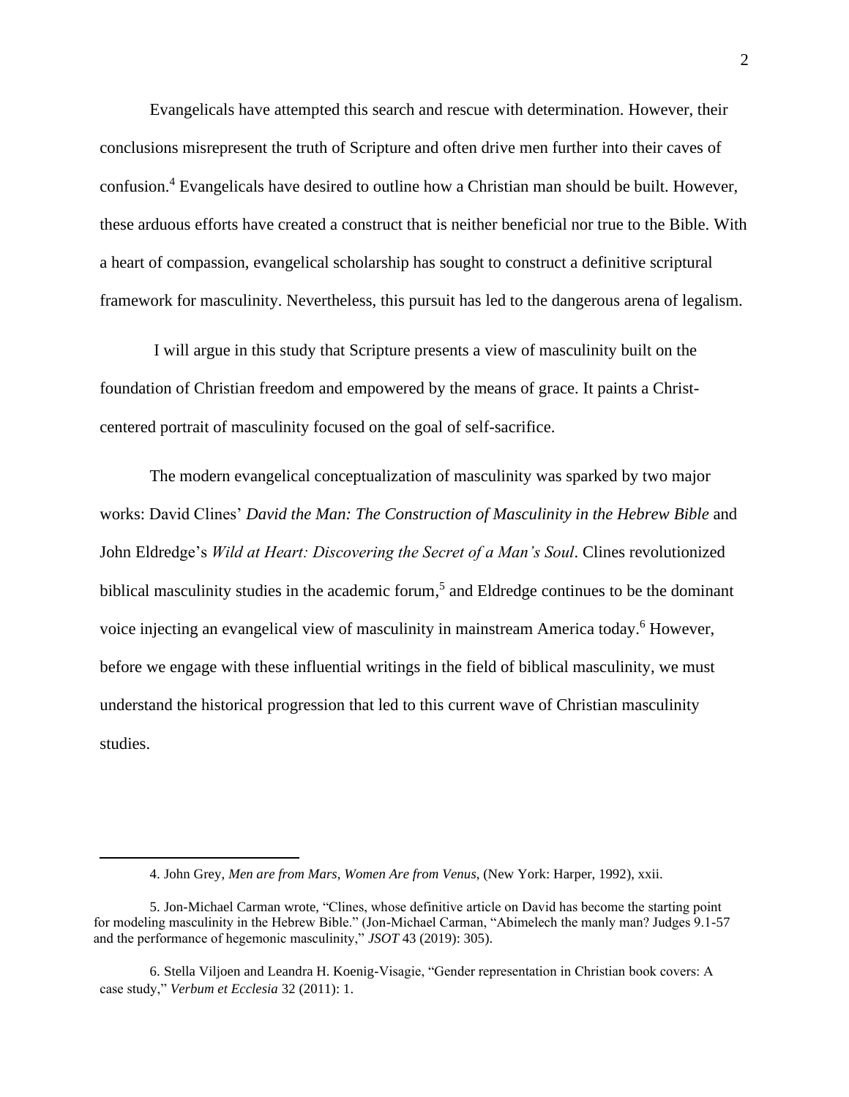Evangelicals have attempted this search and rescue with determination. However, their conclusions misrepresent the truth of Scripture and often drive men further into their caves of confusion.<sup>4</sup> Evangelicals have desired to outline how a Christian man should be built. However, these arduous efforts have created a construct that is neither beneficial nor true to the Bible. With a heart of compassion, evangelical scholarship has sought to construct a definitive scriptural framework for masculinity. Nevertheless, this pursuit has led to the dangerous arena of legalism.

I will argue in this study that Scripture presents a view of masculinity built on the foundation of Christian freedom and empowered by the means of grace. It paints a Christcentered portrait of masculinity focused on the goal of self-sacrifice.

The modern evangelical conceptualization of masculinity was sparked by two major works: David Clines' *David the Man: The Construction of Masculinity in the Hebrew Bible* and John Eldredge's *Wild at Heart: Discovering the Secret of a Man's Soul*. Clines revolutionized biblical masculinity studies in the academic forum,<sup>5</sup> and Eldredge continues to be the dominant voice injecting an evangelical view of masculinity in mainstream America today.<sup>6</sup> However, before we engage with these influential writings in the field of biblical masculinity, we must understand the historical progression that led to this current wave of Christian masculinity studies.

<sup>4.</sup> John Grey, *Men are from Mars, Women Are from Venus*, (New York: Harper, 1992), xxii.

<sup>5.</sup> Jon-Michael Carman wrote, "Clines, whose definitive article on David has become the starting point for modeling masculinity in the Hebrew Bible." (Jon-Michael Carman, "Abimelech the manly man? Judges 9.1-57 and the performance of hegemonic masculinity," *JSOT* 43 (2019): 305).

<sup>6.</sup> Stella Viljoen and Leandra H. Koenig-Visagie, "Gender representation in Christian book covers: A case study," *Verbum et Ecclesia* 32 (2011): 1.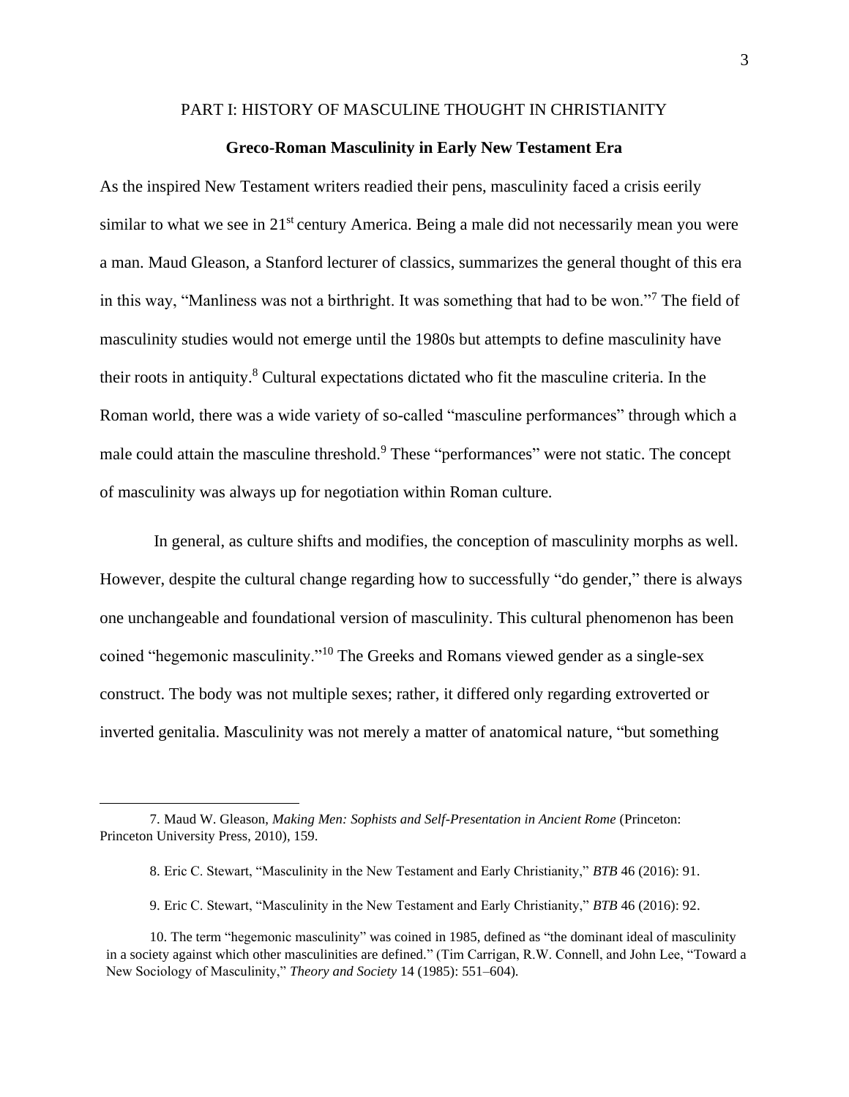## PART I: HISTORY OF MASCULINE THOUGHT IN CHRISTIANITY

#### **Greco-Roman Masculinity in Early New Testament Era**

As the inspired New Testament writers readied their pens, masculinity faced a crisis eerily similar to what we see in  $21<sup>st</sup>$  century America. Being a male did not necessarily mean you were a man. Maud Gleason, a Stanford lecturer of classics, summarizes the general thought of this era in this way, "Manliness was not a birthright. It was something that had to be won."<sup>7</sup> The field of masculinity studies would not emerge until the 1980s but attempts to define masculinity have their roots in antiquity.<sup>8</sup> Cultural expectations dictated who fit the masculine criteria. In the Roman world, there was a wide variety of so-called "masculine performances" through which a male could attain the masculine threshold.<sup>9</sup> These "performances" were not static. The concept of masculinity was always up for negotiation within Roman culture.

In general, as culture shifts and modifies, the conception of masculinity morphs as well. However, despite the cultural change regarding how to successfully "do gender," there is always one unchangeable and foundational version of masculinity. This cultural phenomenon has been coined "hegemonic masculinity."<sup>10</sup> The Greeks and Romans viewed gender as a single-sex construct. The body was not multiple sexes; rather, it differed only regarding extroverted or inverted genitalia. Masculinity was not merely a matter of anatomical nature, "but something

9. Eric C. Stewart, "Masculinity in the New Testament and Early Christianity," *BTB* 46 (2016): 92.

<sup>7.</sup> Maud W. Gleason, *Making Men: Sophists and Self-Presentation in Ancient Rome* (Princeton: Princeton University Press, 2010), 159.

<sup>8.</sup> Eric C. Stewart, "Masculinity in the New Testament and Early Christianity," *BTB* 46 (2016): 91.

<sup>10.</sup> The term "hegemonic masculinity" was coined in 1985, defined as "the dominant ideal of masculinity in a society against which other masculinities are defined." (Tim Carrigan, R.W. Connell, and John Lee, "Toward a New Sociology of Masculinity," *Theory and Society* 14 (1985): 551–604).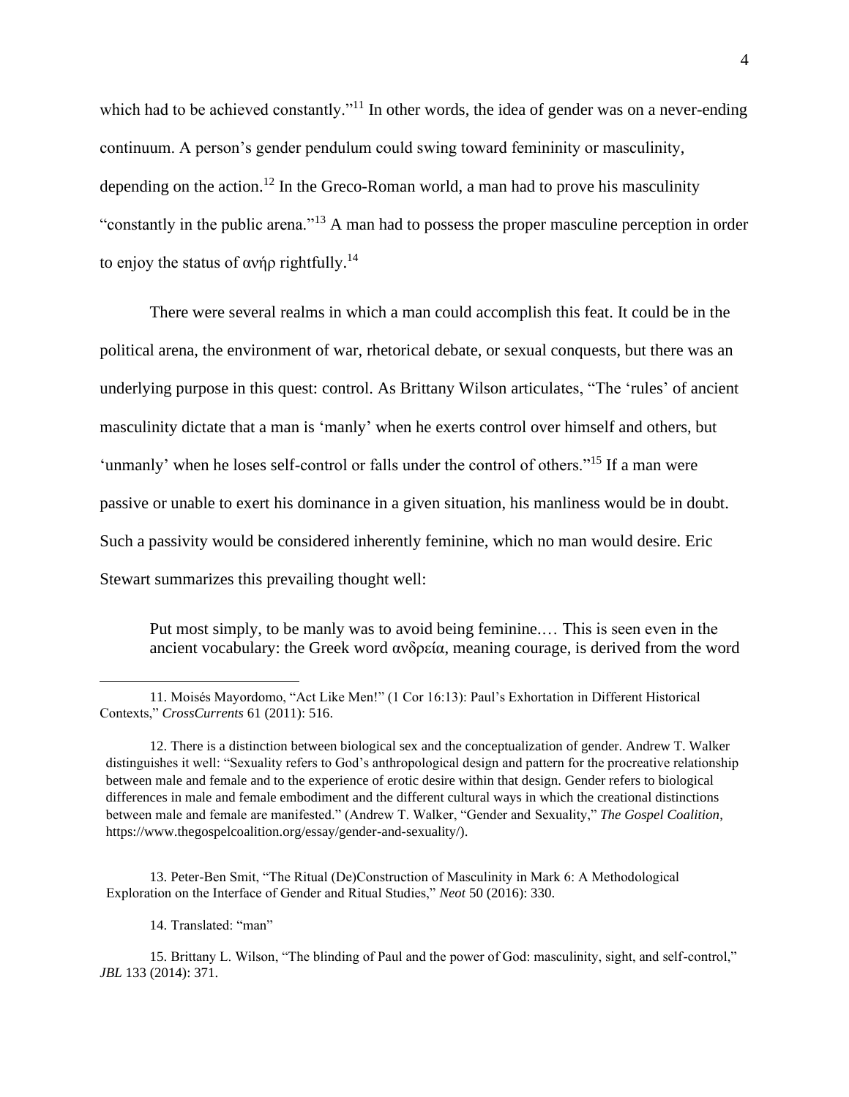which had to be achieved constantly."<sup>11</sup> In other words, the idea of gender was on a never-ending continuum. A person's gender pendulum could swing toward femininity or masculinity, depending on the action.<sup>12</sup> In the Greco-Roman world, a man had to prove his masculinity "constantly in the public arena."<sup>13</sup> A man had to possess the proper masculine perception in order to enjoy the status of  $\alpha v \eta \rho$  rightfully.<sup>14</sup>

There were several realms in which a man could accomplish this feat. It could be in the political arena, the environment of war, rhetorical debate, or sexual conquests, but there was an underlying purpose in this quest: control. As Brittany Wilson articulates, "The 'rules' of ancient masculinity dictate that a man is 'manly' when he exerts control over himself and others, but 'unmanly' when he loses self-control or falls under the control of others."<sup>15</sup> If a man were passive or unable to exert his dominance in a given situation, his manliness would be in doubt. Such a passivity would be considered inherently feminine, which no man would desire. Eric Stewart summarizes this prevailing thought well:

Put most simply, to be manly was to avoid being feminine.… This is seen even in the ancient vocabulary: the Greek word ανδρεία, meaning courage, is derived from the word

14. Translated: "man"

<sup>11.</sup> Moisés Mayordomo, "Act Like Men!" (1 Cor 16:13): Paul's Exhortation in Different Historical Contexts," *CrossCurrents* 61 (2011): 516.

<sup>12.</sup> There is a distinction between biological sex and the conceptualization of gender. Andrew T. Walker distinguishes it well: "Sexuality refers to God's anthropological design and pattern for the procreative relationship between male and female and to the experience of erotic desire within that design. Gender refers to biological differences in male and female embodiment and the different cultural ways in which the creational distinctions between male and female are manifested." (Andrew T. Walker, "Gender and Sexuality," *The Gospel Coalition*, https://www.thegospelcoalition.org/essay/gender-and-sexuality/).

<sup>13.</sup> Peter-Ben Smit, "The Ritual (De)Construction of Masculinity in Mark 6: A Methodological Exploration on the Interface of Gender and Ritual Studies," *Neot* 50 (2016): 330.

<sup>15.</sup> Brittany L. Wilson, "The blinding of Paul and the power of God: masculinity, sight, and self-control," *JBL* 133 (2014): 371.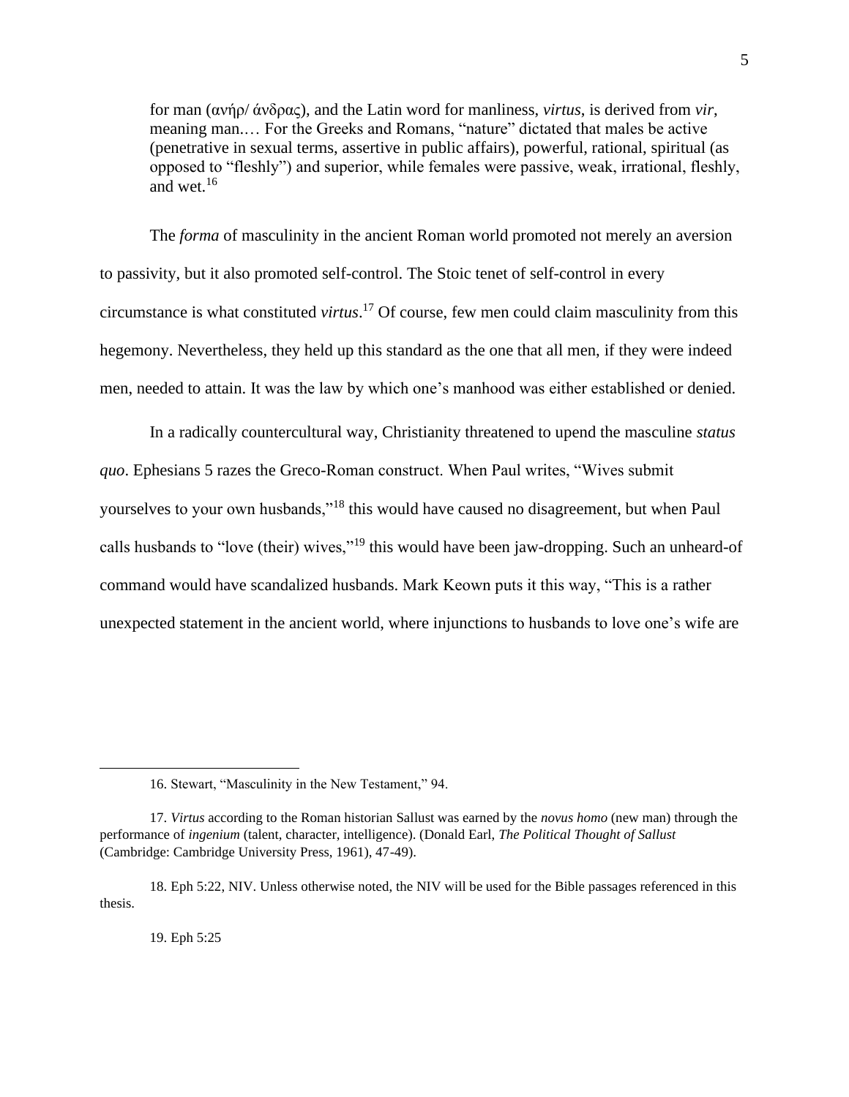for man (ανήρ/ άνδρας), and the Latin word for manliness, *virtus*, is derived from *vir*, meaning man.… For the Greeks and Romans, "nature" dictated that males be active (penetrative in sexual terms, assertive in public affairs), powerful, rational, spiritual (as opposed to "fleshly") and superior, while females were passive, weak, irrational, fleshly, and wet. $16$ 

The *forma* of masculinity in the ancient Roman world promoted not merely an aversion to passivity, but it also promoted self-control. The Stoic tenet of self-control in every circumstance is what constituted *virtus*. <sup>17</sup> Of course, few men could claim masculinity from this hegemony. Nevertheless, they held up this standard as the one that all men, if they were indeed men, needed to attain. It was the law by which one's manhood was either established or denied.

In a radically countercultural way, Christianity threatened to upend the masculine *status quo*. Ephesians 5 razes the Greco-Roman construct. When Paul writes, "Wives submit yourselves to your own husbands,"<sup>18</sup> this would have caused no disagreement, but when Paul calls husbands to "love (their) wives,"<sup>19</sup> this would have been jaw-dropping. Such an unheard-of command would have scandalized husbands. Mark Keown puts it this way, "This is a rather unexpected statement in the ancient world, where injunctions to husbands to love one's wife are

19. Eph 5:25

<sup>16.</sup> Stewart, "Masculinity in the New Testament," 94.

<sup>17.</sup> *Virtus* according to the Roman historian Sallust was earned by the *novus homo* (new man) through the performance of *ingenium* (talent, character, intelligence). (Donald Earl, *The Political Thought of Sallust*  (Cambridge: Cambridge University Press, 1961), 47-49).

<sup>18.</sup> Eph 5:22, NIV. Unless otherwise noted, the NIV will be used for the Bible passages referenced in this thesis.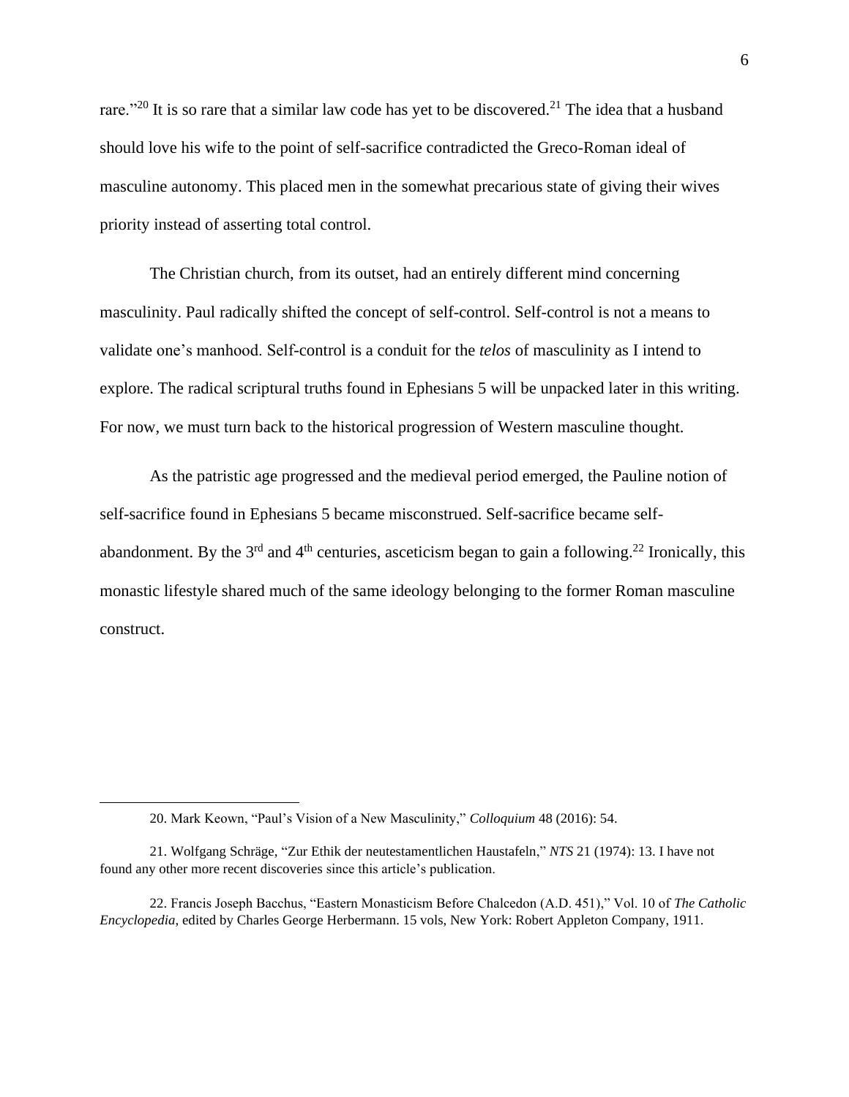rare."<sup>20</sup> It is so rare that a similar law code has yet to be discovered.<sup>21</sup> The idea that a husband should love his wife to the point of self-sacrifice contradicted the Greco-Roman ideal of masculine autonomy. This placed men in the somewhat precarious state of giving their wives priority instead of asserting total control.

The Christian church, from its outset, had an entirely different mind concerning masculinity. Paul radically shifted the concept of self-control. Self-control is not a means to validate one's manhood. Self-control is a conduit for the *telos* of masculinity as I intend to explore. The radical scriptural truths found in Ephesians 5 will be unpacked later in this writing. For now, we must turn back to the historical progression of Western masculine thought.

As the patristic age progressed and the medieval period emerged, the Pauline notion of self-sacrifice found in Ephesians 5 became misconstrued. Self-sacrifice became selfabandonment. By the  $3<sup>rd</sup>$  and  $4<sup>th</sup>$  centuries, asceticism began to gain a following.<sup>22</sup> Ironically, this monastic lifestyle shared much of the same ideology belonging to the former Roman masculine construct.

<sup>20.</sup> Mark Keown, "Paul's Vision of a New Masculinity," *Colloquium* 48 (2016): 54.

<sup>21.</sup> Wolfgang Schräge, "Zur Ethik der neutestamentlichen Haustafeln," *NTS* 21 (1974): 13. I have not found any other more recent discoveries since this article's publication.

<sup>22.</sup> Francis Joseph Bacchus, "Eastern Monasticism Before Chalcedon (A.D. 451)," Vol. 10 of *The Catholic Encyclopedia*, edited by Charles George Herbermann. 15 vols, New York: Robert Appleton Company, 1911.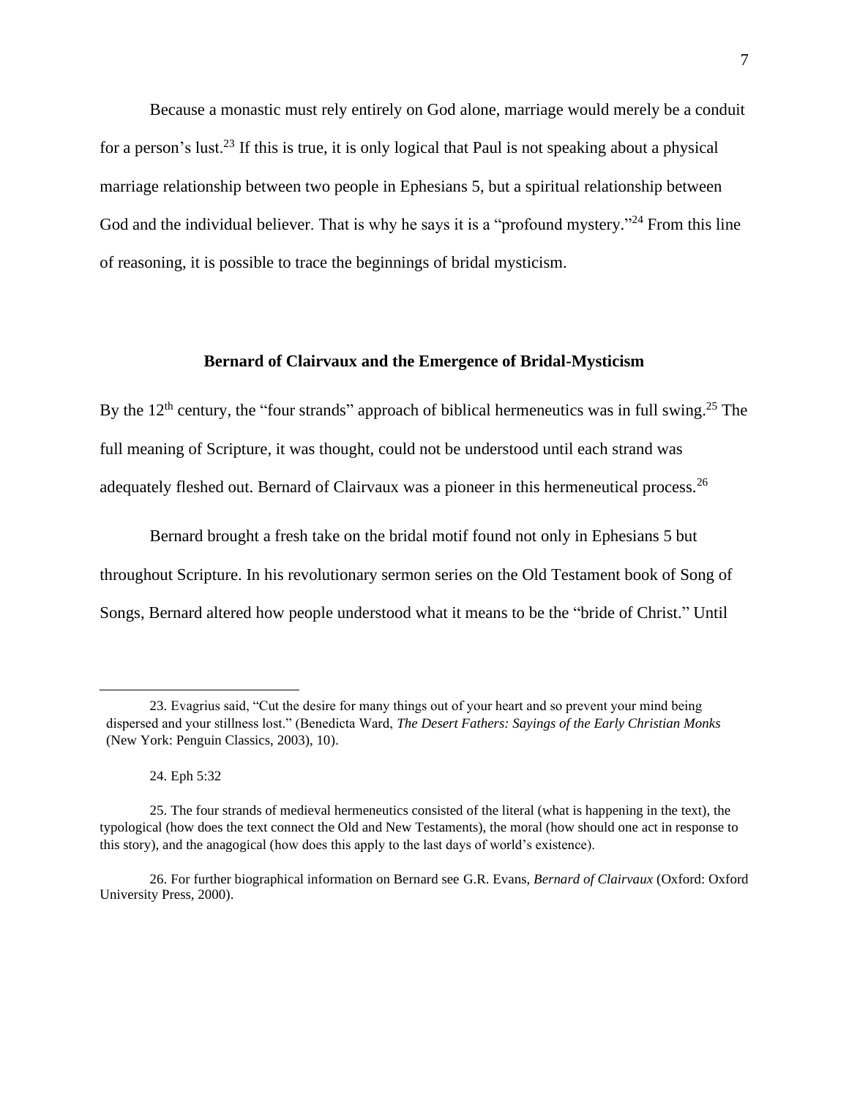Because a monastic must rely entirely on God alone, marriage would merely be a conduit for a person's lust.<sup>23</sup> If this is true, it is only logical that Paul is not speaking about a physical marriage relationship between two people in Ephesians 5, but a spiritual relationship between God and the individual believer. That is why he says it is a "profound mystery."<sup>24</sup> From this line of reasoning, it is possible to trace the beginnings of bridal mysticism.

#### **Bernard of Clairvaux and the Emergence of Bridal-Mysticism**

By the  $12<sup>th</sup>$  century, the "four strands" approach of biblical hermeneutics was in full swing.<sup>25</sup> The full meaning of Scripture, it was thought, could not be understood until each strand was adequately fleshed out. Bernard of Clairvaux was a pioneer in this hermeneutical process.<sup>26</sup>

Bernard brought a fresh take on the bridal motif found not only in Ephesians 5 but throughout Scripture. In his revolutionary sermon series on the Old Testament book of Song of Songs, Bernard altered how people understood what it means to be the "bride of Christ." Until

<sup>23.</sup> Evagrius said, "Cut the desire for many things out of your heart and so prevent your mind being dispersed and your stillness lost." (Benedicta Ward, *The Desert Fathers: Sayings of the Early Christian Monks* (New York: Penguin Classics, 2003), 10).

<sup>24.</sup> Eph 5:32

<sup>25.</sup> The four strands of medieval hermeneutics consisted of the literal (what is happening in the text), the typological (how does the text connect the Old and New Testaments), the moral (how should one act in response to this story), and the anagogical (how does this apply to the last days of world's existence).

<sup>26.</sup> For further biographical information on Bernard see G.R. Evans, *Bernard of Clairvaux* (Oxford: Oxford University Press, 2000).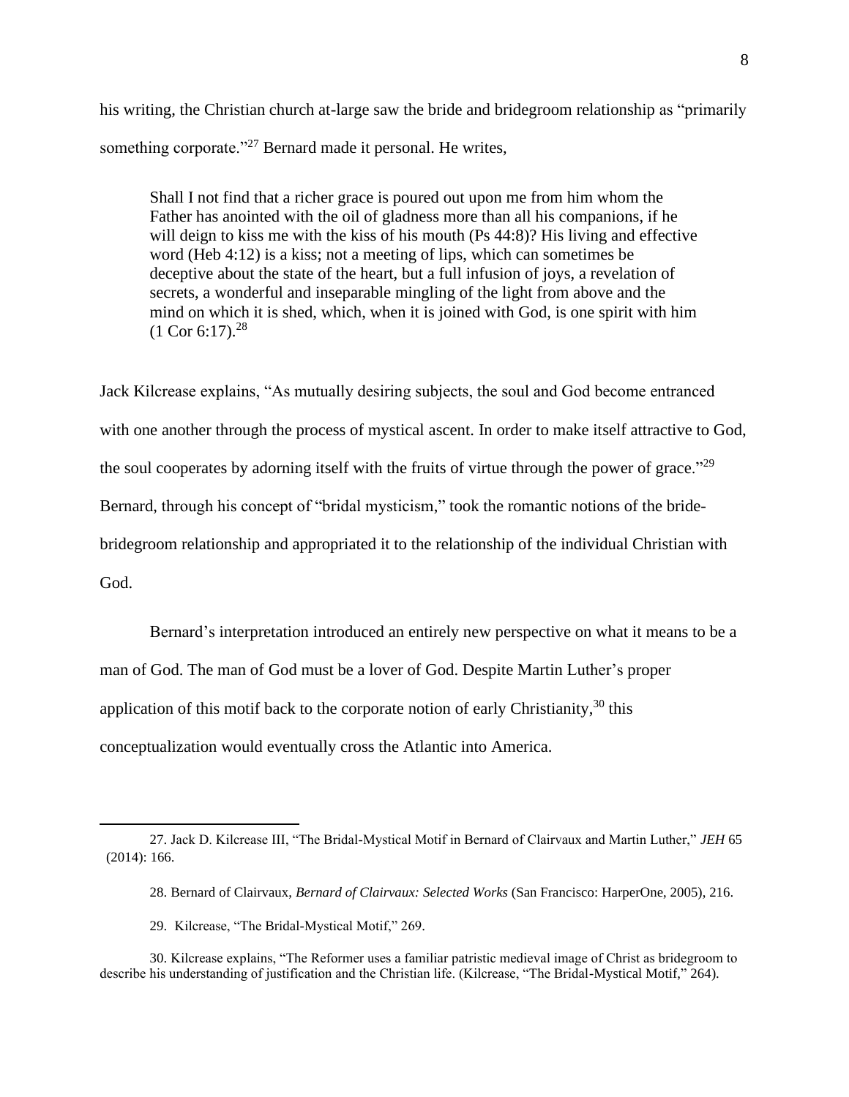his writing, the Christian church at-large saw the bride and bridegroom relationship as "primarily something corporate."<sup>27</sup> Bernard made it personal. He writes,

Shall I not find that a richer grace is poured out upon me from him whom the Father has anointed with the oil of gladness more than all his companions, if he will deign to kiss me with the kiss of his mouth (Ps 44:8)? His living and effective word (Heb 4:12) is a kiss; not a meeting of lips, which can sometimes be deceptive about the state of the heart, but a full infusion of joys, a revelation of secrets, a wonderful and inseparable mingling of the light from above and the mind on which it is shed, which, when it is joined with God, is one spirit with him  $(1 \text{ Cor } 6:17).^{28}$ 

Jack Kilcrease explains, "As mutually desiring subjects, the soul and God become entranced with one another through the process of mystical ascent. In order to make itself attractive to God, the soul cooperates by adorning itself with the fruits of virtue through the power of grace."<sup>29</sup> Bernard, through his concept of "bridal mysticism," took the romantic notions of the bridebridegroom relationship and appropriated it to the relationship of the individual Christian with God.

Bernard's interpretation introduced an entirely new perspective on what it means to be a man of God. The man of God must be a lover of God. Despite Martin Luther's proper application of this motif back to the corporate notion of early Christianity, $30$  this conceptualization would eventually cross the Atlantic into America.

<sup>27.</sup> Jack D. Kilcrease III, "The Bridal-Mystical Motif in Bernard of Clairvaux and Martin Luther," *JEH* 65 (2014): 166.

<sup>28.</sup> Bernard of Clairvaux, *Bernard of Clairvaux: Selected Works* (San Francisco: HarperOne, 2005), 216.

<sup>29.</sup> Kilcrease, "The Bridal-Mystical Motif," 269.

<sup>30.</sup> Kilcrease explains, "The Reformer uses a familiar patristic medieval image of Christ as bridegroom to describe his understanding of justification and the Christian life. (Kilcrease, "The Bridal-Mystical Motif," 264).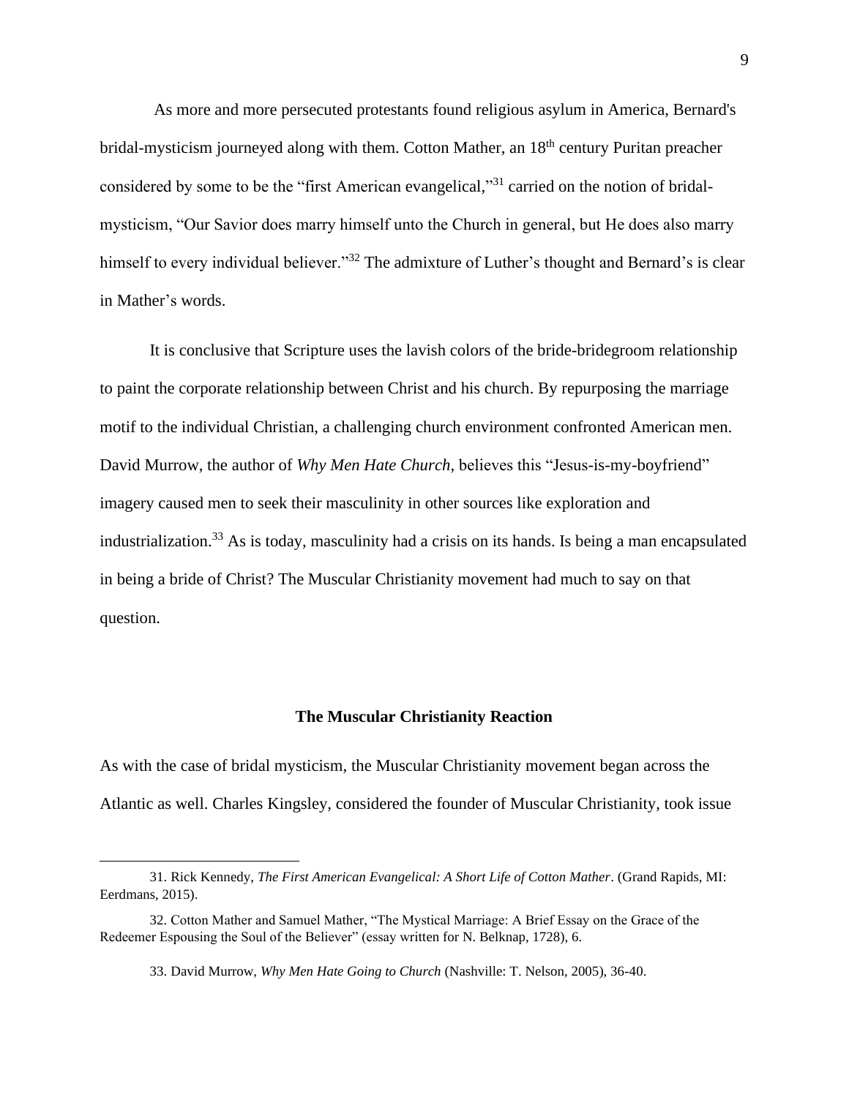As more and more persecuted protestants found religious asylum in America, Bernard's bridal-mysticism journeyed along with them. Cotton Mather, an 18<sup>th</sup> century Puritan preacher considered by some to be the "first American evangelical,"<sup>31</sup> carried on the notion of bridalmysticism, "Our Savior does marry himself unto the Church in general, but He does also marry himself to every individual believer."<sup>32</sup> The admixture of Luther's thought and Bernard's is clear in Mather's words.

It is conclusive that Scripture uses the lavish colors of the bride-bridegroom relationship to paint the corporate relationship between Christ and his church. By repurposing the marriage motif to the individual Christian, a challenging church environment confronted American men. David Murrow, the author of *Why Men Hate Church,* believes this "Jesus-is-my-boyfriend" imagery caused men to seek their masculinity in other sources like exploration and industrialization.<sup>33</sup> As is today, masculinity had a crisis on its hands. Is being a man encapsulated in being a bride of Christ? The Muscular Christianity movement had much to say on that question.

## **The Muscular Christianity Reaction**

As with the case of bridal mysticism, the Muscular Christianity movement began across the Atlantic as well. Charles Kingsley, considered the founder of Muscular Christianity, took issue

<sup>31.</sup> Rick Kennedy, *The First American Evangelical: A Short Life of Cotton Mather*. (Grand Rapids, MI: Eerdmans, 2015).

<sup>32.</sup> Cotton Mather and Samuel Mather, "The Mystical Marriage: A Brief Essay on the Grace of the Redeemer Espousing the Soul of the Believer" (essay written for N. Belknap, 1728), 6.

<sup>33.</sup> David Murrow, *Why Men Hate Going to Church* (Nashville: T. Nelson, 2005), 36-40.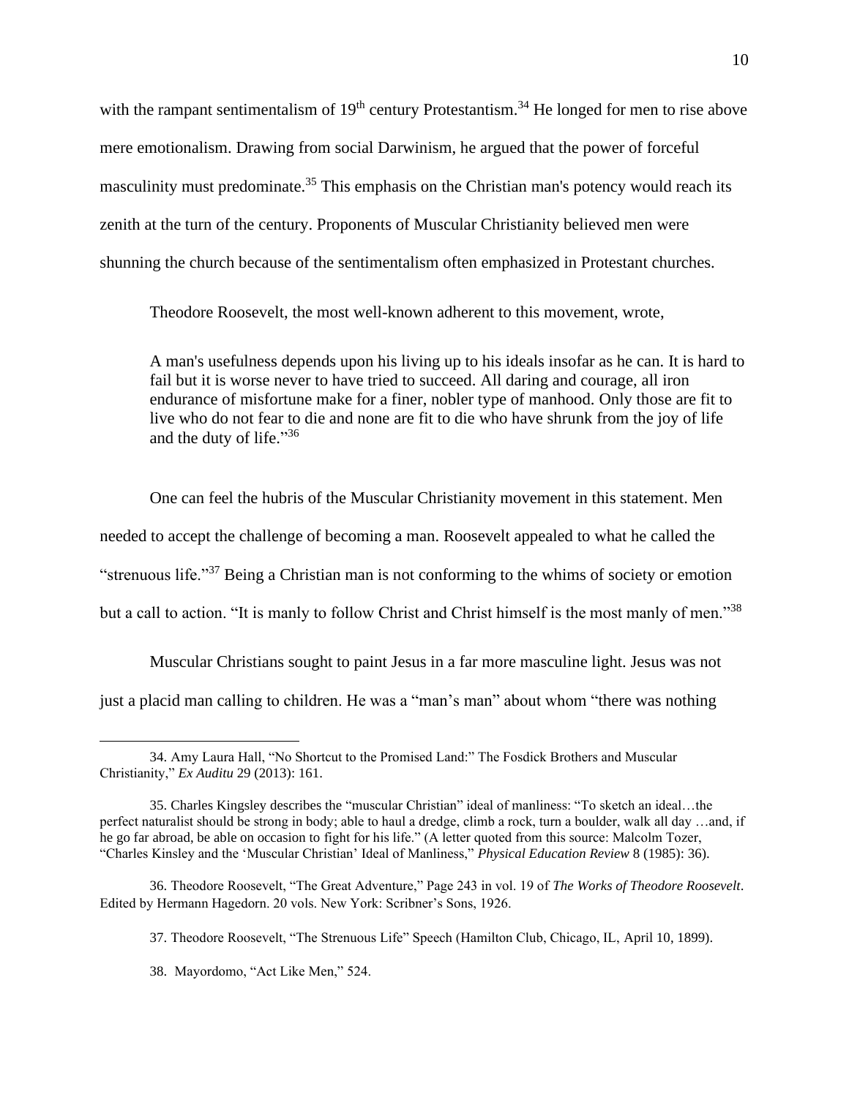with the rampant sentimentalism of  $19<sup>th</sup>$  century Protestantism.<sup>34</sup> He longed for men to rise above mere emotionalism. Drawing from social Darwinism, he argued that the power of forceful masculinity must predominate.<sup>35</sup> This emphasis on the Christian man's potency would reach its zenith at the turn of the century. Proponents of Muscular Christianity believed men were shunning the church because of the sentimentalism often emphasized in Protestant churches.

Theodore Roosevelt, the most well-known adherent to this movement, wrote,

A man's usefulness depends upon his living up to his ideals insofar as he can. It is hard to fail but it is worse never to have tried to succeed. All daring and courage, all iron endurance of misfortune make for a finer, nobler type of manhood. Only those are fit to live who do not fear to die and none are fit to die who have shrunk from the joy of life and the duty of life." 36

One can feel the hubris of the Muscular Christianity movement in this statement. Men needed to accept the challenge of becoming a man. Roosevelt appealed to what he called the "strenuous life."<sup>37</sup> Being a Christian man is not conforming to the whims of society or emotion but a call to action. "It is manly to follow Christ and Christ himself is the most manly of men."<sup>38</sup>

Muscular Christians sought to paint Jesus in a far more masculine light. Jesus was not just a placid man calling to children. He was a "man's man" about whom "there was nothing

38. Mayordomo, "Act Like Men," 524.

<sup>34.</sup> Amy Laura Hall, "No Shortcut to the Promised Land:" The Fosdick Brothers and Muscular Christianity," *Ex Auditu* 29 (2013): 161.

<sup>35.</sup> Charles Kingsley describes the "muscular Christian" ideal of manliness: "To sketch an ideal…the perfect naturalist should be strong in body; able to haul a dredge, climb a rock, turn a boulder, walk all day …and, if he go far abroad, be able on occasion to fight for his life." (A letter quoted from this source: Malcolm Tozer, "Charles Kinsley and the 'Muscular Christian' Ideal of Manliness," *Physical Education Review* 8 (1985): 36).

<sup>36.</sup> Theodore Roosevelt, "The Great Adventure," Page 243 in vol. 19 of *The Works of Theodore Roosevelt*. Edited by Hermann Hagedorn. 20 vols. New York: Scribner's Sons, 1926.

<sup>37.</sup> Theodore Roosevelt, "The Strenuous Life" Speech (Hamilton Club, Chicago, IL, April 10, 1899).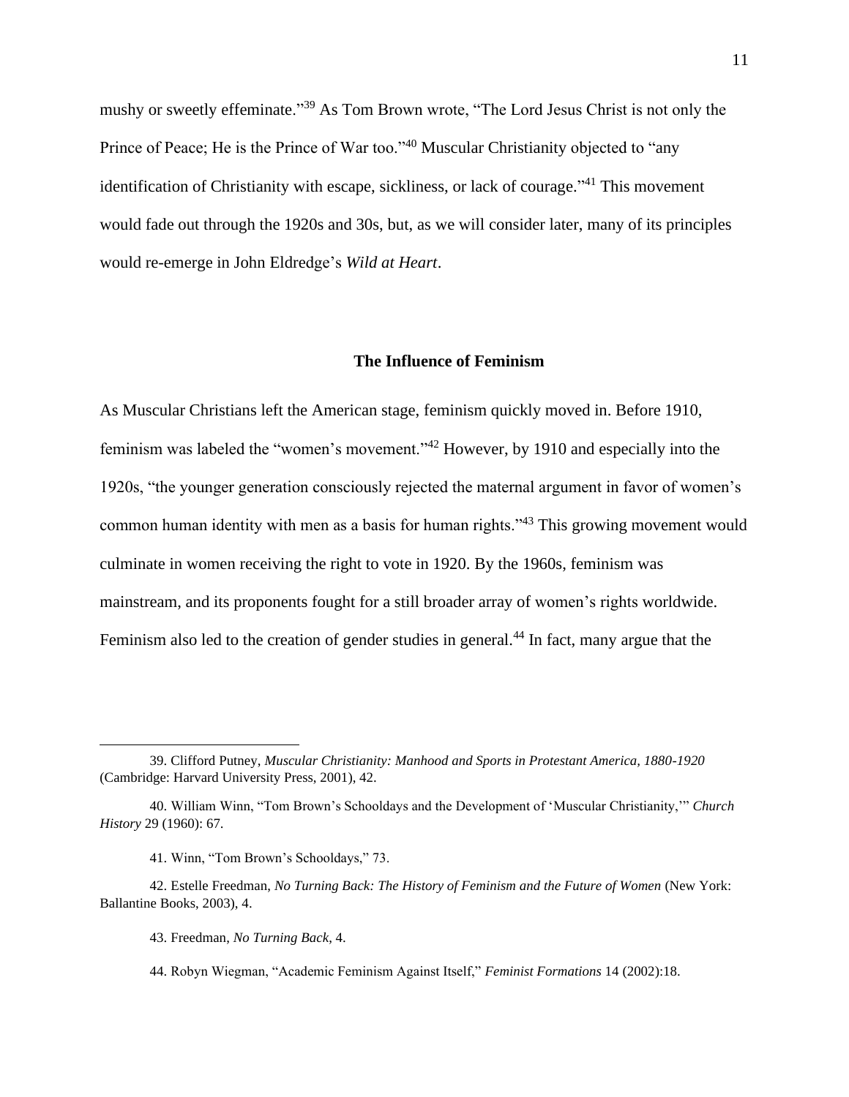mushy or sweetly effeminate."<sup>39</sup> As Tom Brown wrote, "The Lord Jesus Christ is not only the Prince of Peace; He is the Prince of War too."<sup>40</sup> Muscular Christianity objected to "any identification of Christianity with escape, sickliness, or lack of courage."<sup>41</sup> This movement would fade out through the 1920s and 30s, but, as we will consider later, many of its principles would re-emerge in John Eldredge's *Wild at Heart*.

## **The Influence of Feminism**

As Muscular Christians left the American stage, feminism quickly moved in. Before 1910, feminism was labeled the "women's movement."<sup>42</sup> However, by 1910 and especially into the 1920s, "the younger generation consciously rejected the maternal argument in favor of women's common human identity with men as a basis for human rights."<sup>43</sup> This growing movement would culminate in women receiving the right to vote in 1920. By the 1960s, feminism was mainstream, and its proponents fought for a still broader array of women's rights worldwide. Feminism also led to the creation of gender studies in general.<sup>44</sup> In fact, many argue that the

<sup>39.</sup> Clifford Putney, *Muscular Christianity: Manhood and Sports in Protestant America, 1880-1920* (Cambridge: Harvard University Press, 2001), 42.

<sup>40.</sup> William Winn, "Tom Brown's Schooldays and the Development of 'Muscular Christianity,'" *Church History* 29 (1960): 67.

<sup>41.</sup> Winn, "Tom Brown's Schooldays," 73.

<sup>42.</sup> Estelle Freedman, *No Turning Back: The History of Feminism and the Future of Women* (New York: Ballantine Books, 2003), 4.

<sup>43.</sup> Freedman, *No Turning Back*, 4.

<sup>44.</sup> Robyn Wiegman, "Academic Feminism Against Itself," *Feminist Formations* 14 (2002):18.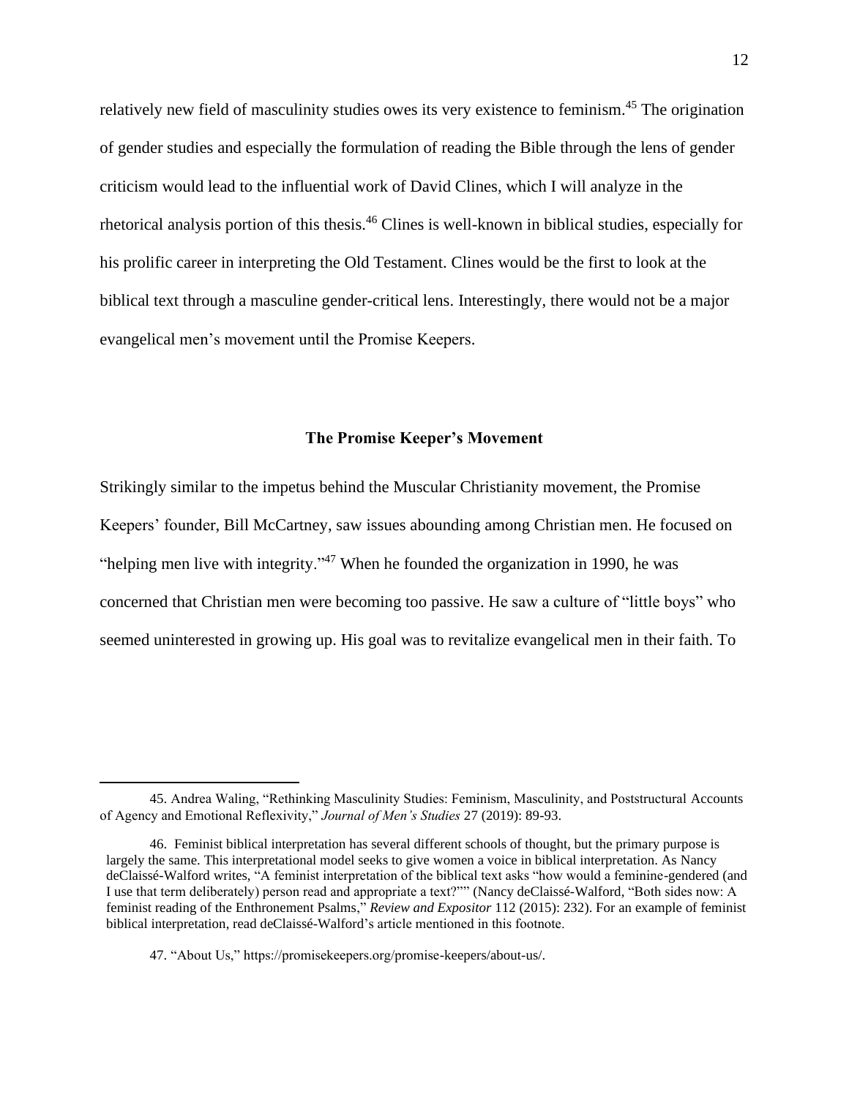relatively new field of masculinity studies owes its very existence to feminism.<sup>45</sup> The origination of gender studies and especially the formulation of reading the Bible through the lens of gender criticism would lead to the influential work of David Clines, which I will analyze in the rhetorical analysis portion of this thesis. <sup>46</sup> Clines is well-known in biblical studies, especially for his prolific career in interpreting the Old Testament. Clines would be the first to look at the biblical text through a masculine gender-critical lens. Interestingly, there would not be a major evangelical men's movement until the Promise Keepers.

#### **The Promise Keeper's Movement**

Strikingly similar to the impetus behind the Muscular Christianity movement, the Promise Keepers' founder, Bill McCartney, saw issues abounding among Christian men. He focused on "helping men live with integrity."<sup>47</sup> When he founded the organization in 1990, he was concerned that Christian men were becoming too passive. He saw a culture of "little boys" who seemed uninterested in growing up. His goal was to revitalize evangelical men in their faith. To

<sup>45.</sup> Andrea Waling, "Rethinking Masculinity Studies: Feminism, Masculinity, and Poststructural Accounts of Agency and Emotional Reflexivity," *Journal of Men's Studies* 27 (2019): 89-93.

<sup>46.</sup> Feminist biblical interpretation has several different schools of thought, but the primary purpose is largely the same. This interpretational model seeks to give women a voice in biblical interpretation. As Nancy deClaissé-Walford writes, "A feminist interpretation of the biblical text asks "how would a feminine-gendered (and I use that term deliberately) person read and appropriate a text?"" (Nancy deClaissé-Walford, "Both sides now: A feminist reading of the Enthronement Psalms," *Review and Expositor* 112 (2015): 232). For an example of feminist biblical interpretation, read deClaissé-Walford's article mentioned in this footnote.

<sup>47.</sup> "About Us," https://promisekeepers.org/promise-keepers/about-us/.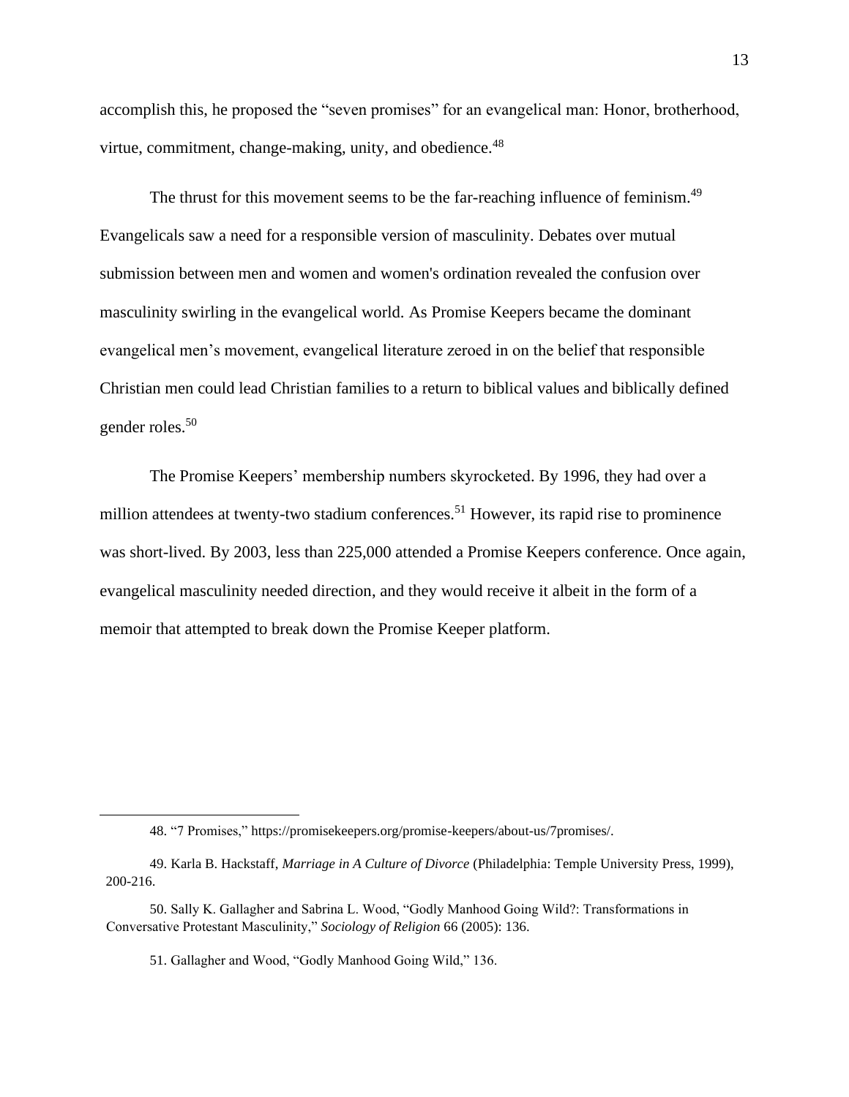accomplish this, he proposed the "seven promises" for an evangelical man: Honor, brotherhood, virtue, commitment, change-making, unity, and obedience.<sup>48</sup>

The thrust for this movement seems to be the far-reaching influence of feminism.<sup>49</sup> Evangelicals saw a need for a responsible version of masculinity. Debates over mutual submission between men and women and women's ordination revealed the confusion over masculinity swirling in the evangelical world. As Promise Keepers became the dominant evangelical men's movement, evangelical literature zeroed in on the belief that responsible Christian men could lead Christian families to a return to biblical values and biblically defined gender roles.<sup>50</sup>

The Promise Keepers' membership numbers skyrocketed. By 1996, they had over a million attendees at twenty-two stadium conferences.<sup>51</sup> However, its rapid rise to prominence was short-lived. By 2003, less than 225,000 attended a Promise Keepers conference. Once again, evangelical masculinity needed direction, and they would receive it albeit in the form of a memoir that attempted to break down the Promise Keeper platform.

51. Gallagher and Wood, "Godly Manhood Going Wild," 136.

<sup>48.</sup> "7 Promises," https://promisekeepers.org/promise-keepers/about-us/7promises/.

<sup>49.</sup> Karla B. Hackstaff, *Marriage in A Culture of Divorce* (Philadelphia: Temple University Press, 1999), 200-216.

<sup>50.</sup> Sally K. Gallagher and Sabrina L. Wood, "Godly Manhood Going Wild?: Transformations in Conversative Protestant Masculinity," *Sociology of Religion* 66 (2005): 136.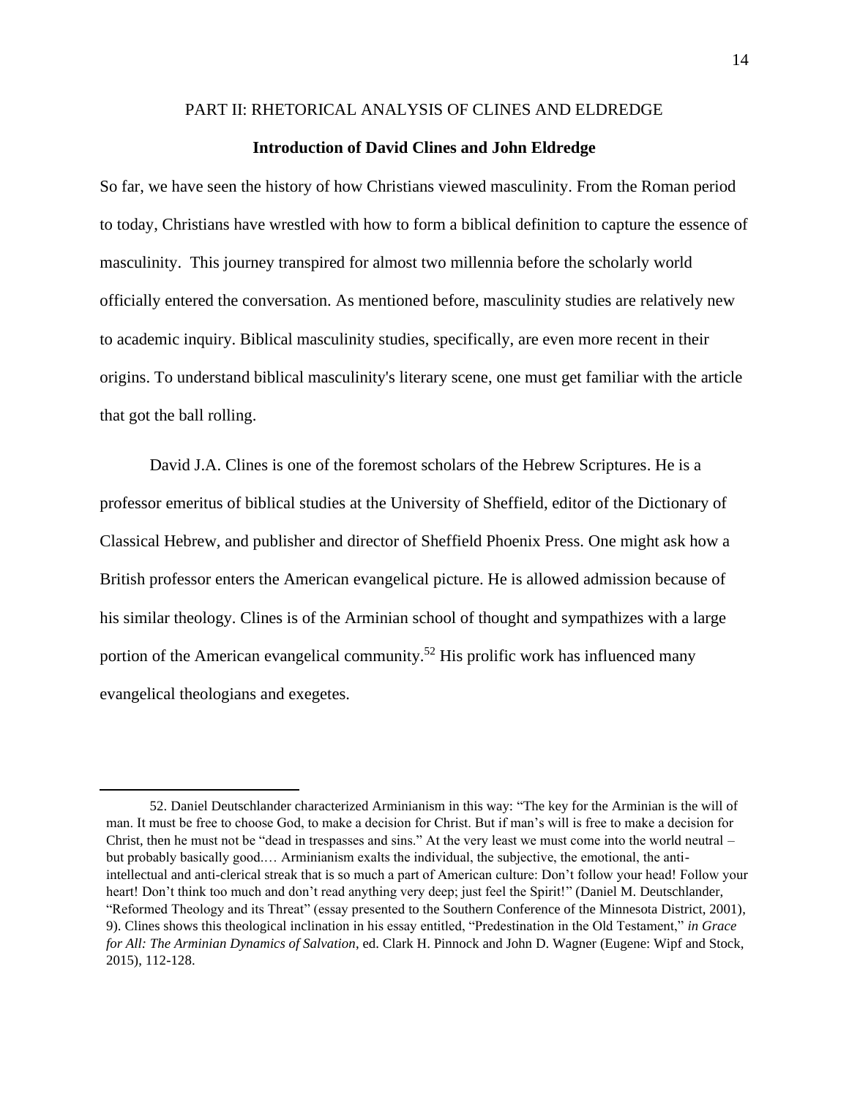#### PART II: RHETORICAL ANALYSIS OF CLINES AND ELDREDGE

#### **Introduction of David Clines and John Eldredge**

So far, we have seen the history of how Christians viewed masculinity. From the Roman period to today, Christians have wrestled with how to form a biblical definition to capture the essence of masculinity. This journey transpired for almost two millennia before the scholarly world officially entered the conversation. As mentioned before, masculinity studies are relatively new to academic inquiry. Biblical masculinity studies, specifically, are even more recent in their origins. To understand biblical masculinity's literary scene, one must get familiar with the article that got the ball rolling.

David J.A. Clines is one of the foremost scholars of the Hebrew Scriptures. He is a professor emeritus of biblical studies at the University of Sheffield, editor of the Dictionary of Classical Hebrew, and publisher and director of Sheffield Phoenix Press. One might ask how a British professor enters the American evangelical picture. He is allowed admission because of his similar theology. Clines is of the Arminian school of thought and sympathizes with a large portion of the American evangelical community.<sup>52</sup> His prolific work has influenced many evangelical theologians and exegetes.

<sup>52.</sup> Daniel Deutschlander characterized Arminianism in this way: "The key for the Arminian is the will of man. It must be free to choose God, to make a decision for Christ. But if man's will is free to make a decision for Christ, then he must not be "dead in trespasses and sins." At the very least we must come into the world neutral – but probably basically good.… Arminianism exalts the individual, the subjective, the emotional, the antiintellectual and anti-clerical streak that is so much a part of American culture: Don't follow your head! Follow your heart! Don't think too much and don't read anything very deep; just feel the Spirit!" (Daniel M. Deutschlander, "Reformed Theology and its Threat" (essay presented to the Southern Conference of the Minnesota District, 2001), 9). Clines shows this theological inclination in his essay entitled, "Predestination in the Old Testament," *in Grace for All: The Arminian Dynamics of Salvation*, ed. Clark H. Pinnock and John D. Wagner (Eugene: Wipf and Stock, 2015), 112-128.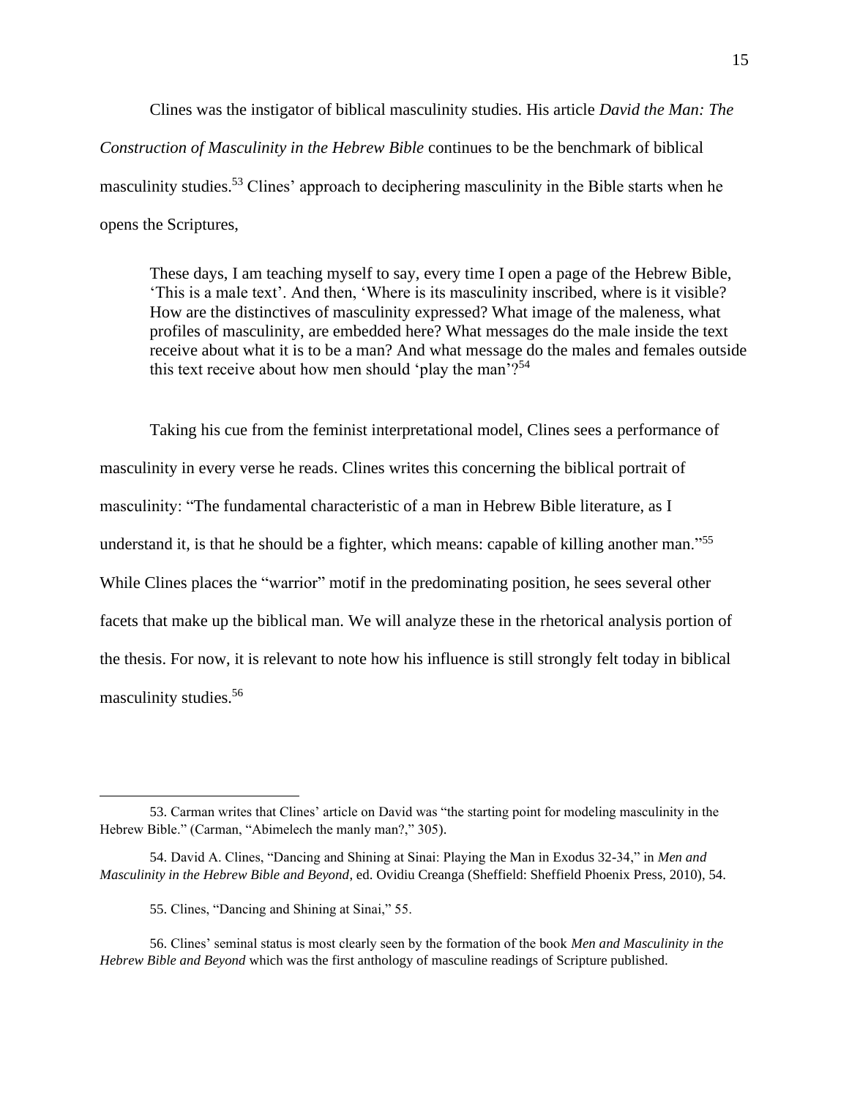Clines was the instigator of biblical masculinity studies. His article *David the Man: The Construction of Masculinity in the Hebrew Bible* continues to be the benchmark of biblical masculinity studies.<sup>53</sup> Clines' approach to deciphering masculinity in the Bible starts when he opens the Scriptures,

These days, I am teaching myself to say, every time I open a page of the Hebrew Bible, 'This is a male text'. And then, 'Where is its masculinity inscribed, where is it visible? How are the distinctives of masculinity expressed? What image of the maleness, what profiles of masculinity, are embedded here? What messages do the male inside the text receive about what it is to be a man? And what message do the males and females outside this text receive about how men should 'play the man'?<sup>54</sup>

Taking his cue from the feminist interpretational model, Clines sees a performance of masculinity in every verse he reads. Clines writes this concerning the biblical portrait of masculinity: "The fundamental characteristic of a man in Hebrew Bible literature, as I understand it, is that he should be a fighter, which means: capable of killing another man."<sup>55</sup> While Clines places the "warrior" motif in the predominating position, he sees several other facets that make up the biblical man. We will analyze these in the rhetorical analysis portion of the thesis. For now, it is relevant to note how his influence is still strongly felt today in biblical masculinity studies. 56

55. Clines, "Dancing and Shining at Sinai," 55.

<sup>53.</sup> Carman writes that Clines' article on David was "the starting point for modeling masculinity in the Hebrew Bible." (Carman, "Abimelech the manly man?," 305).

<sup>54.</sup> David A. Clines, "Dancing and Shining at Sinai: Playing the Man in Exodus 32-34," in *Men and Masculinity in the Hebrew Bible and Beyond*, ed. Ovidiu Creanga (Sheffield: Sheffield Phoenix Press, 2010), 54.

<sup>56.</sup> Clines' seminal status is most clearly seen by the formation of the book *Men and Masculinity in the Hebrew Bible and Beyond* which was the first anthology of masculine readings of Scripture published.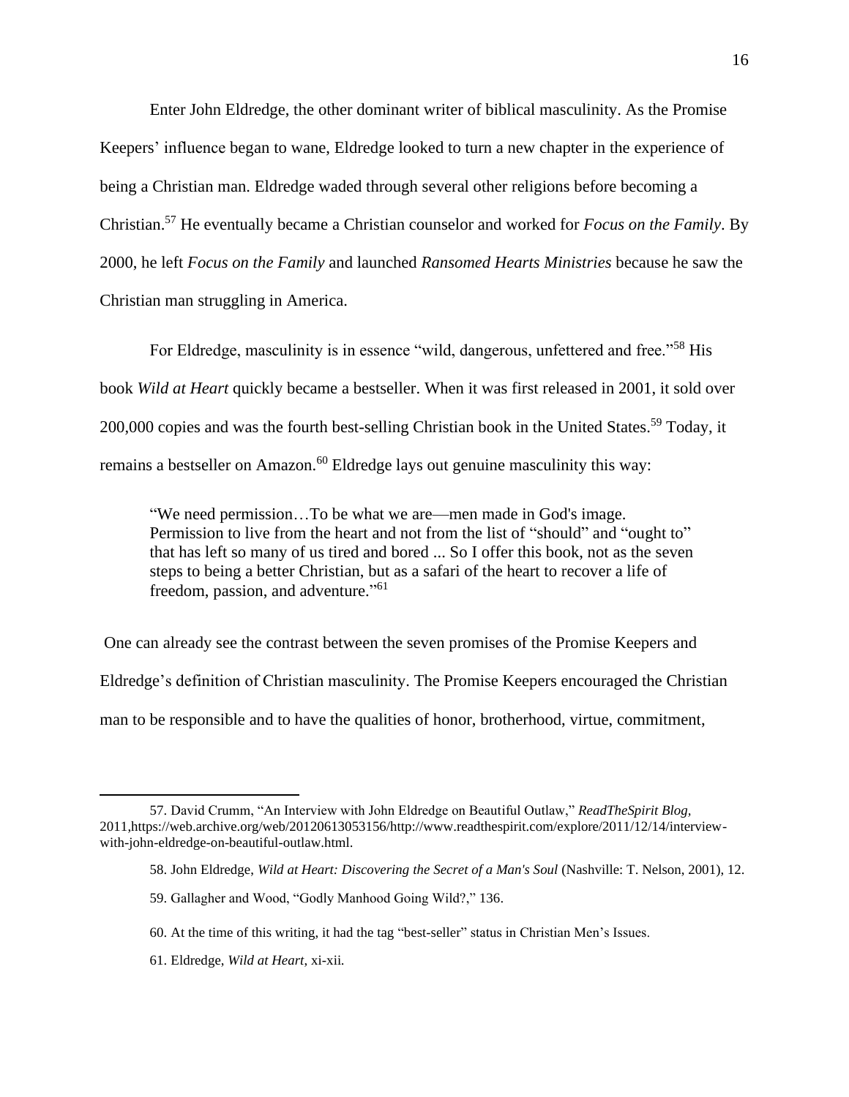Enter John Eldredge, the other dominant writer of biblical masculinity. As the Promise Keepers' influence began to wane, Eldredge looked to turn a new chapter in the experience of being a Christian man. Eldredge waded through several other religions before becoming a Christian.<sup>57</sup> He eventually became a Christian counselor and worked for *Focus on the Family*. By 2000, he left *Focus on the Family* and launched *Ransomed Hearts Ministries* because he saw the Christian man struggling in America.

For Eldredge, masculinity is in essence "wild, dangerous, unfettered and free."<sup>58</sup> His book *Wild at Heart* quickly became a bestseller. When it was first released in 2001, it sold over 200,000 copies and was the fourth best-selling Christian book in the United States.<sup>59</sup> Today, it remains a bestseller on Amazon.<sup>60</sup> Eldredge lays out genuine masculinity this way:

"We need permission…To be what we are—men made in God's image. Permission to live from the heart and not from the list of "should" and "ought to" that has left so many of us tired and bored ... So I offer this book, not as the seven steps to being a better Christian, but as a safari of the heart to recover a life of freedom, passion, and adventure."<sup>61</sup>

One can already see the contrast between the seven promises of the Promise Keepers and Eldredge's definition of Christian masculinity. The Promise Keepers encouraged the Christian man to be responsible and to have the qualities of honor, brotherhood, virtue, commitment,

61. Eldredge, *Wild at Heart*, xi-xii.

<sup>57.</sup> David Crumm, "An Interview with John Eldredge on Beautiful Outlaw," *ReadTheSpirit Blog,* 2011,https://web.archive.org/web/20120613053156/http://www.readthespirit.com/explore/2011/12/14/interviewwith-john-eldredge-on-beautiful-outlaw.html.

<sup>58.</sup> John Eldredge, *Wild at Heart: Discovering the Secret of a Man's Soul* (Nashville: T. Nelson, 2001), 12.

<sup>59.</sup> Gallagher and Wood, "Godly Manhood Going Wild?," 136.

<sup>60.</sup> At the time of this writing, it had the tag "best-seller" status in Christian Men's Issues.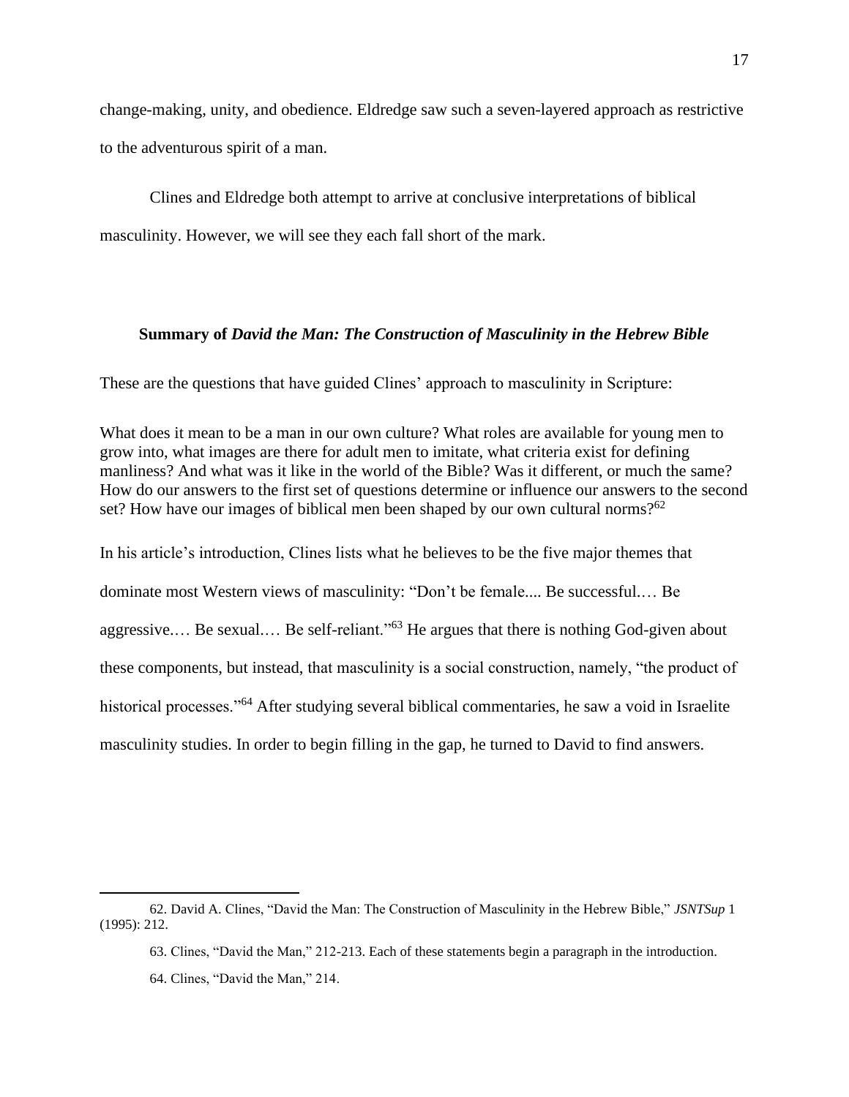change-making, unity, and obedience. Eldredge saw such a seven-layered approach as restrictive to the adventurous spirit of a man.

Clines and Eldredge both attempt to arrive at conclusive interpretations of biblical masculinity. However, we will see they each fall short of the mark.

## **Summary of** *David the Man: The Construction of Masculinity in the Hebrew Bible*

These are the questions that have guided Clines' approach to masculinity in Scripture:

What does it mean to be a man in our own culture? What roles are available for young men to grow into, what images are there for adult men to imitate, what criteria exist for defining manliness? And what was it like in the world of the Bible? Was it different, or much the same? How do our answers to the first set of questions determine or influence our answers to the second set? How have our images of biblical men been shaped by our own cultural norms?<sup>62</sup>

In his article's introduction, Clines lists what he believes to be the five major themes that dominate most Western views of masculinity: "Don't be female.... Be successful.… Be aggressive.... Be sexual.... Be self-reliant."<sup>63</sup> He argues that there is nothing God-given about these components, but instead, that masculinity is a social construction, namely, "the product of historical processes."<sup>64</sup> After studying several biblical commentaries, he saw a void in Israelite masculinity studies. In order to begin filling in the gap, he turned to David to find answers.

<sup>62.</sup> David A. Clines, "David the Man: The Construction of Masculinity in the Hebrew Bible," *JSNTSup* 1 (1995): 212.

<sup>63.</sup> Clines, "David the Man," 212-213. Each of these statements begin a paragraph in the introduction.

<sup>64.</sup> Clines, "David the Man," 214.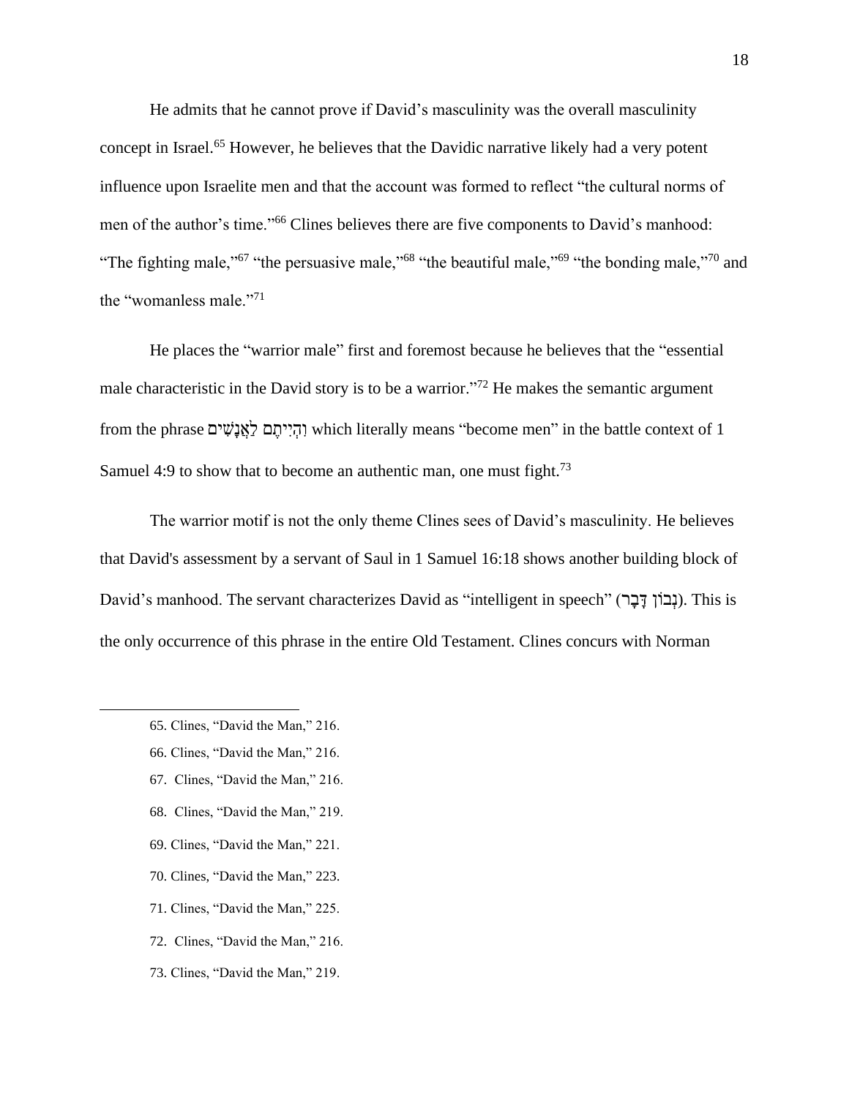He admits that he cannot prove if David's masculinity was the overall masculinity concept in Israel.<sup>65</sup> However, he believes that the Davidic narrative likely had a very potent influence upon Israelite men and that the account was formed to reflect "the cultural norms of men of the author's time."<sup>66</sup> Clines believes there are five components to David's manhood: "The fighting male,"<sup>67</sup> "the persuasive male,"<sup>68</sup> "the beautiful male,"<sup>69</sup> "the bonding male,"<sup>70</sup> and the "womanless male."<sup>71</sup>

He places the "warrior male" first and foremost because he believes that the "essential male characteristic in the David story is to be a warrior.<sup>772</sup> He makes the semantic argument from the phrase וְהִייחֵם לְאֲנָשִׁים which literally means "become men" in the battle context of 1 Samuel 4:9 to show that to become an authentic man, one must fight.<sup>73</sup>

The warrior motif is not the only theme Clines sees of David's masculinity. He believes that David's assessment by a servant of Saul in 1 Samuel 16:18 shows another building block of David's manhood. The servant characterizes David as "intelligent in speech" (נְבוֹן דָּבָר). This is the only occurrence of this phrase in the entire Old Testament. Clines concurs with Norman

- 66. Clines, "David the Man," 216.
- 67. Clines, "David the Man," 216.
- 68. Clines, "David the Man," 219.
- 69. Clines, "David the Man," 221.
- 70. Clines, "David the Man," 223.
- 71. Clines, "David the Man," 225.
- 72. Clines, "David the Man," 216.
- 73. Clines, "David the Man," 219.

<sup>65.</sup> Clines, "David the Man," 216.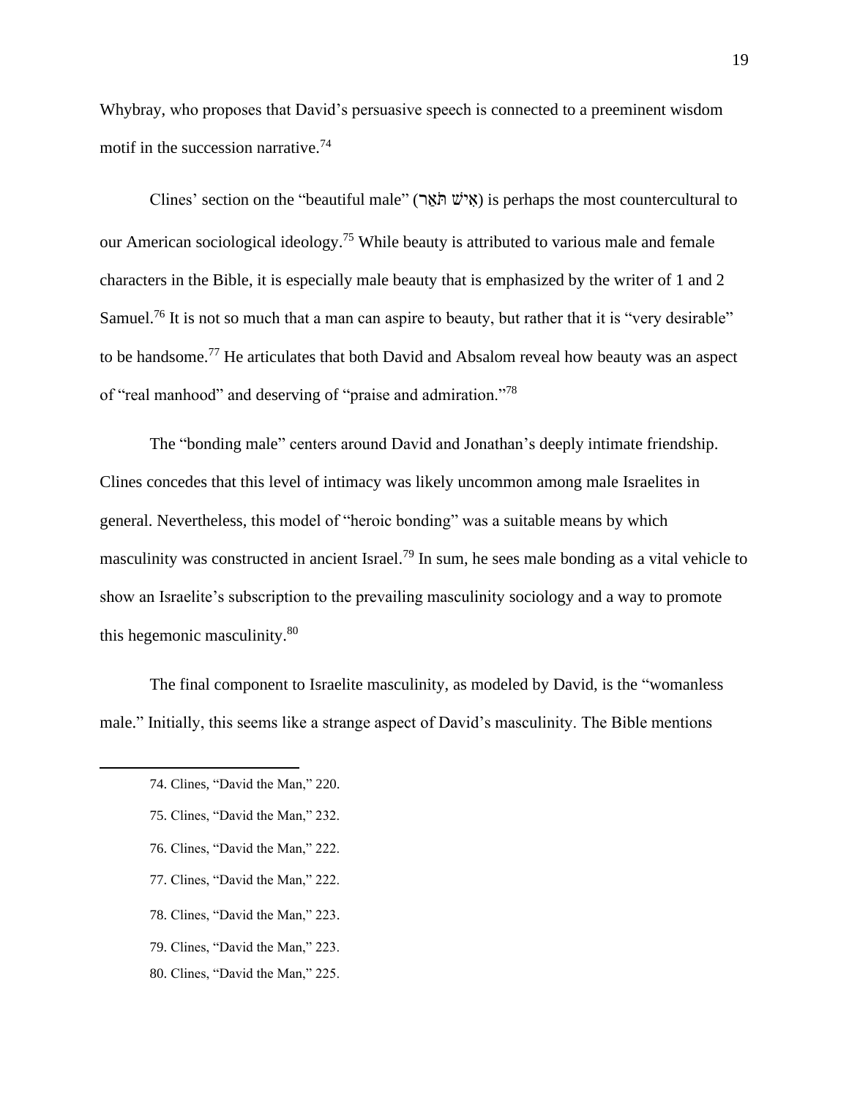Whybray, who proposes that David's persuasive speech is connected to a preeminent wisdom motif in the succession narrative.<sup>74</sup>

Clines' section on the "beautiful male" (א<sup>ָרֹעֵ</sup> תֹּאֲר) is perhaps the most countercultural to our American sociological ideology.<sup>75</sup> While beauty is attributed to various male and female characters in the Bible, it is especially male beauty that is emphasized by the writer of 1 and 2 Samuel.<sup>76</sup> It is not so much that a man can aspire to beauty, but rather that it is "very desirable" to be handsome.<sup>77</sup> He articulates that both David and Absalom reveal how beauty was an aspect of "real manhood" and deserving of "praise and admiration."<sup>78</sup>

The "bonding male" centers around David and Jonathan's deeply intimate friendship. Clines concedes that this level of intimacy was likely uncommon among male Israelites in general. Nevertheless, this model of "heroic bonding" was a suitable means by which masculinity was constructed in ancient Israel.<sup>79</sup> In sum, he sees male bonding as a vital vehicle to show an Israelite's subscription to the prevailing masculinity sociology and a way to promote this hegemonic masculinity.<sup>80</sup>

The final component to Israelite masculinity, as modeled by David, is the "womanless male." Initially, this seems like a strange aspect of David's masculinity. The Bible mentions

- 75. Clines, "David the Man," 232.
- 76. Clines, "David the Man," 222.
- 77. Clines, "David the Man," 222.
- 78. Clines, "David the Man," 223.
- 79. Clines, "David the Man," 223.
- 80. Clines, "David the Man," 225.

<sup>74.</sup> Clines, "David the Man," 220.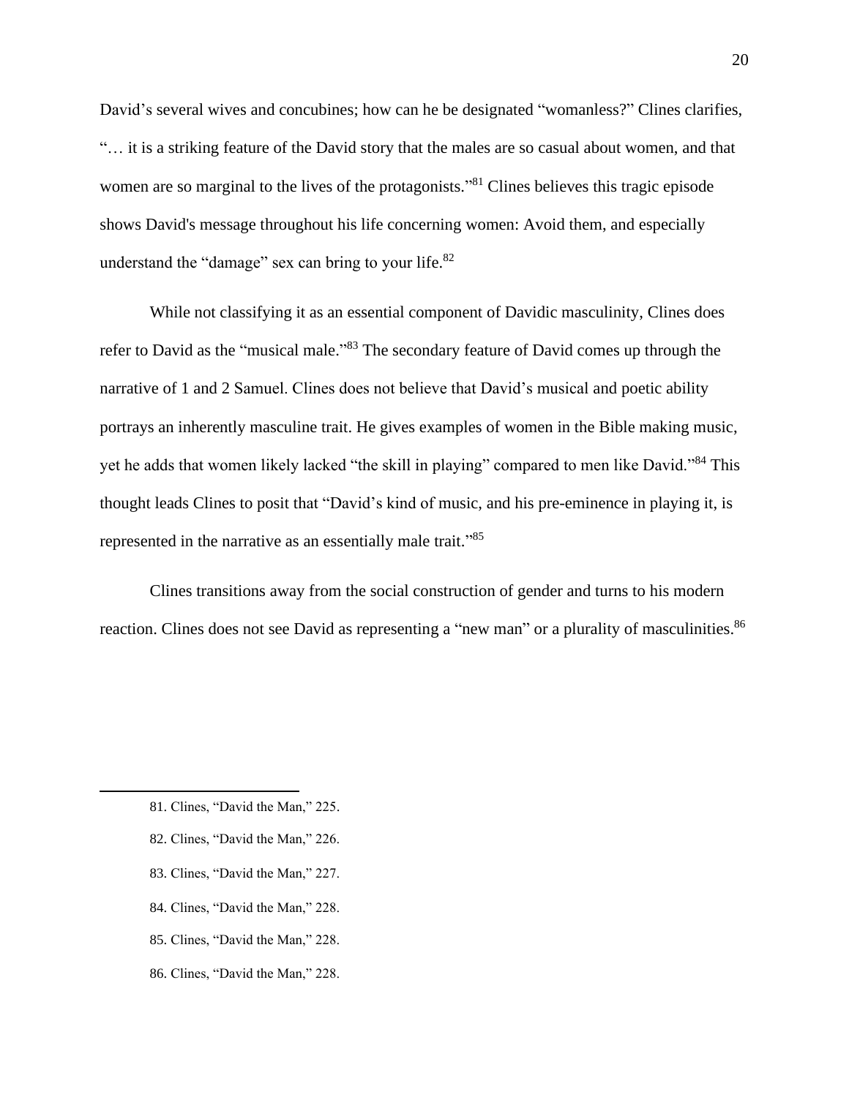David's several wives and concubines; how can he be designated "womanless?" Clines clarifies, "… it is a striking feature of the David story that the males are so casual about women, and that women are so marginal to the lives of the protagonists."<sup>81</sup> Clines believes this tragic episode shows David's message throughout his life concerning women: Avoid them, and especially understand the "damage" sex can bring to your life.<sup>82</sup>

While not classifying it as an essential component of Davidic masculinity, Clines does refer to David as the "musical male."<sup>83</sup> The secondary feature of David comes up through the narrative of 1 and 2 Samuel. Clines does not believe that David's musical and poetic ability portrays an inherently masculine trait. He gives examples of women in the Bible making music, yet he adds that women likely lacked "the skill in playing" compared to men like David."<sup>84</sup> This thought leads Clines to posit that "David's kind of music, and his pre-eminence in playing it, is represented in the narrative as an essentially male trait."<sup>85</sup>

Clines transitions away from the social construction of gender and turns to his modern reaction. Clines does not see David as representing a "new man" or a plurality of masculinities.<sup>86</sup>

- 82. Clines, "David the Man," 226.
- 83. Clines, "David the Man," 227.
- 84. Clines, "David the Man," 228.
- 85. Clines, "David the Man," 228.
- 86. Clines, "David the Man," 228.

<sup>81.</sup> Clines, "David the Man," 225.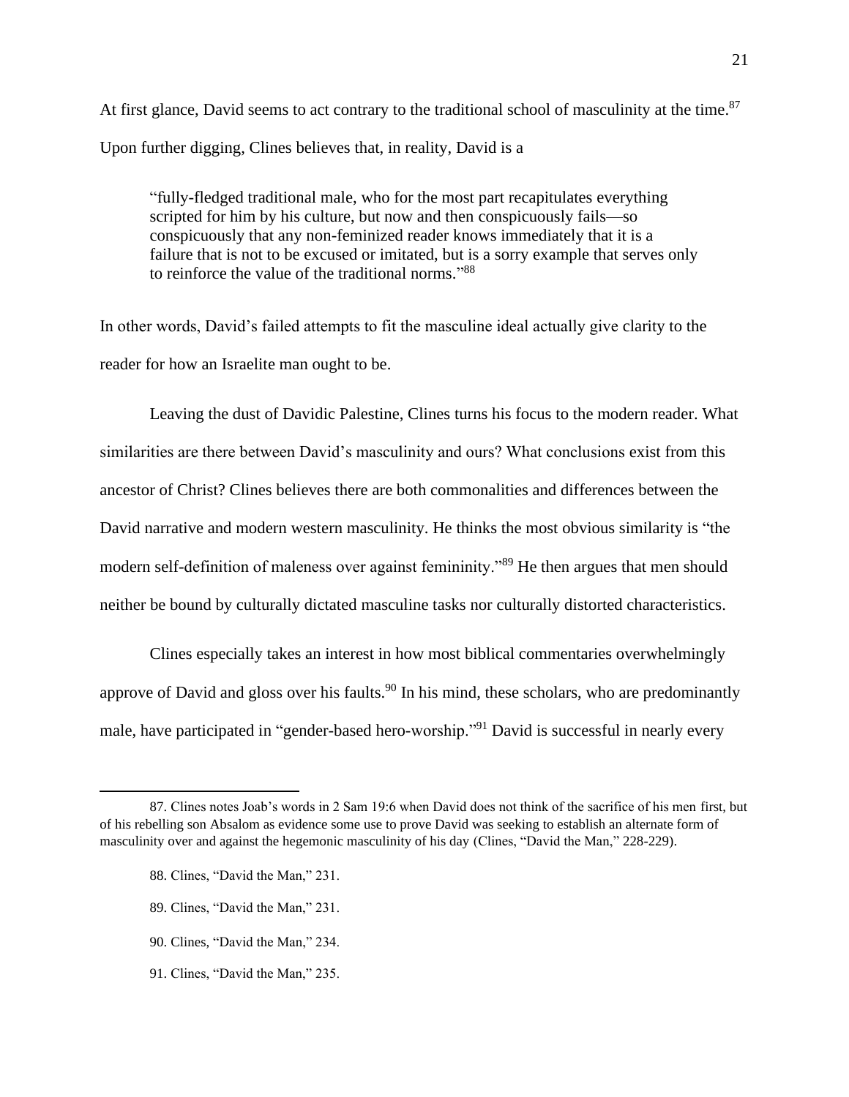At first glance, David seems to act contrary to the traditional school of masculinity at the time.<sup>87</sup> Upon further digging, Clines believes that, in reality, David is a

"fully-fledged traditional male, who for the most part recapitulates everything scripted for him by his culture, but now and then conspicuously fails—so conspicuously that any non-feminized reader knows immediately that it is a failure that is not to be excused or imitated, but is a sorry example that serves only to reinforce the value of the traditional norms."88

In other words, David's failed attempts to fit the masculine ideal actually give clarity to the reader for how an Israelite man ought to be.

Leaving the dust of Davidic Palestine, Clines turns his focus to the modern reader. What similarities are there between David's masculinity and ours? What conclusions exist from this ancestor of Christ? Clines believes there are both commonalities and differences between the David narrative and modern western masculinity. He thinks the most obvious similarity is "the modern self-definition of maleness over against femininity.<sup>89</sup> He then argues that men should neither be bound by culturally dictated masculine tasks nor culturally distorted characteristics.

Clines especially takes an interest in how most biblical commentaries overwhelmingly approve of David and gloss over his faults.<sup>90</sup> In his mind, these scholars, who are predominantly male, have participated in "gender-based hero-worship."<sup>91</sup> David is successful in nearly every

- 89. Clines, "David the Man," 231.
- 90. Clines, "David the Man," 234.
- 91. Clines, "David the Man," 235.

<sup>87.</sup> Clines notes Joab's words in 2 Sam 19:6 when David does not think of the sacrifice of his men first, but of his rebelling son Absalom as evidence some use to prove David was seeking to establish an alternate form of masculinity over and against the hegemonic masculinity of his day (Clines, "David the Man," 228-229).

<sup>88.</sup> Clines, "David the Man," 231.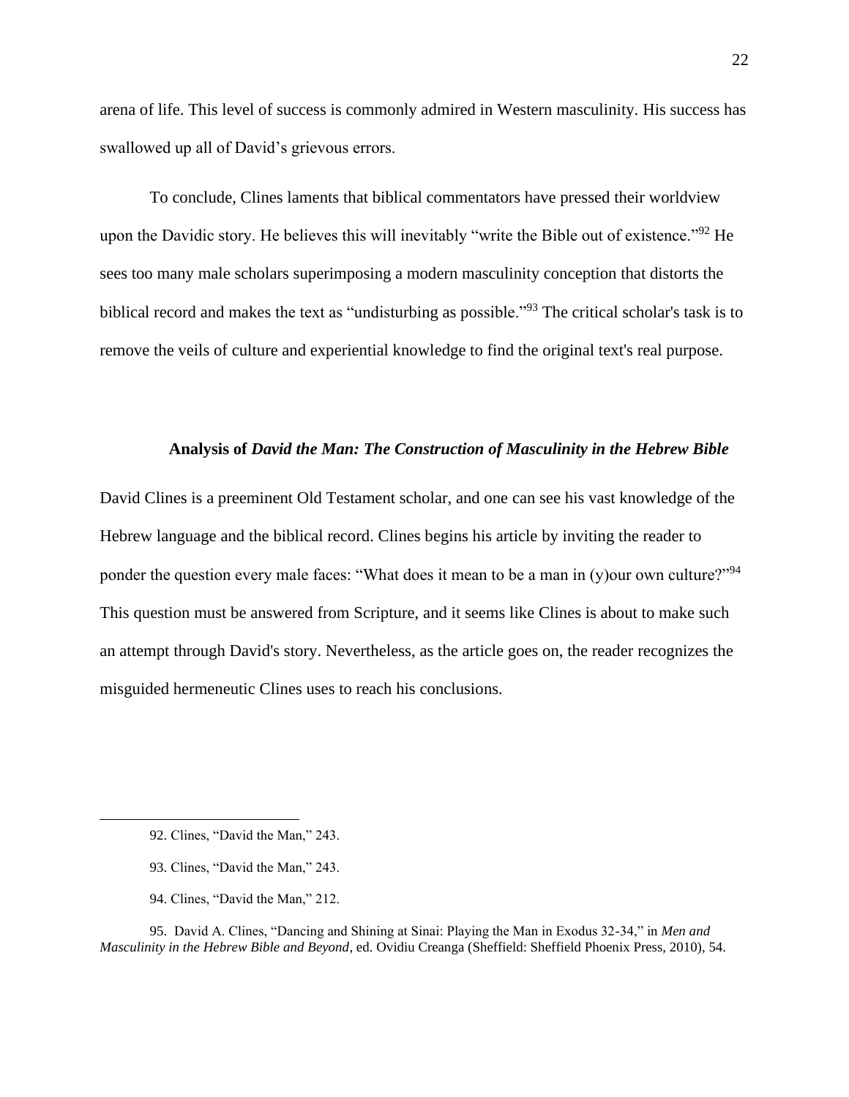arena of life. This level of success is commonly admired in Western masculinity. His success has swallowed up all of David's grievous errors.

To conclude, Clines laments that biblical commentators have pressed their worldview upon the Davidic story. He believes this will inevitably "write the Bible out of existence."<sup>92</sup> He sees too many male scholars superimposing a modern masculinity conception that distorts the biblical record and makes the text as "undisturbing as possible."<sup>93</sup> The critical scholar's task is to remove the veils of culture and experiential knowledge to find the original text's real purpose.

#### **Analysis of** *David the Man: The Construction of Masculinity in the Hebrew Bible*

David Clines is a preeminent Old Testament scholar, and one can see his vast knowledge of the Hebrew language and the biblical record. Clines begins his article by inviting the reader to ponder the question every male faces: "What does it mean to be a man in (y)our own culture?"<sup>94</sup> This question must be answered from Scripture, and it seems like Clines is about to make such an attempt through David's story. Nevertheless, as the article goes on, the reader recognizes the misguided hermeneutic Clines uses to reach his conclusions.

- 93. Clines, "David the Man," 243.
- 94. Clines, "David the Man," 212.

95. David A. Clines, "Dancing and Shining at Sinai: Playing the Man in Exodus 32-34," in *Men and Masculinity in the Hebrew Bible and Beyond*, ed. Ovidiu Creanga (Sheffield: Sheffield Phoenix Press, 2010), 54.

<sup>92.</sup> Clines, "David the Man," 243.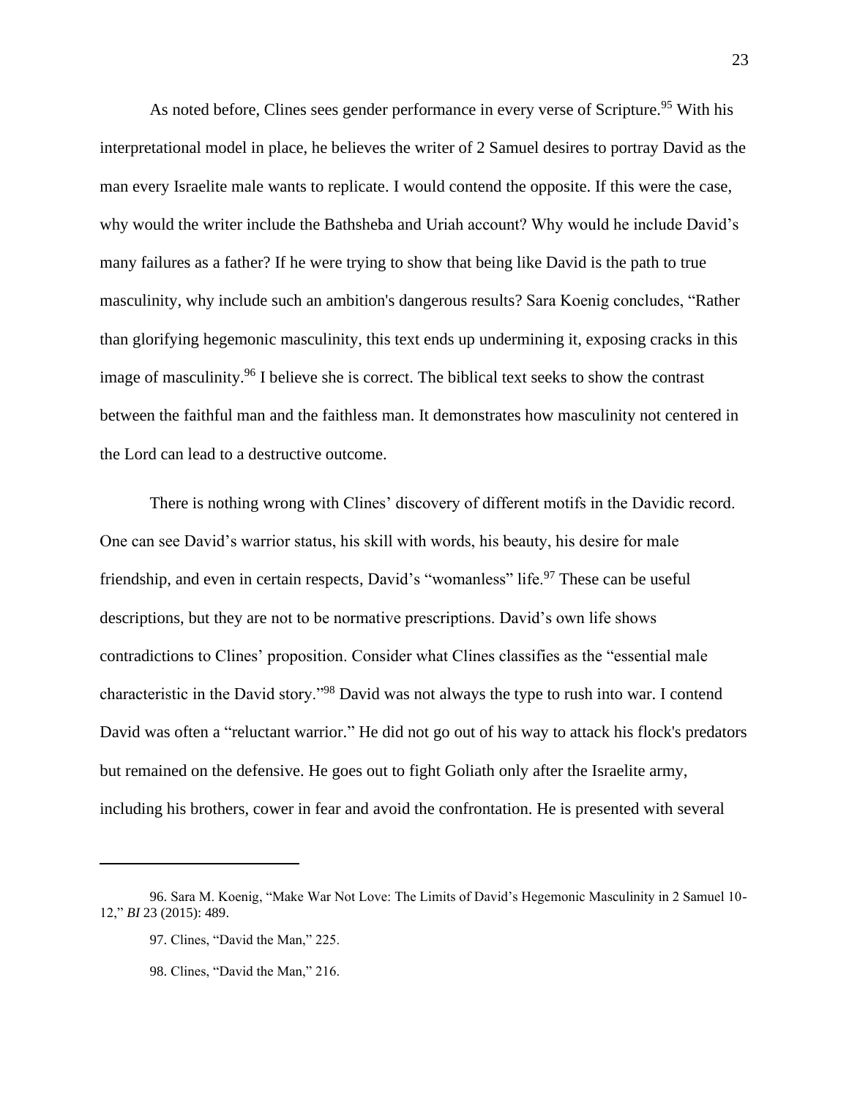As noted before, Clines sees gender performance in every verse of Scripture.<sup>95</sup> With his interpretational model in place, he believes the writer of 2 Samuel desires to portray David as the man every Israelite male wants to replicate. I would contend the opposite. If this were the case, why would the writer include the Bathsheba and Uriah account? Why would he include David's many failures as a father? If he were trying to show that being like David is the path to true masculinity, why include such an ambition's dangerous results? Sara Koenig concludes, "Rather than glorifying hegemonic masculinity, this text ends up undermining it, exposing cracks in this image of masculinity.<sup>96</sup> I believe she is correct. The biblical text seeks to show the contrast between the faithful man and the faithless man. It demonstrates how masculinity not centered in the Lord can lead to a destructive outcome.

There is nothing wrong with Clines' discovery of different motifs in the Davidic record. One can see David's warrior status, his skill with words, his beauty, his desire for male friendship, and even in certain respects, David's "womanless" life.<sup>97</sup> These can be useful descriptions, but they are not to be normative prescriptions. David's own life shows contradictions to Clines' proposition. Consider what Clines classifies as the "essential male characteristic in the David story."<sup>98</sup> David was not always the type to rush into war. I contend David was often a "reluctant warrior." He did not go out of his way to attack his flock's predators but remained on the defensive. He goes out to fight Goliath only after the Israelite army, including his brothers, cower in fear and avoid the confrontation. He is presented with several

<sup>96.</sup> Sara M. Koenig, "Make War Not Love: The Limits of David's Hegemonic Masculinity in 2 Samuel 10- 12," *BI* 23 (2015): 489.

<sup>97.</sup> Clines, "David the Man," 225.

<sup>98.</sup> Clines, "David the Man," 216.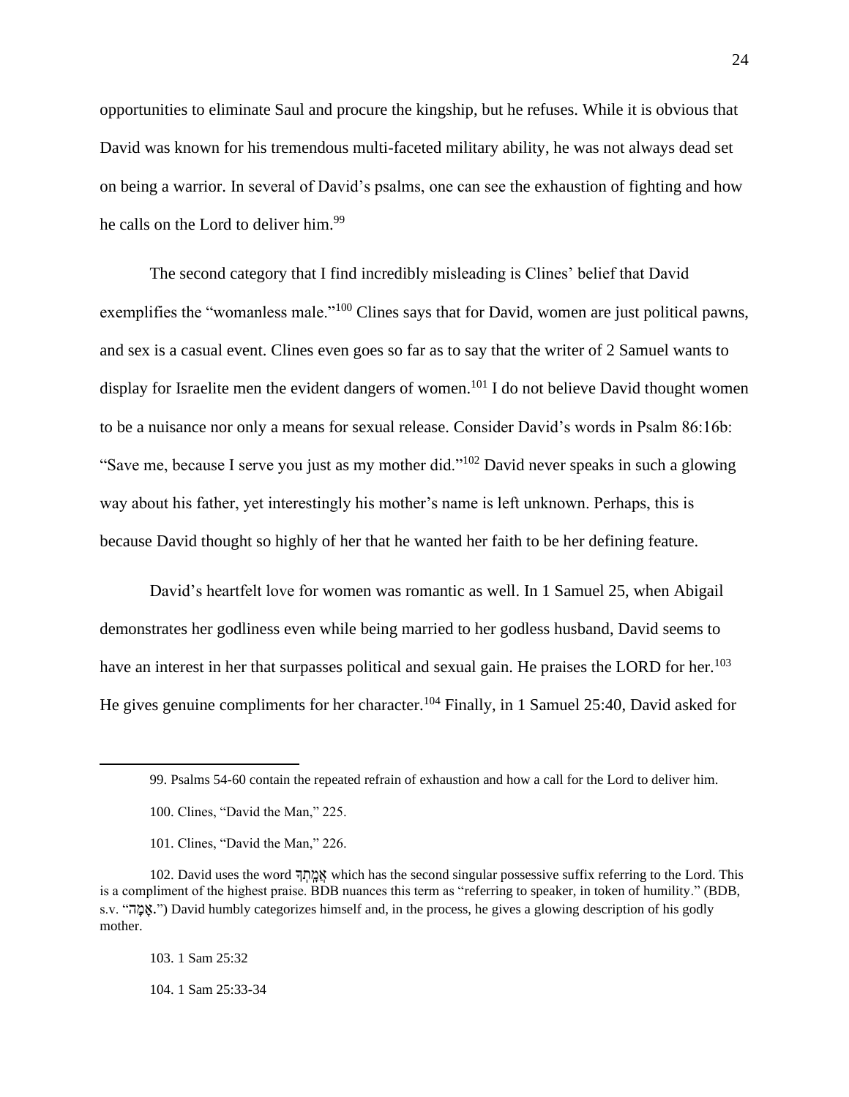opportunities to eliminate Saul and procure the kingship, but he refuses. While it is obvious that David was known for his tremendous multi-faceted military ability, he was not always dead set on being a warrior. In several of David's psalms, one can see the exhaustion of fighting and how he calls on the Lord to deliver him. 99

The second category that I find incredibly misleading is Clines' belief that David exemplifies the "womanless male."<sup>100</sup> Clines says that for David, women are just political pawns, and sex is a casual event. Clines even goes so far as to say that the writer of 2 Samuel wants to display for Israelite men the evident dangers of women.<sup>101</sup> I do not believe David thought women to be a nuisance nor only a means for sexual release. Consider David's words in Psalm 86:16b: "Save me, because I serve you just as my mother did."<sup>102</sup> David never speaks in such a glowing way about his father, yet interestingly his mother's name is left unknown. Perhaps, this is because David thought so highly of her that he wanted her faith to be her defining feature.

David's heartfelt love for women was romantic as well. In 1 Samuel 25, when Abigail demonstrates her godliness even while being married to her godless husband, David seems to have an interest in her that surpasses political and sexual gain. He praises the LORD for her.<sup>103</sup> He gives genuine compliments for her character.<sup>104</sup> Finally, in 1 Samuel 25:40, David asked for

101. Clines, "David the Man," 226.

103. 1 Sam 25:32

104. 1 Sam 25:33-34

<sup>99.</sup> Psalms 54-60 contain the repeated refrain of exhaustion and how a call for the Lord to deliver him.

<sup>100.</sup> Clines, "David the Man," 225.

<sup>102.</sup> David uses the word ךָ ְת ָֽ מֲא which has the second singular possessive suffix referring to the Lord. This is a compliment of the highest praise. BDB nuances this term as "referring to speaker, in token of humility." (BDB, s.v. "ה מ א. ("David humbly categorizes himself and, in the process, he gives a glowing description of his godly mother.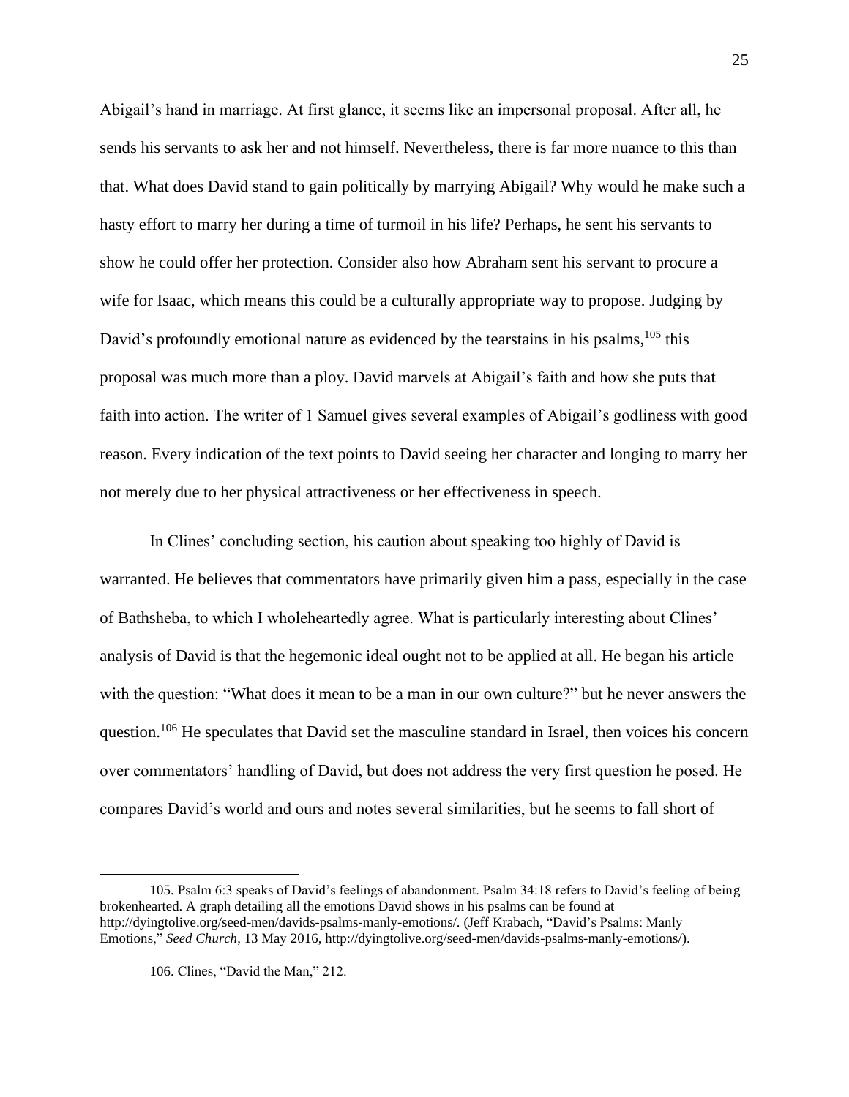Abigail's hand in marriage. At first glance, it seems like an impersonal proposal. After all, he sends his servants to ask her and not himself. Nevertheless, there is far more nuance to this than that. What does David stand to gain politically by marrying Abigail? Why would he make such a hasty effort to marry her during a time of turmoil in his life? Perhaps, he sent his servants to show he could offer her protection. Consider also how Abraham sent his servant to procure a wife for Isaac, which means this could be a culturally appropriate way to propose. Judging by David's profoundly emotional nature as evidenced by the tearstains in his psalms, <sup>105</sup> this proposal was much more than a ploy. David marvels at Abigail's faith and how she puts that faith into action. The writer of 1 Samuel gives several examples of Abigail's godliness with good reason. Every indication of the text points to David seeing her character and longing to marry her not merely due to her physical attractiveness or her effectiveness in speech.

In Clines' concluding section, his caution about speaking too highly of David is warranted. He believes that commentators have primarily given him a pass, especially in the case of Bathsheba, to which I wholeheartedly agree. What is particularly interesting about Clines' analysis of David is that the hegemonic ideal ought not to be applied at all. He began his article with the question: "What does it mean to be a man in our own culture?" but he never answers the question.<sup>106</sup> He speculates that David set the masculine standard in Israel, then voices his concern over commentators' handling of David, but does not address the very first question he posed. He compares David's world and ours and notes several similarities, but he seems to fall short of

<sup>105.</sup> Psalm 6:3 speaks of David's feelings of abandonment. Psalm 34:18 refers to David's feeling of being brokenhearted. A graph detailing all the emotions David shows in his psalms can be found at http://dyingtolive.org/seed-men/davids-psalms-manly-emotions/. (Jeff Krabach, "David's Psalms: Manly Emotions," *Seed Church*, 13 May 2016, http://dyingtolive.org/seed-men/davids-psalms-manly-emotions/).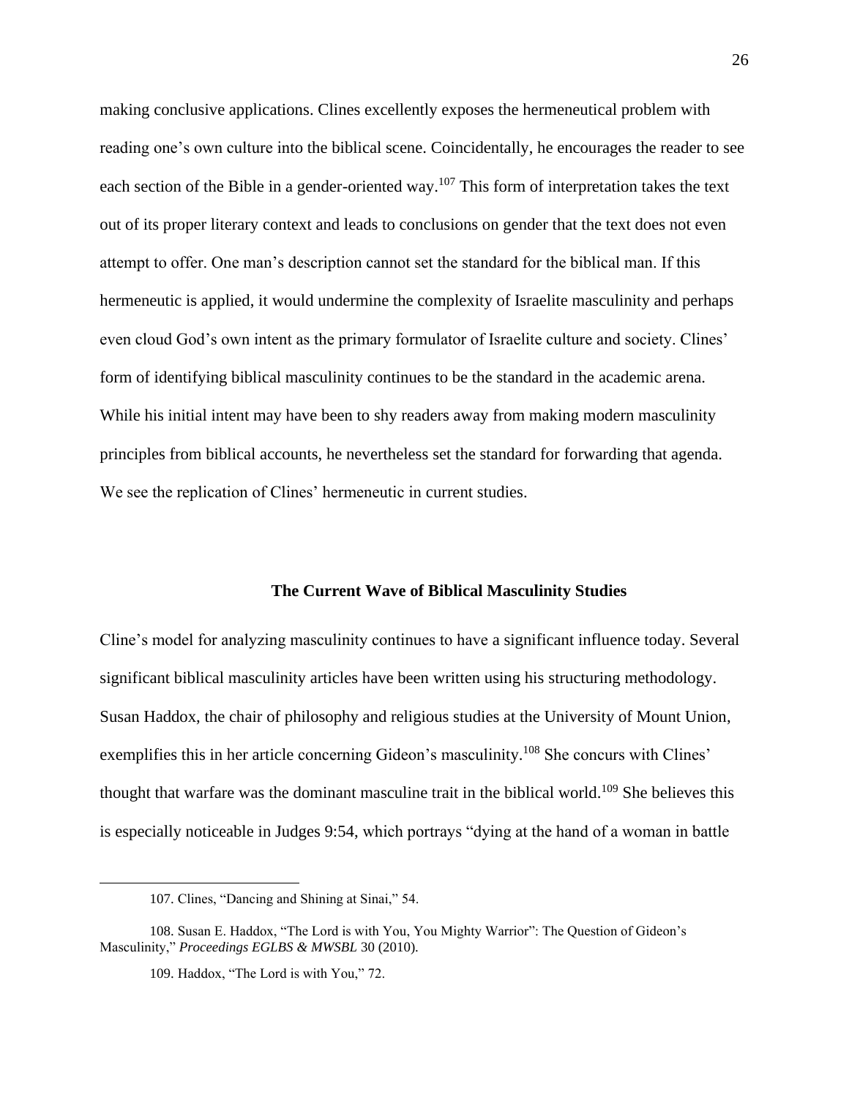making conclusive applications. Clines excellently exposes the hermeneutical problem with reading one's own culture into the biblical scene. Coincidentally, he encourages the reader to see each section of the Bible in a gender-oriented way.<sup>107</sup> This form of interpretation takes the text out of its proper literary context and leads to conclusions on gender that the text does not even attempt to offer. One man's description cannot set the standard for the biblical man. If this hermeneutic is applied, it would undermine the complexity of Israelite masculinity and perhaps even cloud God's own intent as the primary formulator of Israelite culture and society. Clines' form of identifying biblical masculinity continues to be the standard in the academic arena. While his initial intent may have been to shy readers away from making modern masculinity principles from biblical accounts, he nevertheless set the standard for forwarding that agenda. We see the replication of Clines' hermeneutic in current studies.

#### **The Current Wave of Biblical Masculinity Studies**

Cline's model for analyzing masculinity continues to have a significant influence today. Several significant biblical masculinity articles have been written using his structuring methodology. Susan Haddox, the chair of philosophy and religious studies at the University of Mount Union, exemplifies this in her article concerning Gideon's masculinity.<sup>108</sup> She concurs with Clines' thought that warfare was the dominant masculine trait in the biblical world.<sup>109</sup> She believes this is especially noticeable in Judges 9:54, which portrays "dying at the hand of a woman in battle

<sup>107.</sup> Clines, "Dancing and Shining at Sinai," 54.

<sup>108.</sup> Susan E. Haddox, "The Lord is with You, You Mighty Warrior": The Question of Gideon's Masculinity," *Proceedings EGLBS & MWSBL* 30 (2010).

<sup>109.</sup> Haddox, "The Lord is with You," 72.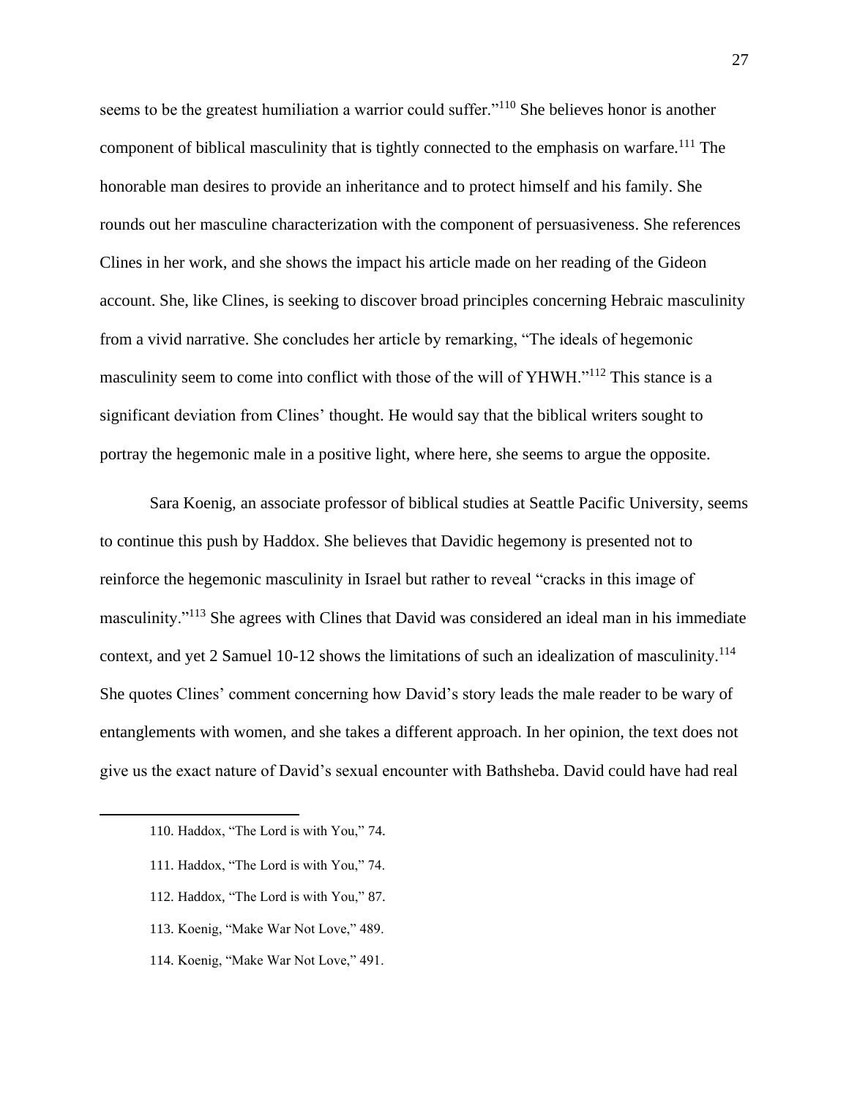seems to be the greatest humiliation a warrior could suffer."<sup>110</sup> She believes honor is another component of biblical masculinity that is tightly connected to the emphasis on warfare.<sup>111</sup> The honorable man desires to provide an inheritance and to protect himself and his family. She rounds out her masculine characterization with the component of persuasiveness. She references Clines in her work, and she shows the impact his article made on her reading of the Gideon account. She, like Clines, is seeking to discover broad principles concerning Hebraic masculinity from a vivid narrative. She concludes her article by remarking, "The ideals of hegemonic masculinity seem to come into conflict with those of the will of YHWH."<sup>112</sup> This stance is a significant deviation from Clines' thought. He would say that the biblical writers sought to portray the hegemonic male in a positive light, where here, she seems to argue the opposite.

Sara Koenig, an associate professor of biblical studies at Seattle Pacific University, seems to continue this push by Haddox. She believes that Davidic hegemony is presented not to reinforce the hegemonic masculinity in Israel but rather to reveal "cracks in this image of masculinity."<sup>113</sup> She agrees with Clines that David was considered an ideal man in his immediate context, and yet 2 Samuel 10-12 shows the limitations of such an idealization of masculinity.<sup>114</sup> She quotes Clines' comment concerning how David's story leads the male reader to be wary of entanglements with women, and she takes a different approach. In her opinion, the text does not give us the exact nature of David's sexual encounter with Bathsheba. David could have had real

- 110. Haddox, "The Lord is with You," 74.
- 111. Haddox, "The Lord is with You," 74.
- 112. Haddox, "The Lord is with You," 87.
- 113. Koenig, "Make War Not Love," 489.
- 114. Koenig, "Make War Not Love," 491.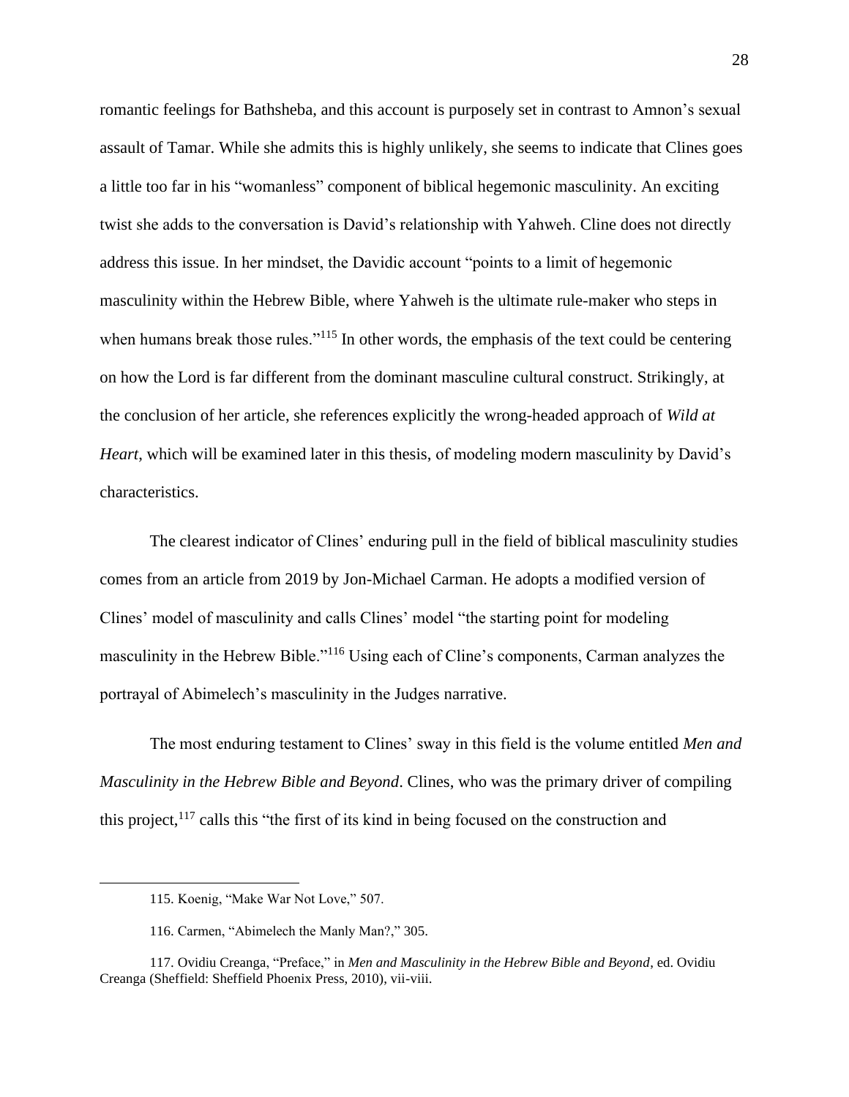romantic feelings for Bathsheba, and this account is purposely set in contrast to Amnon's sexual assault of Tamar. While she admits this is highly unlikely, she seems to indicate that Clines goes a little too far in his "womanless" component of biblical hegemonic masculinity. An exciting twist she adds to the conversation is David's relationship with Yahweh. Cline does not directly address this issue. In her mindset, the Davidic account "points to a limit of hegemonic masculinity within the Hebrew Bible, where Yahweh is the ultimate rule-maker who steps in when humans break those rules."<sup>115</sup> In other words, the emphasis of the text could be centering on how the Lord is far different from the dominant masculine cultural construct. Strikingly, at the conclusion of her article, she references explicitly the wrong-headed approach of *Wild at Heart*, which will be examined later in this thesis, of modeling modern masculinity by David's characteristics.

The clearest indicator of Clines' enduring pull in the field of biblical masculinity studies comes from an article from 2019 by Jon-Michael Carman. He adopts a modified version of Clines' model of masculinity and calls Clines' model "the starting point for modeling masculinity in the Hebrew Bible."<sup>116</sup> Using each of Cline's components, Carman analyzes the portrayal of Abimelech's masculinity in the Judges narrative.

The most enduring testament to Clines' sway in this field is the volume entitled *Men and Masculinity in the Hebrew Bible and Beyond*. Clines, who was the primary driver of compiling this project,<sup>117</sup> calls this "the first of its kind in being focused on the construction and

<sup>115.</sup> Koenig, "Make War Not Love," 507.

<sup>116.</sup> Carmen, "Abimelech the Manly Man?," 305.

<sup>117.</sup> Ovidiu Creanga, "Preface," in *Men and Masculinity in the Hebrew Bible and Beyond*, ed. Ovidiu Creanga (Sheffield: Sheffield Phoenix Press, 2010), vii-viii.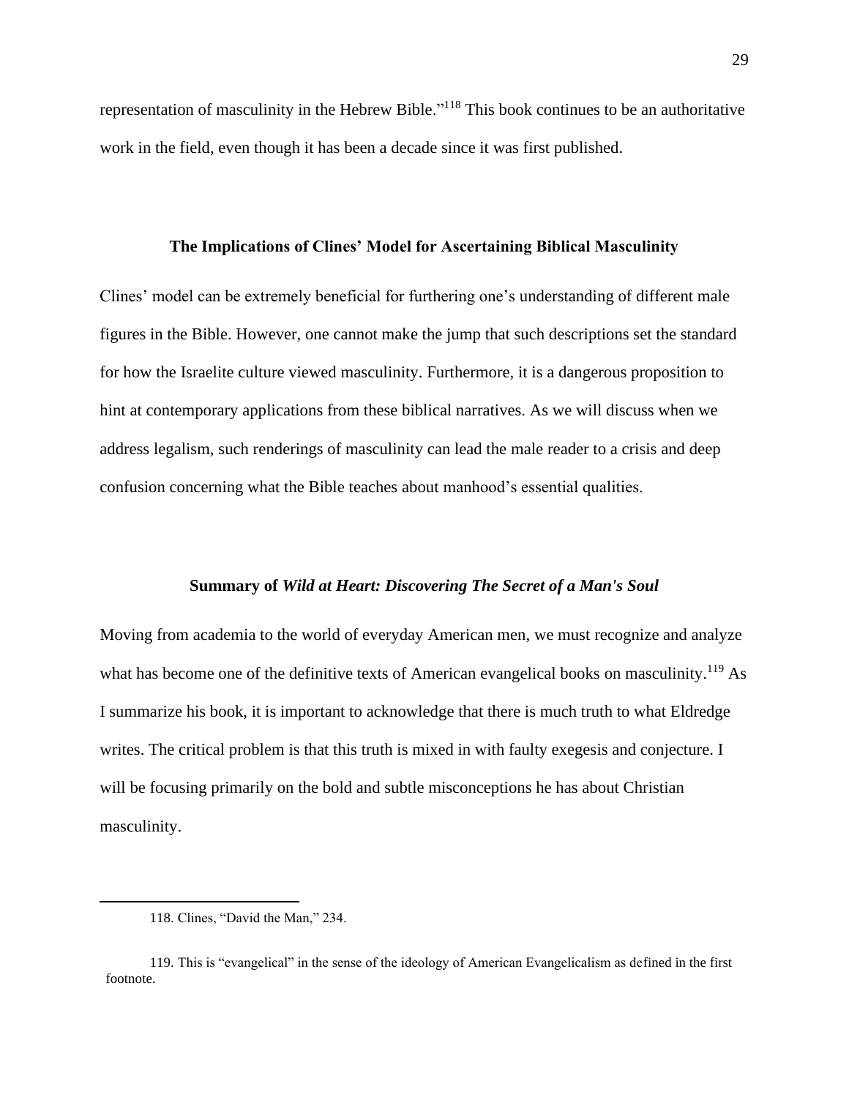representation of masculinity in the Hebrew Bible."<sup>118</sup> This book continues to be an authoritative work in the field, even though it has been a decade since it was first published.

#### **The Implications of Clines' Model for Ascertaining Biblical Masculinity**

Clines' model can be extremely beneficial for furthering one's understanding of different male figures in the Bible. However, one cannot make the jump that such descriptions set the standard for how the Israelite culture viewed masculinity. Furthermore, it is a dangerous proposition to hint at contemporary applications from these biblical narratives. As we will discuss when we address legalism, such renderings of masculinity can lead the male reader to a crisis and deep confusion concerning what the Bible teaches about manhood's essential qualities.

#### **Summary of** *Wild at Heart: Discovering The Secret of a Man's Soul*

Moving from academia to the world of everyday American men, we must recognize and analyze what has become one of the definitive texts of American evangelical books on masculinity.<sup>119</sup> As I summarize his book, it is important to acknowledge that there is much truth to what Eldredge writes. The critical problem is that this truth is mixed in with faulty exegesis and conjecture. I will be focusing primarily on the bold and subtle misconceptions he has about Christian masculinity.

<sup>118.</sup> Clines, "David the Man," 234.

<sup>119.</sup> This is "evangelical" in the sense of the ideology of American Evangelicalism as defined in the first footnote.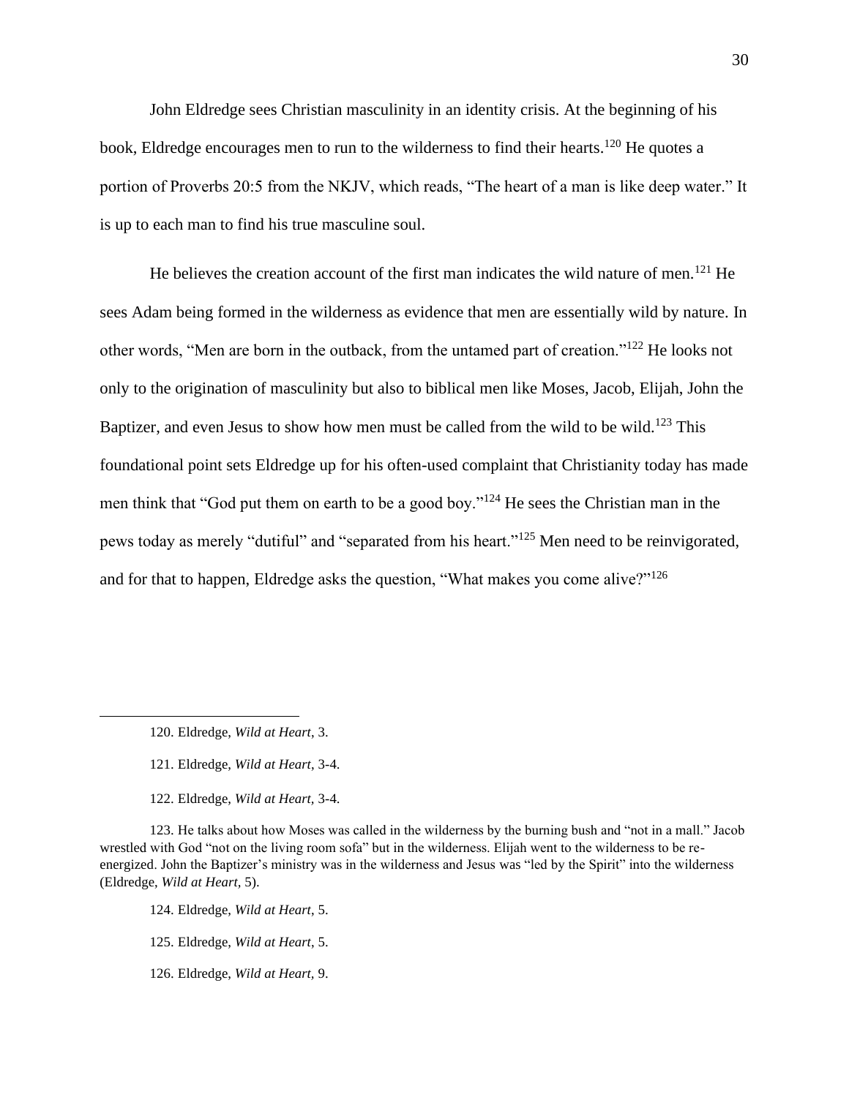John Eldredge sees Christian masculinity in an identity crisis. At the beginning of his book, Eldredge encourages men to run to the wilderness to find their hearts.<sup>120</sup> He quotes a portion of Proverbs 20:5 from the NKJV, which reads, "The heart of a man is like deep water." It is up to each man to find his true masculine soul.

He believes the creation account of the first man indicates the wild nature of men.<sup>121</sup> He sees Adam being formed in the wilderness as evidence that men are essentially wild by nature. In other words, "Men are born in the outback, from the untamed part of creation."<sup>122</sup> He looks not only to the origination of masculinity but also to biblical men like Moses, Jacob, Elijah, John the Baptizer, and even Jesus to show how men must be called from the wild to be wild.<sup>123</sup> This foundational point sets Eldredge up for his often-used complaint that Christianity today has made men think that "God put them on earth to be a good boy."<sup>124</sup> He sees the Christian man in the pews today as merely "dutiful" and "separated from his heart."<sup>125</sup> Men need to be reinvigorated, and for that to happen, Eldredge asks the question, "What makes you come alive?"<sup>126</sup>

122. Eldredge, *Wild at Heart,* 3-4.

123. He talks about how Moses was called in the wilderness by the burning bush and "not in a mall." Jacob wrestled with God "not on the living room sofa" but in the wilderness. Elijah went to the wilderness to be reenergized. John the Baptizer's ministry was in the wilderness and Jesus was "led by the Spirit" into the wilderness (Eldredge, *Wild at Heart,* 5).

- 124. Eldredge, *Wild at Heart*, 5.
- 125. Eldredge, *Wild at Heart*, 5.
- 126. Eldredge, *Wild at Heart,* 9.

<sup>120.</sup> Eldredge, *Wild at Heart*, 3.

<sup>121.</sup> Eldredge, *Wild at Heart*, 3-4.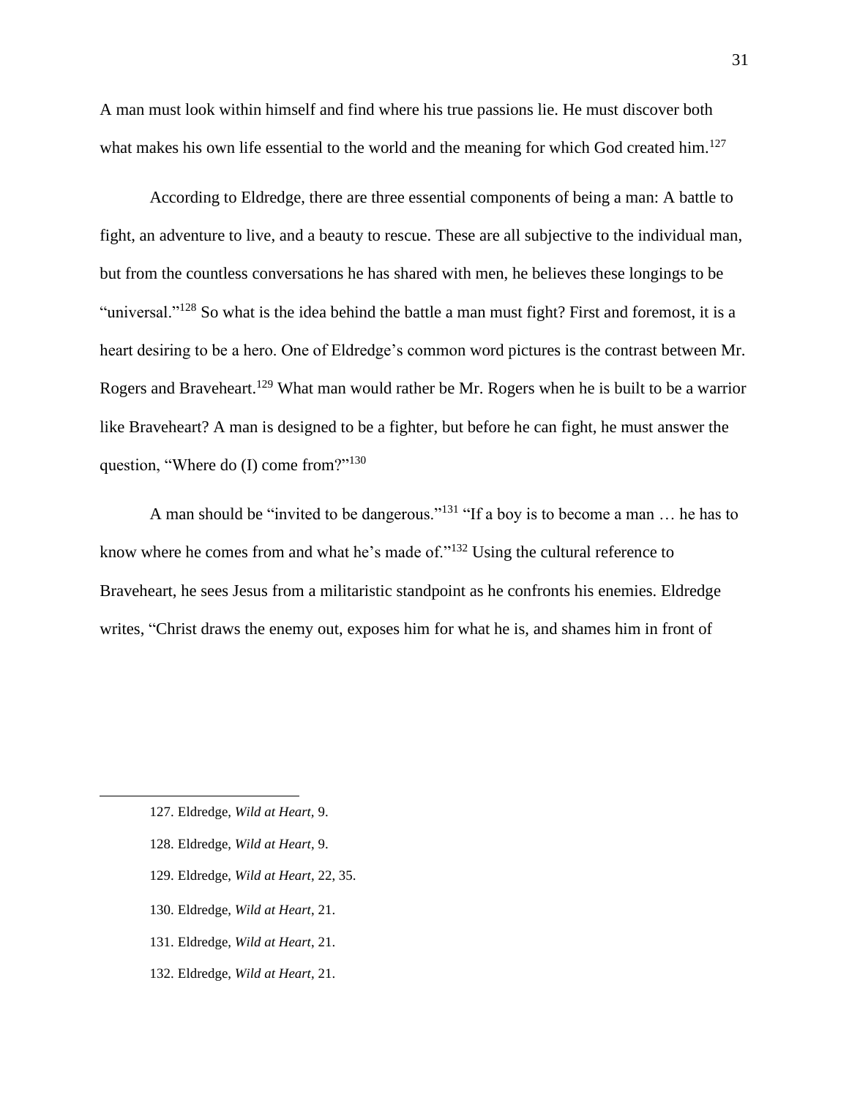A man must look within himself and find where his true passions lie. He must discover both what makes his own life essential to the world and the meaning for which God created him.<sup>127</sup>

According to Eldredge, there are three essential components of being a man: A battle to fight, an adventure to live, and a beauty to rescue. These are all subjective to the individual man, but from the countless conversations he has shared with men, he believes these longings to be "universal."<sup>128</sup> So what is the idea behind the battle a man must fight? First and foremost, it is a heart desiring to be a hero. One of Eldredge's common word pictures is the contrast between Mr. Rogers and Braveheart.<sup>129</sup> What man would rather be Mr. Rogers when he is built to be a warrior like Braveheart? A man is designed to be a fighter, but before he can fight, he must answer the question, "Where do (I) come from?"<sup>130</sup>

A man should be "invited to be dangerous."<sup>131</sup> "If a boy is to become a man … he has to know where he comes from and what he's made of."<sup>132</sup> Using the cultural reference to Braveheart, he sees Jesus from a militaristic standpoint as he confronts his enemies. Eldredge writes, "Christ draws the enemy out, exposes him for what he is, and shames him in front of

- 128. Eldredge, *Wild at Heart*, 9.
- 129. Eldredge, *Wild at Heart*, 22, 35.
- 130. Eldredge, *Wild at Heart*, 21.
- 131. Eldredge, *Wild at Heart*, 21.
- 132. Eldredge, *Wild at Heart*, 21.

<sup>127.</sup> Eldredge, *Wild at Heart,* 9.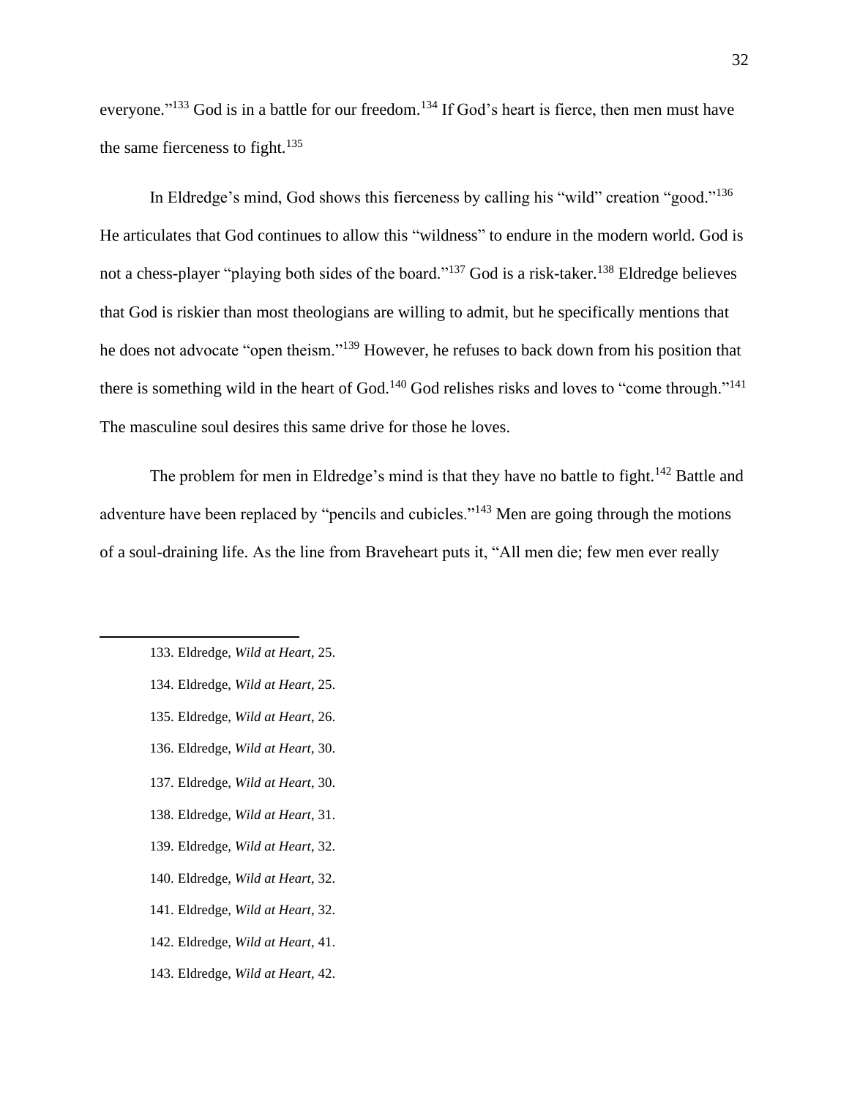everyone."<sup>133</sup> God is in a battle for our freedom.<sup>134</sup> If God's heart is fierce, then men must have the same fierceness to fight. $135$ 

In Eldredge's mind, God shows this fierceness by calling his "wild" creation "good."<sup>136</sup> He articulates that God continues to allow this "wildness" to endure in the modern world. God is not a chess-player "playing both sides of the board."<sup>137</sup> God is a risk-taker.<sup>138</sup> Eldredge believes that God is riskier than most theologians are willing to admit, but he specifically mentions that he does not advocate "open theism."<sup>139</sup> However, he refuses to back down from his position that there is something wild in the heart of God.<sup>140</sup> God relishes risks and loves to "come through."<sup>141</sup> The masculine soul desires this same drive for those he loves.

The problem for men in Eldredge's mind is that they have no battle to fight.<sup>142</sup> Battle and adventure have been replaced by "pencils and cubicles."<sup>143</sup> Men are going through the motions of a soul-draining life. As the line from Braveheart puts it, "All men die; few men ever really

- 133. Eldredge, *Wild at Heart*, 25.
- 134. Eldredge, *Wild at Heart*, 25.
- 135. Eldredge, *Wild at Heart*, 26.
- 136. Eldredge, *Wild at Heart*, 30.
- 137. Eldredge, *Wild at Heart*, 30.
- 138. Eldredge, *Wild at Heart*, 31.
- 139. Eldredge, *Wild at Heart*, 32.
- 140. Eldredge, *Wild at Heart*, 32.
- 141. Eldredge, *Wild at Heart*, 32.
- 142. Eldredge, *Wild at Heart*, 41.
- 143. Eldredge, *Wild at Heart*, 42.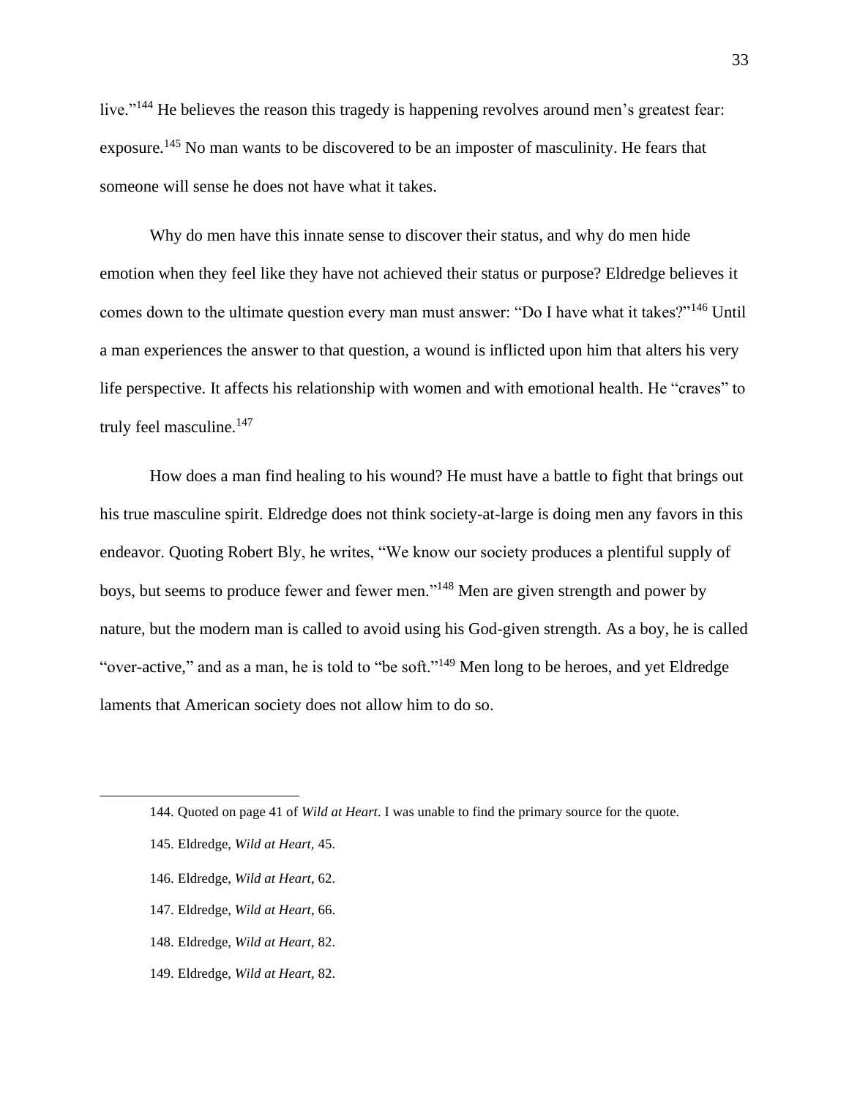live."<sup>144</sup> He believes the reason this tragedy is happening revolves around men's greatest fear: exposure.<sup>145</sup> No man wants to be discovered to be an imposter of masculinity. He fears that someone will sense he does not have what it takes.

Why do men have this innate sense to discover their status, and why do men hide emotion when they feel like they have not achieved their status or purpose? Eldredge believes it comes down to the ultimate question every man must answer: "Do I have what it takes?"<sup>146</sup> Until a man experiences the answer to that question, a wound is inflicted upon him that alters his very life perspective. It affects his relationship with women and with emotional health. He "craves" to truly feel masculine.<sup>147</sup>

How does a man find healing to his wound? He must have a battle to fight that brings out his true masculine spirit. Eldredge does not think society-at-large is doing men any favors in this endeavor. Quoting Robert Bly, he writes, "We know our society produces a plentiful supply of boys, but seems to produce fewer and fewer men."<sup>148</sup> Men are given strength and power by nature, but the modern man is called to avoid using his God-given strength. As a boy, he is called "over-active," and as a man, he is told to "be soft."<sup>149</sup> Men long to be heroes, and yet Eldredge laments that American society does not allow him to do so.

- 145. Eldredge, *Wild at Heart,* 45.
- 146. Eldredge, *Wild at Heart*, 62.
- 147. Eldredge, *Wild at Heart*, 66.
- 148. Eldredge, *Wild at Heart*, 82.
- 149. Eldredge, *Wild at Heart*, 82.

<sup>144.</sup> Quoted on page 41 of *Wild at Heart*. I was unable to find the primary source for the quote.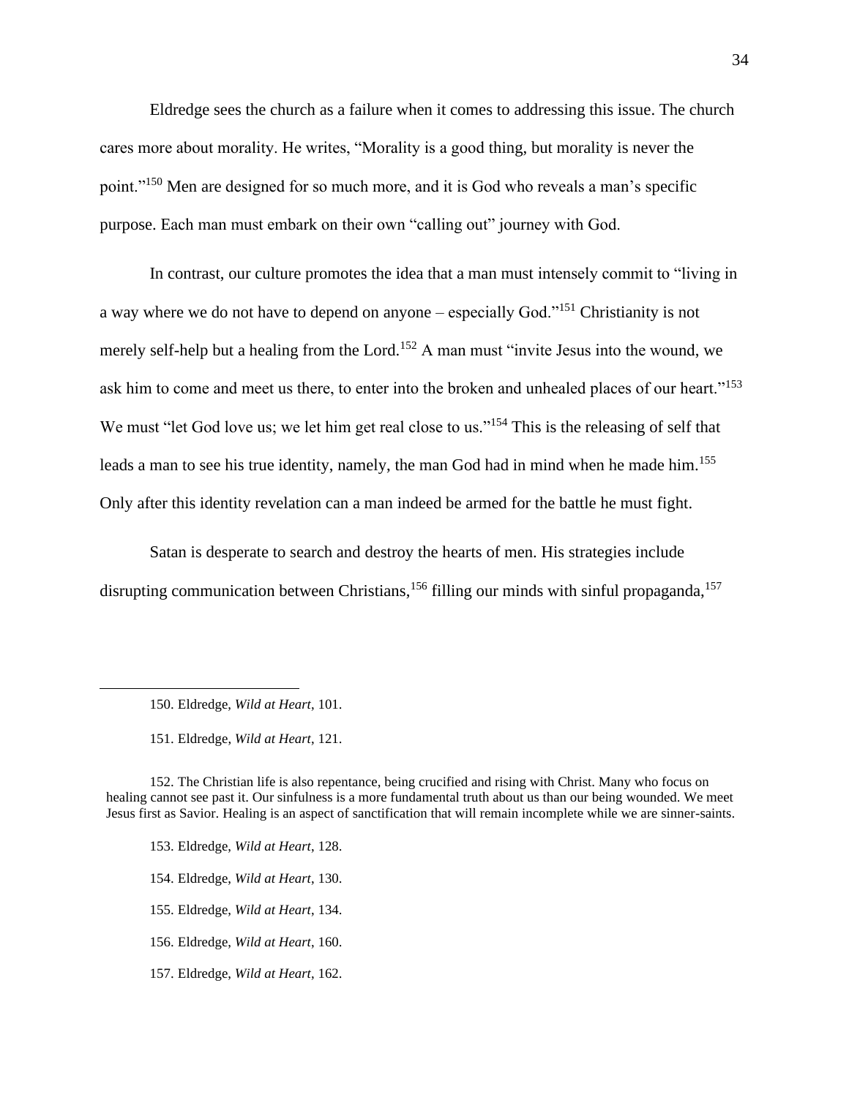Eldredge sees the church as a failure when it comes to addressing this issue. The church cares more about morality. He writes, "Morality is a good thing, but morality is never the point."<sup>150</sup> Men are designed for so much more, and it is God who reveals a man's specific purpose. Each man must embark on their own "calling out" journey with God.

In contrast, our culture promotes the idea that a man must intensely commit to "living in a way where we do not have to depend on anyone – especially God."<sup>151</sup> Christianity is not merely self-help but a healing from the Lord.<sup>152</sup> A man must "invite Jesus into the wound, we ask him to come and meet us there, to enter into the broken and unhealed places of our heart."<sup>153</sup> We must "let God love us; we let him get real close to us."<sup>154</sup> This is the releasing of self that leads a man to see his true identity, namely, the man God had in mind when he made him.<sup>155</sup> Only after this identity revelation can a man indeed be armed for the battle he must fight.

Satan is desperate to search and destroy the hearts of men. His strategies include disrupting communication between Christians, <sup>156</sup> filling our minds with sinful propaganda, <sup>157</sup>

- 153. Eldredge, *Wild at Heart*, 128.
- 154. Eldredge, *Wild at Heart*, 130.
- 155. Eldredge, *Wild at Heart*, 134.
- 156. Eldredge, *Wild at Heart*, 160.
- 157. Eldredge, *Wild at Heart*, 162.

<sup>150.</sup> Eldredge, *Wild at Heart*, 101.

<sup>151.</sup> Eldredge, *Wild at Heart*, 121.

<sup>152.</sup> The Christian life is also repentance, being crucified and rising with Christ. Many who focus on healing cannot see past it. Our sinfulness is a more fundamental truth about us than our being wounded. We meet Jesus first as Savior. Healing is an aspect of sanctification that will remain incomplete while we are sinner-saints.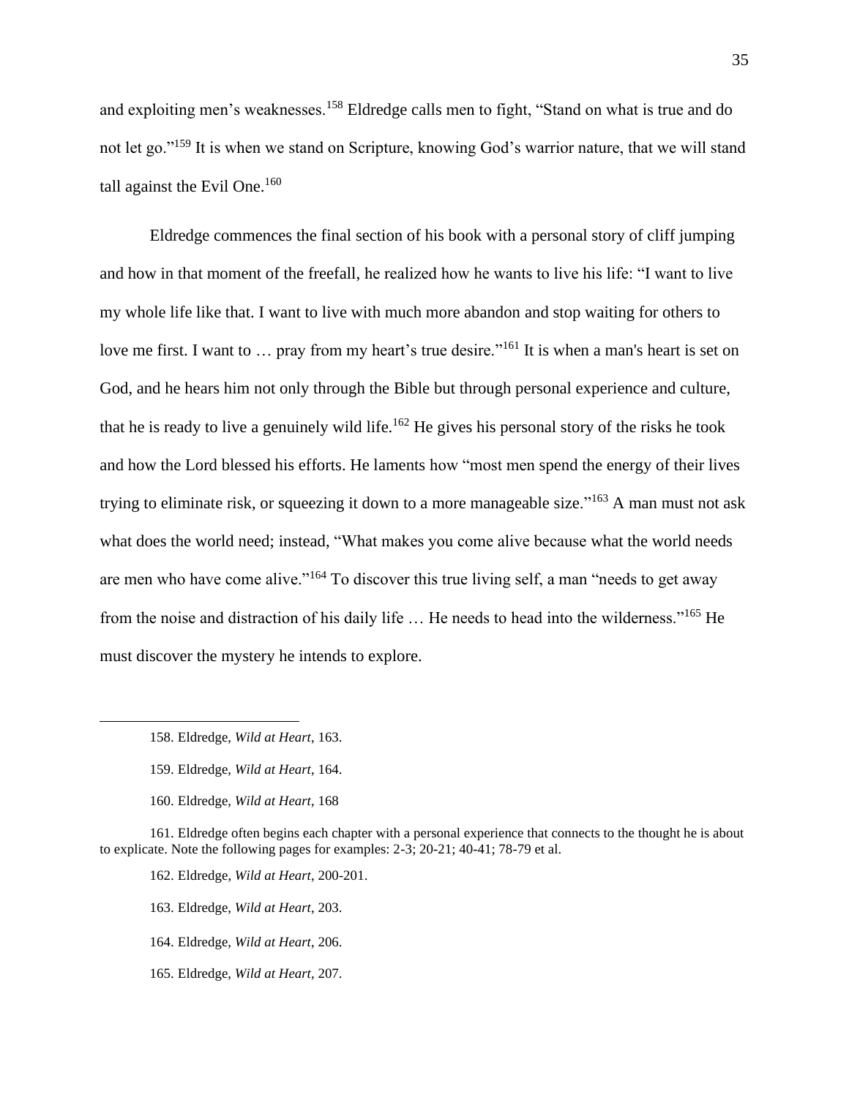and exploiting men's weaknesses.<sup>158</sup> Eldredge calls men to fight, "Stand on what is true and do not let go."<sup>159</sup> It is when we stand on Scripture, knowing God's warrior nature, that we will stand tall against the Evil One. $160$ 

Eldredge commences the final section of his book with a personal story of cliff jumping and how in that moment of the freefall, he realized how he wants to live his life: "I want to live my whole life like that. I want to live with much more abandon and stop waiting for others to love me first. I want to ... pray from my heart's true desire."<sup>161</sup> It is when a man's heart is set on God, and he hears him not only through the Bible but through personal experience and culture, that he is ready to live a genuinely wild life.<sup>162</sup> He gives his personal story of the risks he took and how the Lord blessed his efforts. He laments how "most men spend the energy of their lives trying to eliminate risk, or squeezing it down to a more manageable size."<sup>163</sup> A man must not ask what does the world need; instead, "What makes you come alive because what the world needs are men who have come alive."<sup>164</sup> To discover this true living self, a man "needs to get away from the noise and distraction of his daily life … He needs to head into the wilderness."<sup>165</sup> He must discover the mystery he intends to explore.

162. Eldredge, *Wild at Heart*, 200-201.

- 163. Eldredge, *Wild at Heart*, 203.
- 164. Eldredge, *Wild at Heart*, 206.
- 165. Eldredge, *Wild at Heart*, 207.

<sup>158.</sup> Eldredge, *Wild at Heart*, 163.

<sup>159.</sup> Eldredge, *Wild at Heart*, 164.

<sup>160.</sup> Eldredge, *Wild at Heart*, 168

<sup>161.</sup> Eldredge often begins each chapter with a personal experience that connects to the thought he is about to explicate. Note the following pages for examples: 2-3; 20-21; 40-41; 78-79 et al.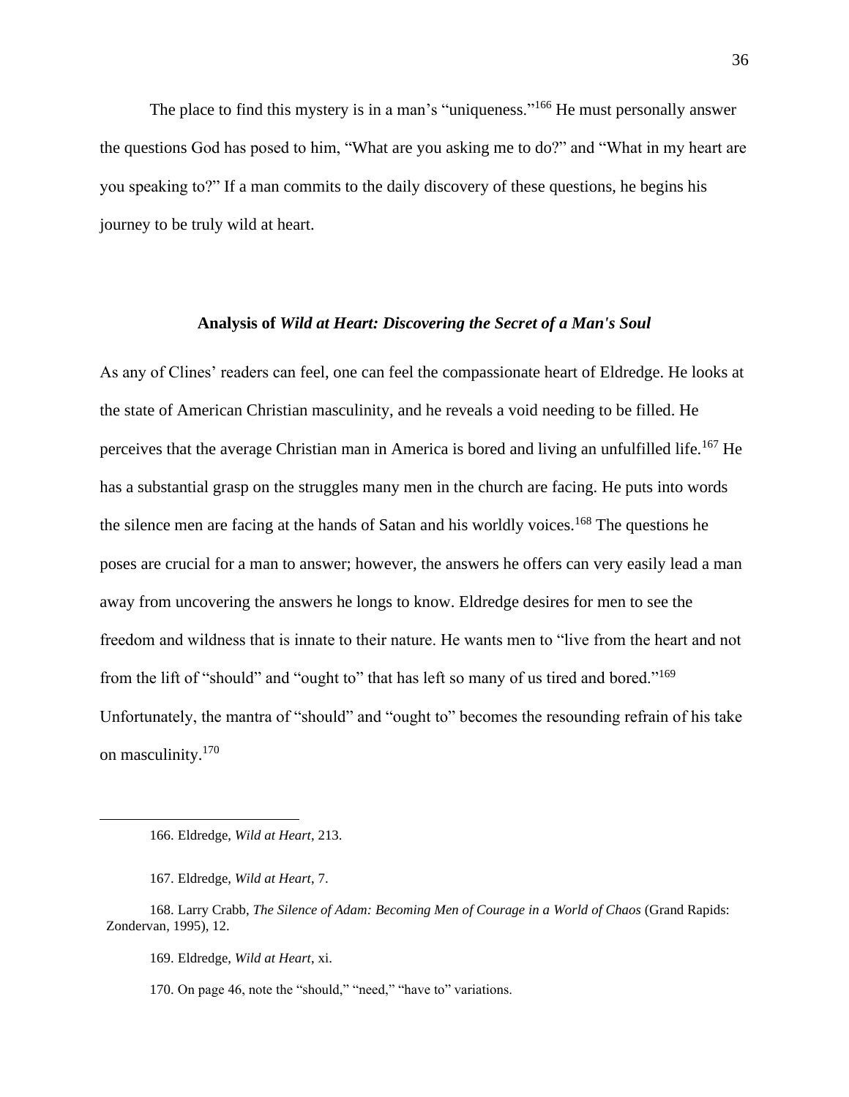The place to find this mystery is in a man's "uniqueness."<sup>166</sup> He must personally answer the questions God has posed to him, "What are you asking me to do?" and "What in my heart are you speaking to?" If a man commits to the daily discovery of these questions, he begins his journey to be truly wild at heart.

## **Analysis of** *Wild at Heart: Discovering the Secret of a Man's Soul*

As any of Clines' readers can feel, one can feel the compassionate heart of Eldredge. He looks at the state of American Christian masculinity, and he reveals a void needing to be filled. He perceives that the average Christian man in America is bored and living an unfulfilled life.<sup>167</sup> He has a substantial grasp on the struggles many men in the church are facing. He puts into words the silence men are facing at the hands of Satan and his worldly voices.<sup>168</sup> The questions he poses are crucial for a man to answer; however, the answers he offers can very easily lead a man away from uncovering the answers he longs to know. Eldredge desires for men to see the freedom and wildness that is innate to their nature. He wants men to "live from the heart and not from the lift of "should" and "ought to" that has left so many of us tired and bored."<sup>169</sup> Unfortunately, the mantra of "should" and "ought to" becomes the resounding refrain of his take on masculinity.<sup>170</sup>

<sup>166.</sup> Eldredge, *Wild at Heart*, 213.

<sup>167.</sup> Eldredge, *Wild at Heart*, 7.

<sup>168.</sup> Larry Crabb, *The Silence of Adam: Becoming Men of Courage in a World of Chaos* (Grand Rapids: Zondervan, 1995), 12.

<sup>169.</sup> Eldredge, *Wild at Heart*, xi.

<sup>170.</sup> On page 46, note the "should," "need," "have to" variations.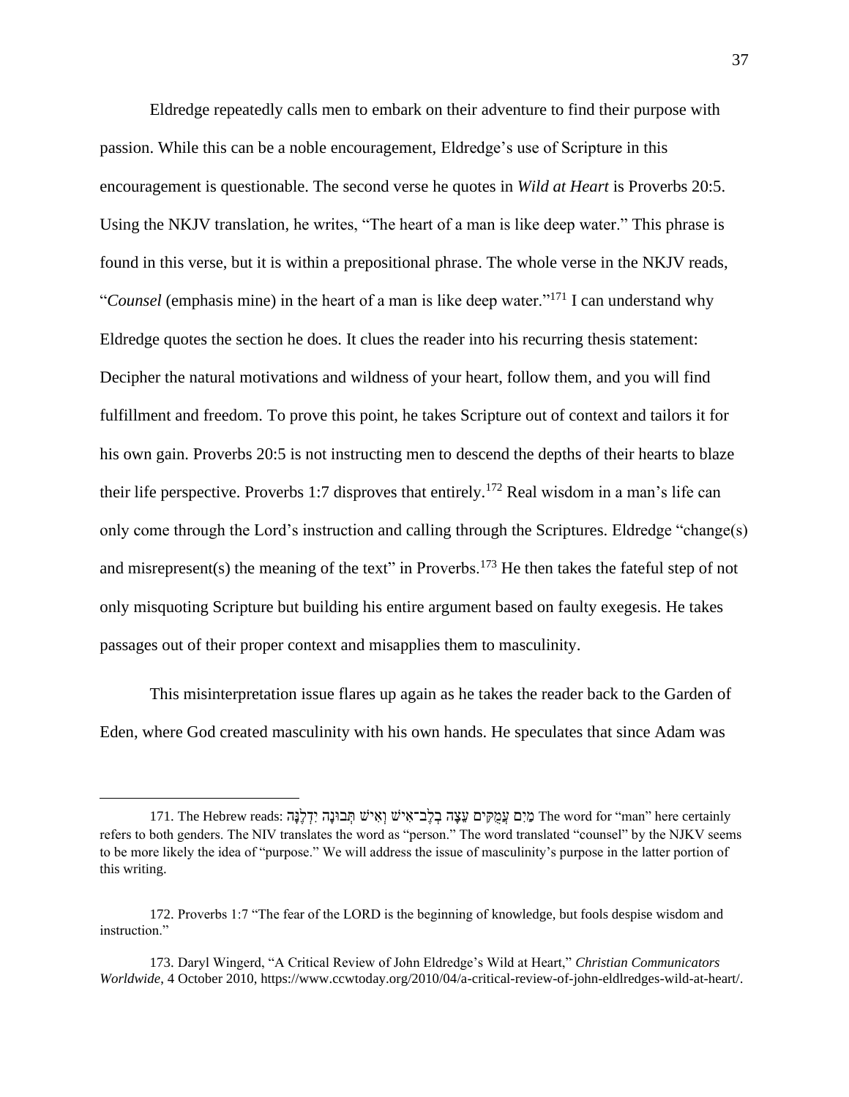Eldredge repeatedly calls men to embark on their adventure to find their purpose with passion. While this can be a noble encouragement, Eldredge's use of Scripture in this encouragement is questionable. The second verse he quotes in *Wild at Heart* is Proverbs 20:5. Using the NKJV translation, he writes, "The heart of a man is like deep water." This phrase is found in this verse, but it is within a prepositional phrase. The whole verse in the NKJV reads, "*Counsel* (emphasis mine) in the heart of a man is like deep water."<sup>171</sup> I can understand why Eldredge quotes the section he does. It clues the reader into his recurring thesis statement: Decipher the natural motivations and wildness of your heart, follow them, and you will find fulfillment and freedom. To prove this point, he takes Scripture out of context and tailors it for his own gain. Proverbs 20:5 is not instructing men to descend the depths of their hearts to blaze their life perspective. Proverbs 1:7 disproves that entirely.<sup>172</sup> Real wisdom in a man's life can only come through the Lord's instruction and calling through the Scriptures. Eldredge "change(s) and misrepresent(s) the meaning of the text" in Proverbs.<sup>173</sup> He then takes the fateful step of not only misquoting Scripture but building his entire argument based on faulty exegesis. He takes passages out of their proper context and misapplies them to masculinity.

This misinterpretation issue flares up again as he takes the reader back to the Garden of Eden, where God created masculinity with his own hands. He speculates that since Adam was

נְיִם עֲמֻקִים עֵצָה בְלֶב־אִישׁ וְאִישׁ יִתְבוּנָה יִדְלֶנָּה :171. The Word for "man" here certainly refers to both genders. The NIV translates the word as "person." The word translated "counsel" by the NJKV seems to be more likely the idea of "purpose." We will address the issue of masculinity's purpose in the latter portion of this writing.

<sup>172.</sup> Proverbs 1:7 "The fear of the LORD is the beginning of knowledge, but fools despise wisdom and instruction."

<sup>173.</sup> Daryl Wingerd, "A Critical Review of John Eldredge's Wild at Heart," *Christian Communicators Worldwide*, 4 October 2010, https://www.ccwtoday.org/2010/04/a-critical-review-of-john-eldlredges-wild-at-heart/.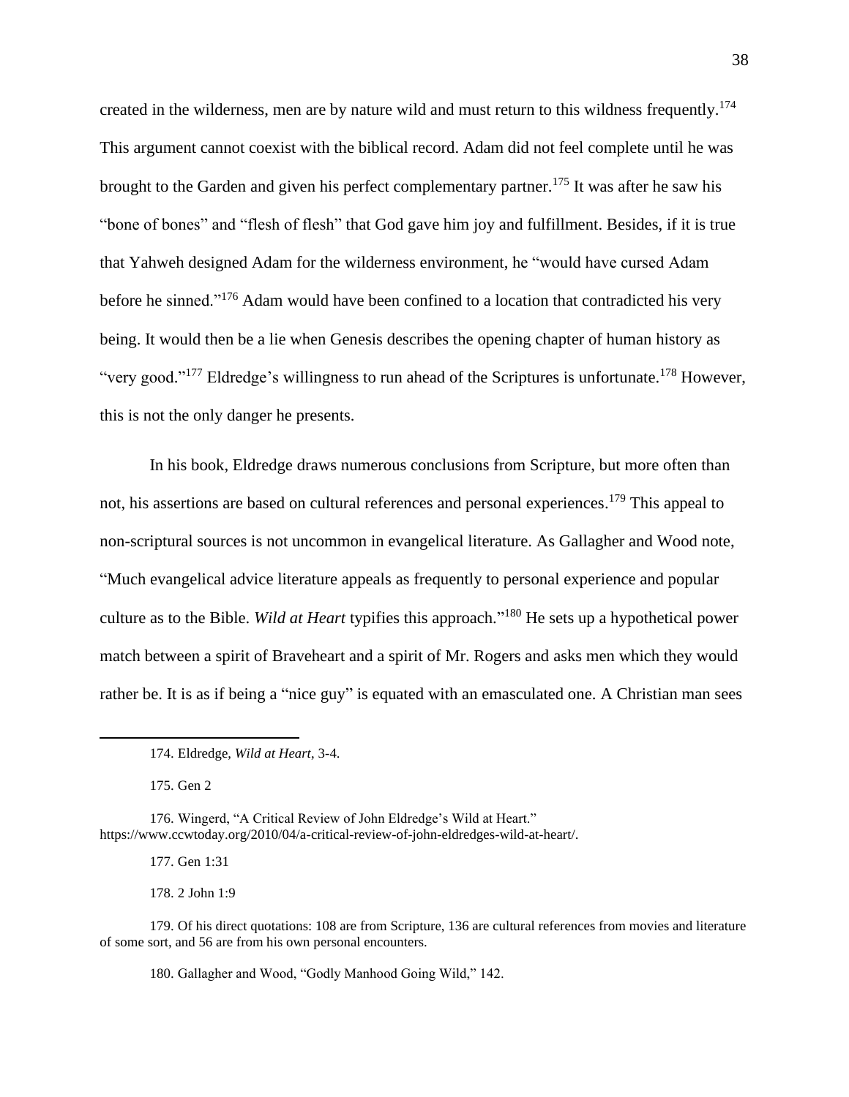created in the wilderness, men are by nature wild and must return to this wildness frequently.<sup>174</sup> This argument cannot coexist with the biblical record. Adam did not feel complete until he was brought to the Garden and given his perfect complementary partner.<sup>175</sup> It was after he saw his "bone of bones" and "flesh of flesh" that God gave him joy and fulfillment. Besides, if it is true that Yahweh designed Adam for the wilderness environment, he "would have cursed Adam before he sinned."<sup>176</sup> Adam would have been confined to a location that contradicted his very being. It would then be a lie when Genesis describes the opening chapter of human history as "very good."<sup>177</sup> Eldredge's willingness to run ahead of the Scriptures is unfortunate.<sup>178</sup> However, this is not the only danger he presents.

In his book, Eldredge draws numerous conclusions from Scripture, but more often than not, his assertions are based on cultural references and personal experiences.<sup>179</sup> This appeal to non-scriptural sources is not uncommon in evangelical literature. As Gallagher and Wood note, "Much evangelical advice literature appeals as frequently to personal experience and popular culture as to the Bible. *Wild at Heart* typifies this approach." <sup>180</sup> He sets up a hypothetical power match between a spirit of Braveheart and a spirit of Mr. Rogers and asks men which they would rather be. It is as if being a "nice guy" is equated with an emasculated one. A Christian man sees

175. Gen 2

176. Wingerd, "A Critical Review of John Eldredge's Wild at Heart." https://www.ccwtoday.org/2010/04/a-critical-review-of-john-eldredges-wild-at-heart/.

177. Gen 1:31

178. 2 John 1:9

179. Of his direct quotations: 108 are from Scripture, 136 are cultural references from movies and literature of some sort, and 56 are from his own personal encounters.

180. Gallagher and Wood, "Godly Manhood Going Wild," 142.

<sup>174.</sup> Eldredge, *Wild at Heart*, 3-4.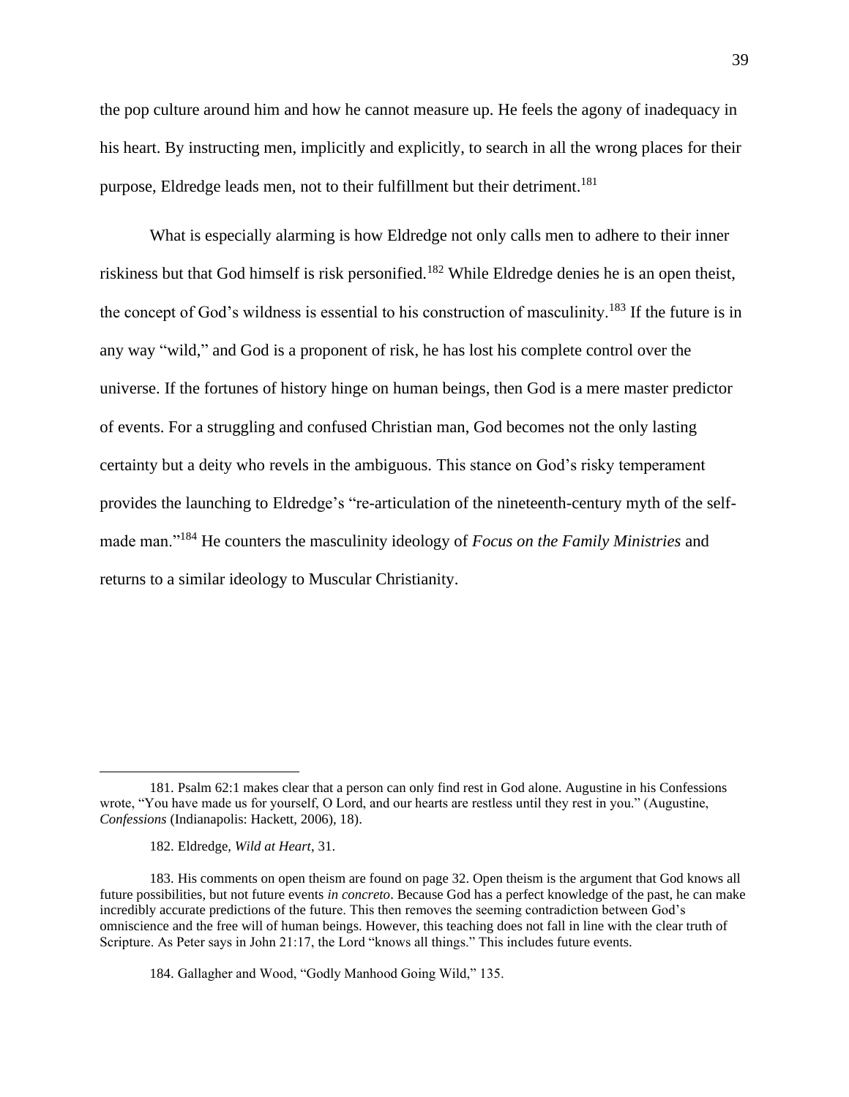the pop culture around him and how he cannot measure up. He feels the agony of inadequacy in his heart. By instructing men, implicitly and explicitly, to search in all the wrong places for their purpose, Eldredge leads men, not to their fulfillment but their detriment.<sup>181</sup>

What is especially alarming is how Eldredge not only calls men to adhere to their inner riskiness but that God himself is risk personified.<sup>182</sup> While Eldredge denies he is an open theist, the concept of God's wildness is essential to his construction of masculinity.<sup>183</sup> If the future is in any way "wild," and God is a proponent of risk, he has lost his complete control over the universe. If the fortunes of history hinge on human beings, then God is a mere master predictor of events. For a struggling and confused Christian man, God becomes not the only lasting certainty but a deity who revels in the ambiguous. This stance on God's risky temperament provides the launching to Eldredge's "re-articulation of the nineteenth-century myth of the selfmade man."<sup>184</sup> He counters the masculinity ideology of *Focus on the Family Ministries* and returns to a similar ideology to Muscular Christianity.

<sup>181.</sup> Psalm 62:1 makes clear that a person can only find rest in God alone. Augustine in his Confessions wrote, "You have made us for yourself, O Lord, and our hearts are restless until they rest in you." (Augustine, *Confessions* (Indianapolis: Hackett, 2006), 18).

<sup>182.</sup> Eldredge, *Wild at Heart*, 31.

<sup>183.</sup> His comments on open theism are found on page 32. Open theism is the argument that God knows all future possibilities, but not future events *in concreto*. Because God has a perfect knowledge of the past, he can make incredibly accurate predictions of the future. This then removes the seeming contradiction between God's omniscience and the free will of human beings. However, this teaching does not fall in line with the clear truth of Scripture. As Peter says in John 21:17, the Lord "knows all things." This includes future events.

<sup>184.</sup> Gallagher and Wood, "Godly Manhood Going Wild," 135.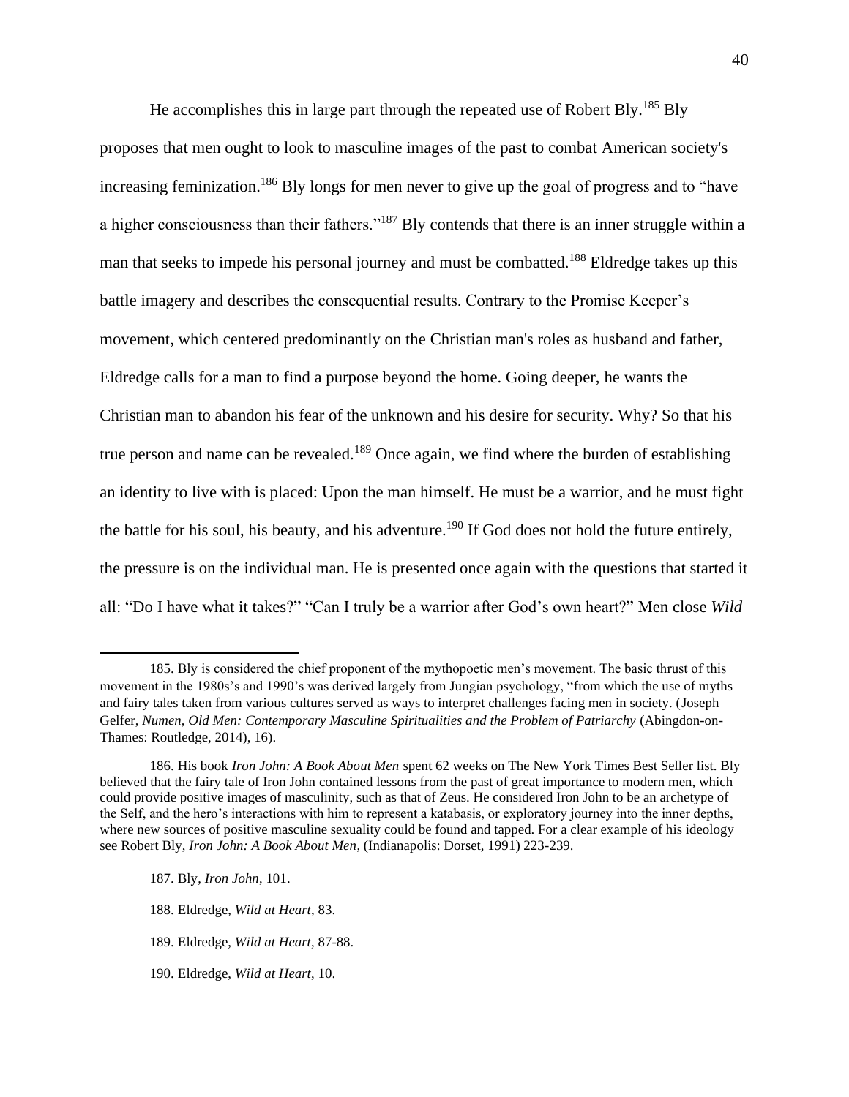He accomplishes this in large part through the repeated use of Robert Bly.<sup>185</sup> Bly proposes that men ought to look to masculine images of the past to combat American society's increasing feminization.<sup>186</sup> Bly longs for men never to give up the goal of progress and to "have a higher consciousness than their fathers."<sup>187</sup> Bly contends that there is an inner struggle within a man that seeks to impede his personal journey and must be combatted.<sup>188</sup> Eldredge takes up this battle imagery and describes the consequential results. Contrary to the Promise Keeper's movement, which centered predominantly on the Christian man's roles as husband and father, Eldredge calls for a man to find a purpose beyond the home. Going deeper, he wants the Christian man to abandon his fear of the unknown and his desire for security. Why? So that his true person and name can be revealed.<sup>189</sup> Once again, we find where the burden of establishing an identity to live with is placed: Upon the man himself. He must be a warrior, and he must fight the battle for his soul, his beauty, and his adventure.<sup>190</sup> If God does not hold the future entirely, the pressure is on the individual man. He is presented once again with the questions that started it all: "Do I have what it takes?" "Can I truly be a warrior after God's own heart?" Men close *Wild* 

<sup>185.</sup> Bly is considered the chief proponent of the mythopoetic men's movement. The basic thrust of this movement in the 1980s's and 1990's was derived largely from Jungian psychology, "from which the use of myths and fairy tales taken from various cultures served as ways to interpret challenges facing men in society. (Joseph Gelfer, *Numen, Old Men: Contemporary Masculine Spiritualities and the Problem of Patriarchy* (Abingdon-on-Thames: Routledge, 2014), 16).

<sup>186.</sup> His book *Iron John: A Book About Men* spent 62 weeks on The New York Times Best Seller list. Bly believed that the fairy tale of Iron John contained lessons from the past of great importance to modern men, which could provide positive images of masculinity, such as that of Zeus. He considered Iron John to be an archetype of the Self, and the hero's interactions with him to represent a katabasis, or exploratory journey into the inner depths, where new sources of positive masculine sexuality could be found and tapped. For a clear example of his ideology see Robert Bly, *Iron John: A Book About Men*, (Indianapolis: Dorset, 1991) 223-239.

<sup>187.</sup> Bly, *Iron John*, 101.

<sup>188.</sup> Eldredge, *Wild at Heart*, 83.

<sup>189.</sup> Eldredge, *Wild at Heart*, 87-88.

<sup>190.</sup> Eldredge, *Wild at Heart*, 10.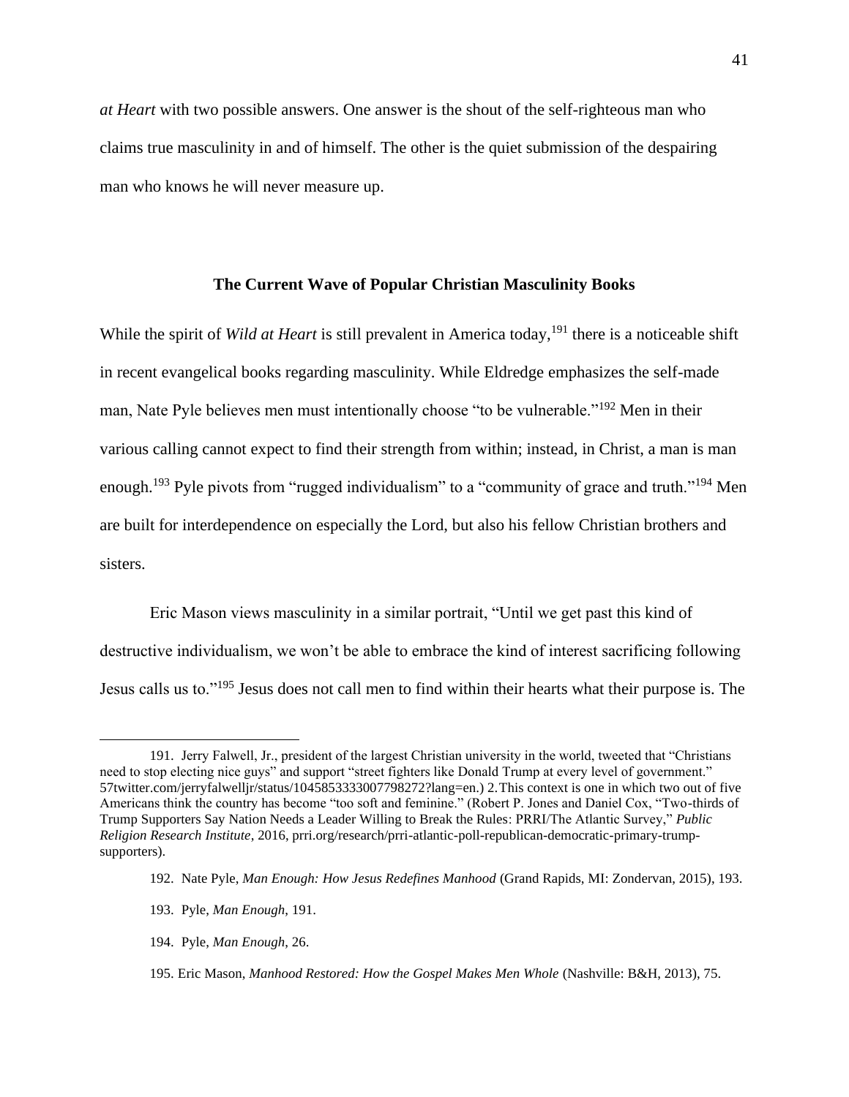*at Heart* with two possible answers. One answer is the shout of the self-righteous man who claims true masculinity in and of himself. The other is the quiet submission of the despairing man who knows he will never measure up.

#### **The Current Wave of Popular Christian Masculinity Books**

While the spirit of *Wild at Heart* is still prevalent in America today, <sup>191</sup> there is a noticeable shift in recent evangelical books regarding masculinity. While Eldredge emphasizes the self-made man, Nate Pyle believes men must intentionally choose "to be vulnerable."<sup>192</sup> Men in their various calling cannot expect to find their strength from within; instead, in Christ, a man is man enough.<sup>193</sup> Pyle pivots from "rugged individualism" to a "community of grace and truth."<sup>194</sup> Men are built for interdependence on especially the Lord, but also his fellow Christian brothers and sisters.

Eric Mason views masculinity in a similar portrait, "Until we get past this kind of destructive individualism, we won't be able to embrace the kind of interest sacrificing following Jesus calls us to."<sup>195</sup> Jesus does not call men to find within their hearts what their purpose is. The

<sup>191.</sup> Jerry Falwell, Jr., president of the largest Christian university in the world, tweeted that "Christians need to stop electing nice guys" and support "street fighters like Donald Trump at every level of government." 57twitter.com/jerryfalwelljr/status/1045853333007798272?lang=en.) 2.This context is one in which two out of five Americans think the country has become "too soft and feminine." (Robert P. Jones and Daniel Cox, "Two-thirds of Trump Supporters Say Nation Needs a Leader Willing to Break the Rules: PRRI/The Atlantic Survey," *Public Religion Research Institute*, 2016, prri.org/research/prri-atlantic-poll-republican-democratic-primary-trumpsupporters).

<sup>192.</sup> Nate Pyle, *Man Enough: How Jesus Redefines Manhood* (Grand Rapids, MI: Zondervan, 2015), 193.

<sup>193.</sup> Pyle, *Man Enough*, 191.

<sup>194.</sup> Pyle, *Man Enough*, 26.

<sup>195.</sup> Eric Mason, *Manhood Restored: How the Gospel Makes Men Whole* (Nashville: B&H, 2013), 75.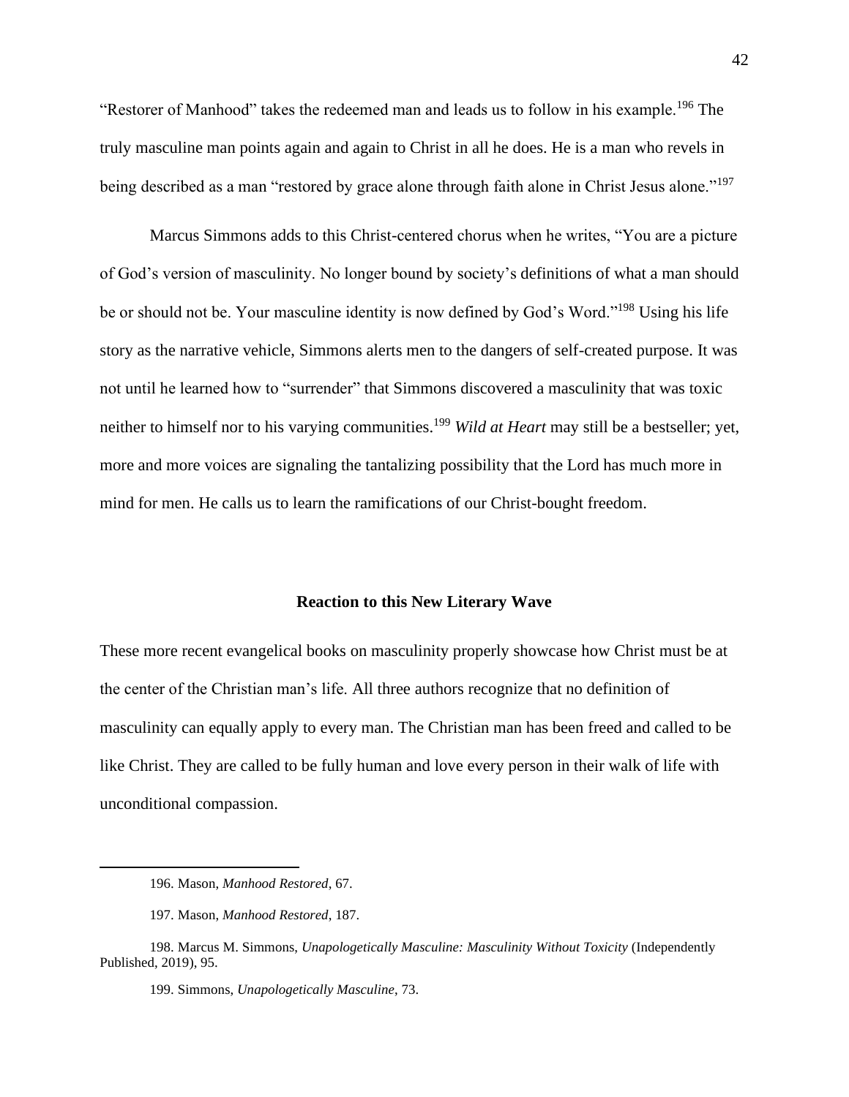"Restorer of Manhood" takes the redeemed man and leads us to follow in his example.<sup>196</sup> The truly masculine man points again and again to Christ in all he does. He is a man who revels in being described as a man "restored by grace alone through faith alone in Christ Jesus alone."<sup>197</sup>

Marcus Simmons adds to this Christ-centered chorus when he writes, "You are a picture of God's version of masculinity. No longer bound by society's definitions of what a man should be or should not be. Your masculine identity is now defined by God's Word."<sup>198</sup> Using his life story as the narrative vehicle, Simmons alerts men to the dangers of self-created purpose. It was not until he learned how to "surrender" that Simmons discovered a masculinity that was toxic neither to himself nor to his varying communities.<sup>199</sup> *Wild at Heart* may still be a bestseller; yet, more and more voices are signaling the tantalizing possibility that the Lord has much more in mind for men. He calls us to learn the ramifications of our Christ-bought freedom.

#### **Reaction to this New Literary Wave**

These more recent evangelical books on masculinity properly showcase how Christ must be at the center of the Christian man's life. All three authors recognize that no definition of masculinity can equally apply to every man. The Christian man has been freed and called to be like Christ. They are called to be fully human and love every person in their walk of life with unconditional compassion.

<sup>196.</sup> Mason, *Manhood Restored*, 67.

<sup>197.</sup> Mason, *Manhood Restored*, 187.

<sup>198.</sup> Marcus M. Simmons, *Unapologetically Masculine: Masculinity Without Toxicity* (Independently Published, 2019), 95.

<sup>199.</sup> Simmons, *Unapologetically Masculine*, 73.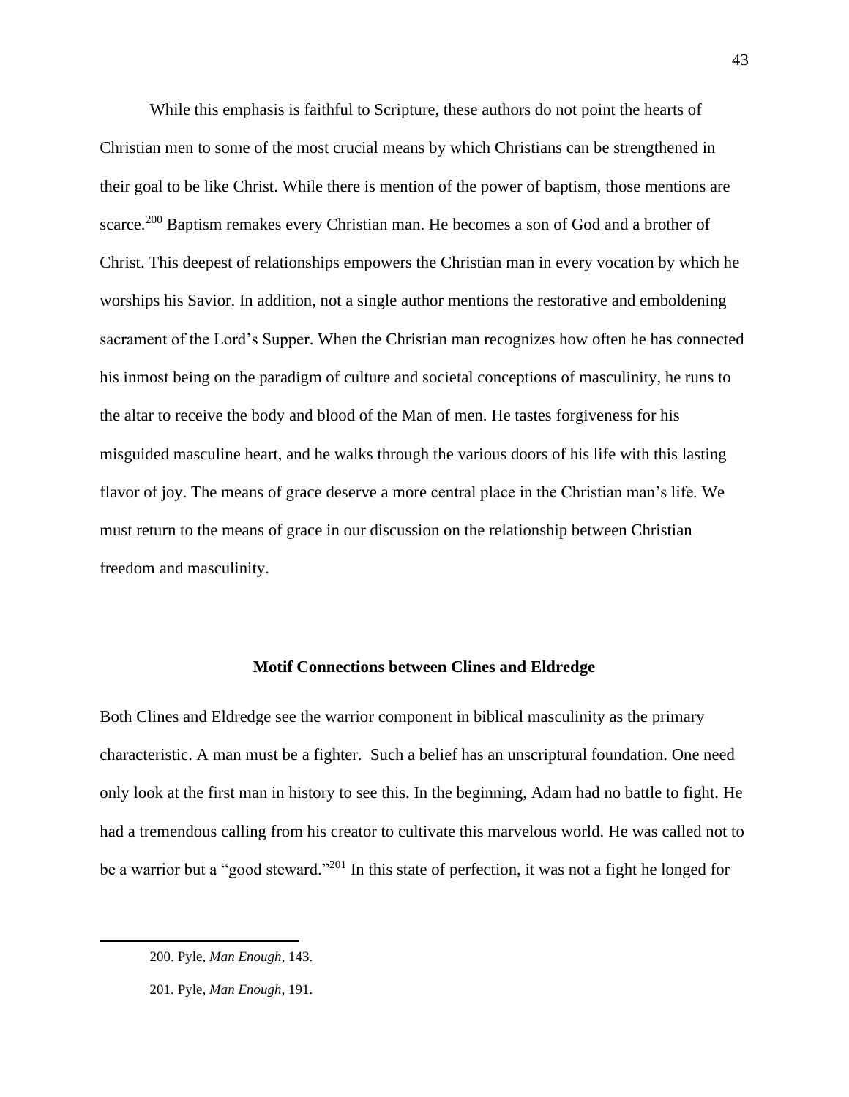While this emphasis is faithful to Scripture, these authors do not point the hearts of Christian men to some of the most crucial means by which Christians can be strengthened in their goal to be like Christ. While there is mention of the power of baptism, those mentions are scarce.<sup>200</sup> Baptism remakes every Christian man. He becomes a son of God and a brother of Christ. This deepest of relationships empowers the Christian man in every vocation by which he worships his Savior. In addition, not a single author mentions the restorative and emboldening sacrament of the Lord's Supper. When the Christian man recognizes how often he has connected his inmost being on the paradigm of culture and societal conceptions of masculinity, he runs to the altar to receive the body and blood of the Man of men. He tastes forgiveness for his misguided masculine heart, and he walks through the various doors of his life with this lasting flavor of joy. The means of grace deserve a more central place in the Christian man's life. We must return to the means of grace in our discussion on the relationship between Christian freedom and masculinity.

## **Motif Connections between Clines and Eldredge**

Both Clines and Eldredge see the warrior component in biblical masculinity as the primary characteristic. A man must be a fighter. Such a belief has an unscriptural foundation. One need only look at the first man in history to see this. In the beginning, Adam had no battle to fight. He had a tremendous calling from his creator to cultivate this marvelous world. He was called not to be a warrior but a "good steward."<sup>201</sup> In this state of perfection, it was not a fight he longed for

<sup>200.</sup> Pyle, *Man Enough*, 143.

<sup>201.</sup> Pyle, *Man Enough*, 191.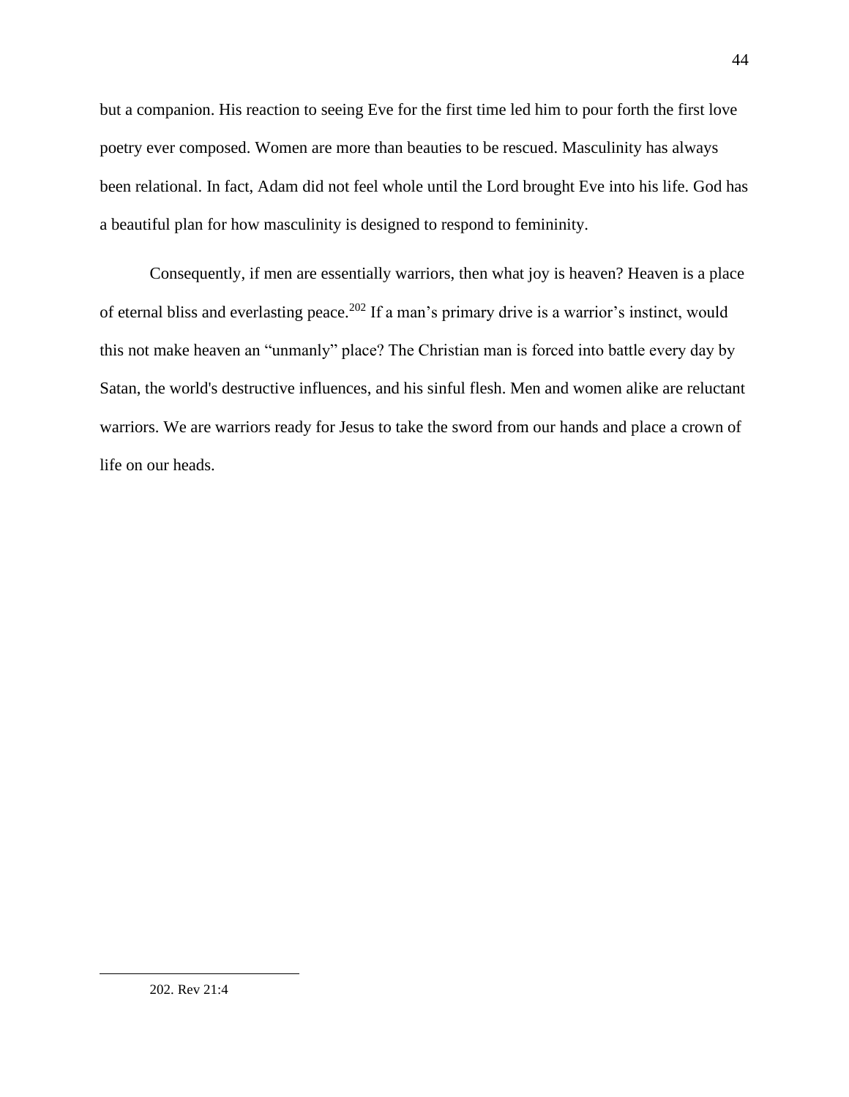but a companion. His reaction to seeing Eve for the first time led him to pour forth the first love poetry ever composed. Women are more than beauties to be rescued. Masculinity has always been relational. In fact, Adam did not feel whole until the Lord brought Eve into his life. God has a beautiful plan for how masculinity is designed to respond to femininity.

Consequently, if men are essentially warriors, then what joy is heaven? Heaven is a place of eternal bliss and everlasting peace.<sup>202</sup> If a man's primary drive is a warrior's instinct, would this not make heaven an "unmanly" place? The Christian man is forced into battle every day by Satan, the world's destructive influences, and his sinful flesh. Men and women alike are reluctant warriors. We are warriors ready for Jesus to take the sword from our hands and place a crown of life on our heads.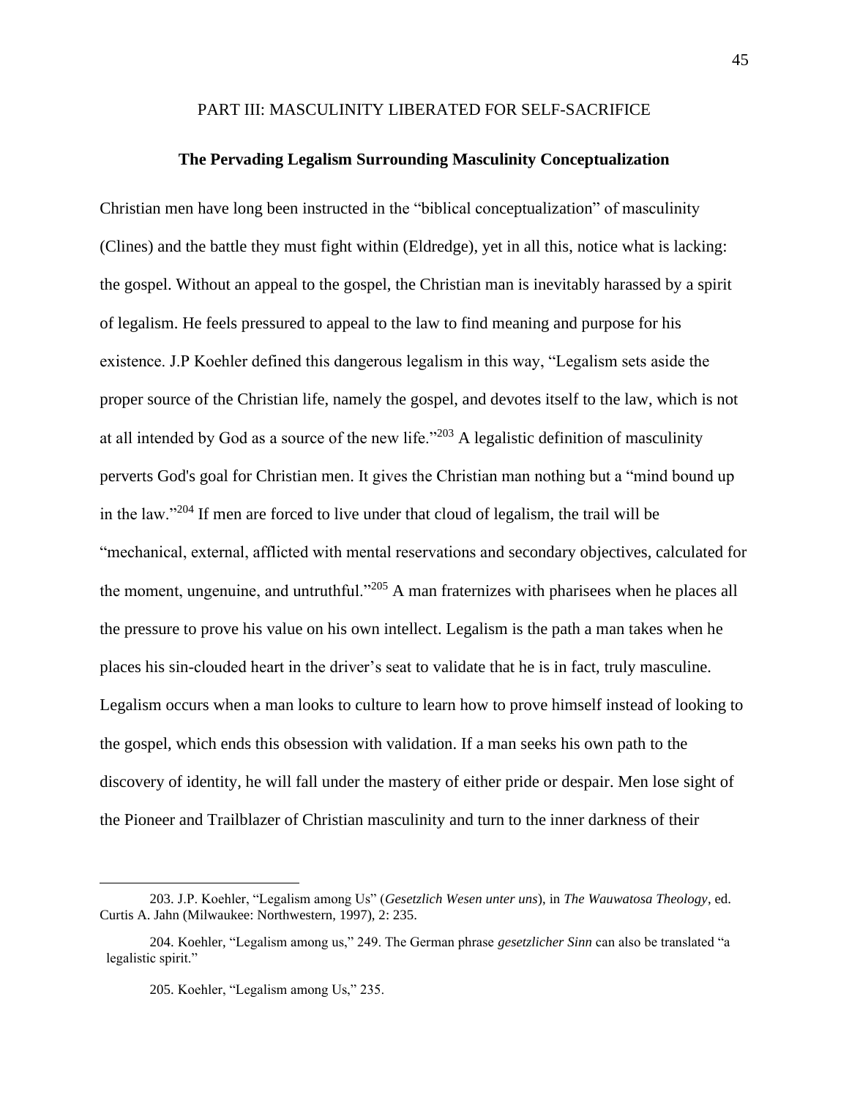## PART III: MASCULINITY LIBERATED FOR SELF-SACRIFICE

#### **The Pervading Legalism Surrounding Masculinity Conceptualization**

Christian men have long been instructed in the "biblical conceptualization" of masculinity (Clines) and the battle they must fight within (Eldredge), yet in all this, notice what is lacking: the gospel. Without an appeal to the gospel, the Christian man is inevitably harassed by a spirit of legalism. He feels pressured to appeal to the law to find meaning and purpose for his existence. J.P Koehler defined this dangerous legalism in this way, "Legalism sets aside the proper source of the Christian life, namely the gospel, and devotes itself to the law, which is not at all intended by God as a source of the new life."<sup>203</sup> A legalistic definition of masculinity perverts God's goal for Christian men. It gives the Christian man nothing but a "mind bound up in the law."<sup>204</sup> If men are forced to live under that cloud of legalism, the trail will be "mechanical, external, afflicted with mental reservations and secondary objectives, calculated for the moment, ungenuine, and untruthful.<sup>"205</sup> A man fraternizes with pharisees when he places all the pressure to prove his value on his own intellect. Legalism is the path a man takes when he places his sin-clouded heart in the driver's seat to validate that he is in fact, truly masculine. Legalism occurs when a man looks to culture to learn how to prove himself instead of looking to the gospel, which ends this obsession with validation. If a man seeks his own path to the discovery of identity, he will fall under the mastery of either pride or despair. Men lose sight of the Pioneer and Trailblazer of Christian masculinity and turn to the inner darkness of their

<sup>203.</sup> J.P. Koehler, "Legalism among Us" (*Gesetzlich Wesen unter uns*), in *The Wauwatosa Theology*, ed. Curtis A. Jahn (Milwaukee: Northwestern, 1997), 2: 235.

<sup>204.</sup> Koehler, "Legalism among us," 249. The German phrase *gesetzlicher Sinn* can also be translated "a legalistic spirit."

<sup>205.</sup> Koehler, "Legalism among Us," 235.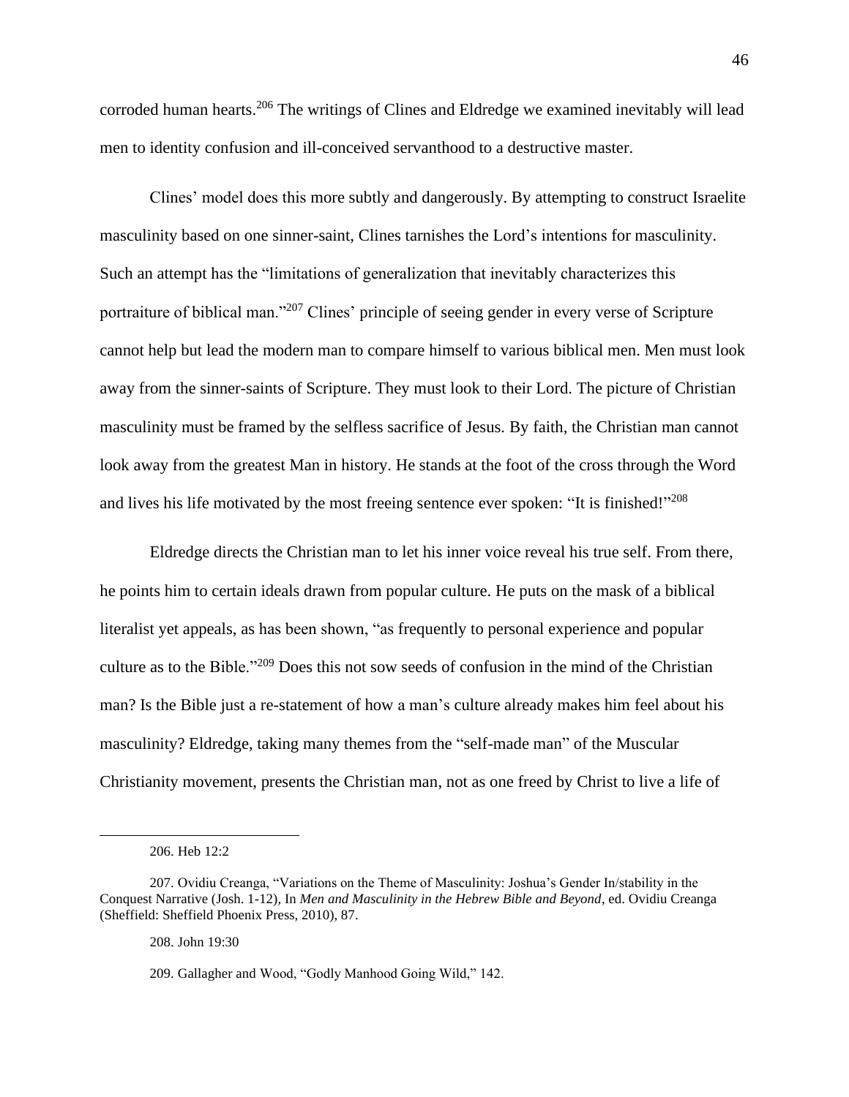corroded human hearts.<sup>206</sup> The writings of Clines and Eldredge we examined inevitably will lead men to identity confusion and ill-conceived servanthood to a destructive master.

Clines' model does this more subtly and dangerously. By attempting to construct Israelite masculinity based on one sinner-saint, Clines tarnishes the Lord's intentions for masculinity. Such an attempt has the "limitations of generalization that inevitably characterizes this portraiture of biblical man."<sup>207</sup> Clines' principle of seeing gender in every verse of Scripture cannot help but lead the modern man to compare himself to various biblical men. Men must look away from the sinner-saints of Scripture. They must look to their Lord. The picture of Christian masculinity must be framed by the selfless sacrifice of Jesus. By faith, the Christian man cannot look away from the greatest Man in history. He stands at the foot of the cross through the Word and lives his life motivated by the most freeing sentence ever spoken: "It is finished!"<sup>208</sup>

Eldredge directs the Christian man to let his inner voice reveal his true self. From there, he points him to certain ideals drawn from popular culture. He puts on the mask of a biblical literalist yet appeals, as has been shown, "as frequently to personal experience and popular culture as to the Bible."<sup>209</sup> Does this not sow seeds of confusion in the mind of the Christian man? Is the Bible just a re-statement of how a man's culture already makes him feel about his masculinity? Eldredge, taking many themes from the "self-made man" of the Muscular Christianity movement, presents the Christian man, not as one freed by Christ to live a life of

208. John 19:30

<sup>206.</sup> Heb 12:2

<sup>207.</sup> Ovidiu Creanga, "Variations on the Theme of Masculinity: Joshua's Gender In/stability in the Conquest Narrative (Josh. 1-12), In *Men and Masculinity in the Hebrew Bible and Beyond*, ed. Ovidiu Creanga (Sheffield: Sheffield Phoenix Press, 2010), 87.

<sup>209.</sup> Gallagher and Wood, "Godly Manhood Going Wild," 142.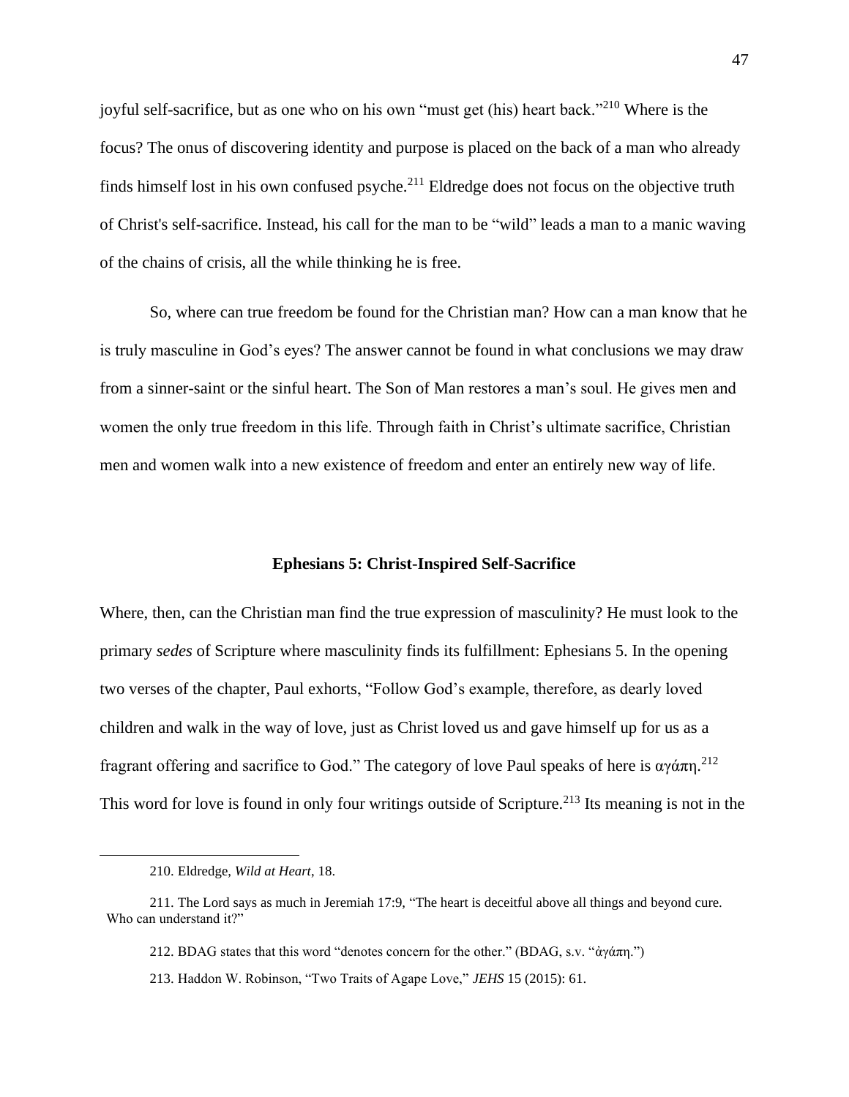joyful self-sacrifice, but as one who on his own "must get (his) heart back."<sup>210</sup> Where is the focus? The onus of discovering identity and purpose is placed on the back of a man who already finds himself lost in his own confused psyche.<sup>211</sup> Eldredge does not focus on the objective truth of Christ's self-sacrifice. Instead, his call for the man to be "wild" leads a man to a manic waving of the chains of crisis, all the while thinking he is free.

So, where can true freedom be found for the Christian man? How can a man know that he is truly masculine in God's eyes? The answer cannot be found in what conclusions we may draw from a sinner-saint or the sinful heart. The Son of Man restores a man's soul. He gives men and women the only true freedom in this life. Through faith in Christ's ultimate sacrifice, Christian men and women walk into a new existence of freedom and enter an entirely new way of life.

#### **Ephesians 5: Christ-Inspired Self-Sacrifice**

Where, then, can the Christian man find the true expression of masculinity? He must look to the primary *sedes* of Scripture where masculinity finds its fulfillment: Ephesians 5. In the opening two verses of the chapter, Paul exhorts, "Follow God's example, therefore, as dearly loved children and walk in the way of love, just as Christ loved us and gave himself up for us as a fragrant offering and sacrifice to God." The category of love Paul speaks of here is αγάπη.<sup>212</sup> This word for love is found in only four writings outside of Scripture.<sup>213</sup> Its meaning is not in the

<sup>210.</sup> Eldredge, *Wild at Heart*, 18.

<sup>211.</sup> The Lord says as much in Jeremiah 17:9, "The heart is deceitful above all things and beyond cure. Who can understand it?"

<sup>212.</sup> BDAG states that this word "denotes concern for the other." (BDAG, s.v. "ἀγάπη.")

<sup>213.</sup> Haddon W. Robinson, "Two Traits of Agape Love," *JEHS* 15 (2015): 61.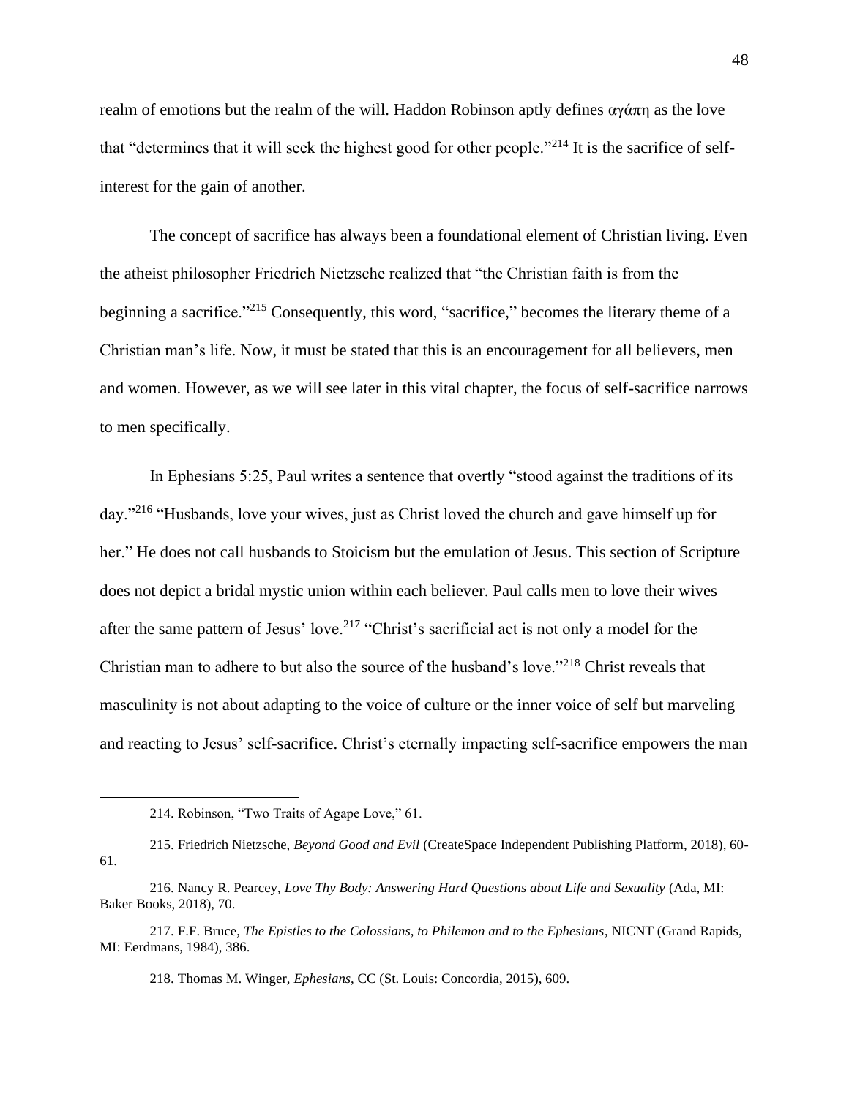realm of emotions but the realm of the will. Haddon Robinson aptly defines αγάπη as the love that "determines that it will seek the highest good for other people."<sup>214</sup> It is the sacrifice of selfinterest for the gain of another.

The concept of sacrifice has always been a foundational element of Christian living. Even the atheist philosopher Friedrich Nietzsche realized that "the Christian faith is from the beginning a sacrifice.<sup>"215</sup> Consequently, this word, "sacrifice," becomes the literary theme of a Christian man's life. Now, it must be stated that this is an encouragement for all believers, men and women. However, as we will see later in this vital chapter, the focus of self-sacrifice narrows to men specifically.

In Ephesians 5:25, Paul writes a sentence that overtly "stood against the traditions of its day."<sup>216</sup> "Husbands, love your wives, just as Christ loved the church and gave himself up for her." He does not call husbands to Stoicism but the emulation of Jesus. This section of Scripture does not depict a bridal mystic union within each believer. Paul calls men to love their wives after the same pattern of Jesus' love.<sup>217</sup> "Christ's sacrificial act is not only a model for the Christian man to adhere to but also the source of the husband's love."<sup>218</sup> Christ reveals that masculinity is not about adapting to the voice of culture or the inner voice of self but marveling and reacting to Jesus' self-sacrifice. Christ's eternally impacting self-sacrifice empowers the man

<sup>214.</sup> Robinson, "Two Traits of Agape Love," 61.

<sup>215.</sup> Friedrich Nietzsche, *Beyond Good and Evil* (CreateSpace Independent Publishing Platform, 2018), 60- 61.

<sup>216.</sup> Nancy R. Pearcey, *Love Thy Body: Answering Hard Questions about Life and Sexuality* (Ada, MI: Baker Books, 2018), 70.

<sup>217.</sup> F.F. Bruce, *The Epistles to the Colossians, to Philemon and to the Ephesians*, NICNT (Grand Rapids, MI: Eerdmans, 1984), 386.

<sup>218.</sup> Thomas M. Winger, *Ephesians*, CC (St. Louis: Concordia, 2015), 609.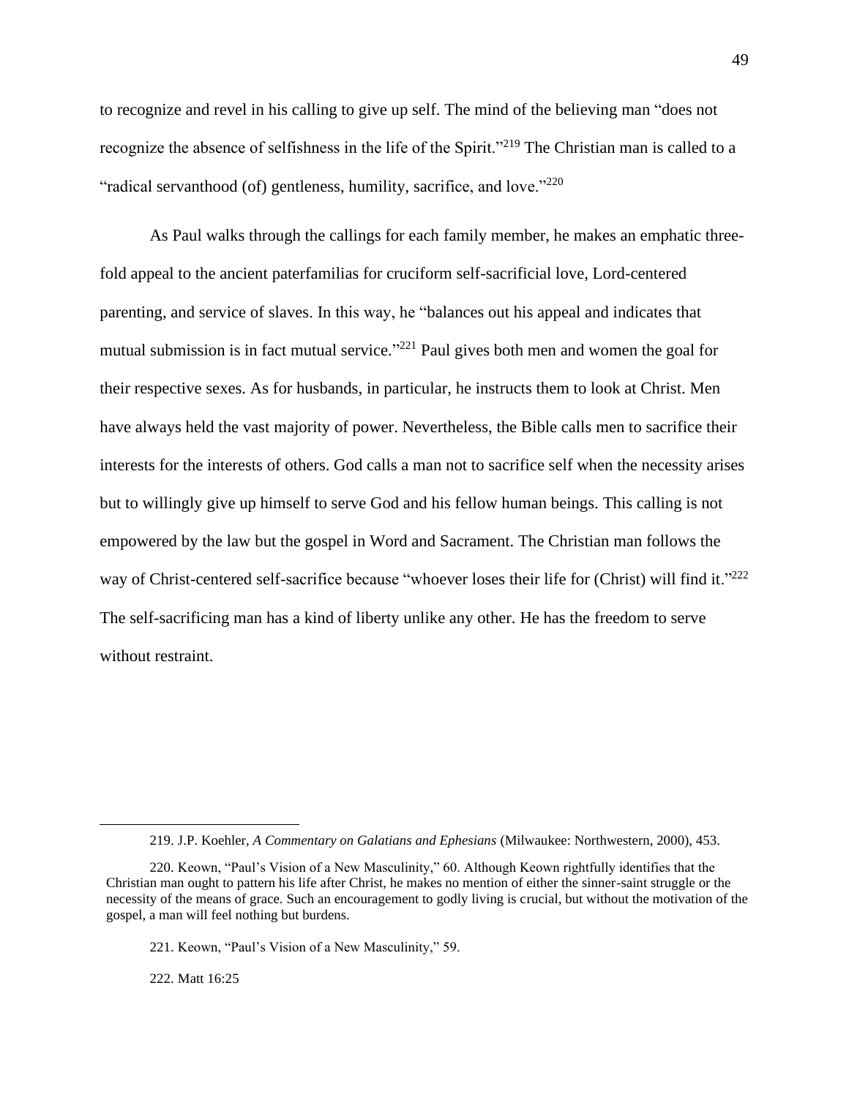to recognize and revel in his calling to give up self. The mind of the believing man "does not recognize the absence of selfishness in the life of the Spirit."<sup>219</sup> The Christian man is called to a "radical servanthood (of) gentleness, humility, sacrifice, and love."<sup>220</sup>

As Paul walks through the callings for each family member, he makes an emphatic threefold appeal to the ancient paterfamilias for cruciform self-sacrificial love, Lord-centered parenting, and service of slaves. In this way, he "balances out his appeal and indicates that mutual submission is in fact mutual service."<sup>221</sup> Paul gives both men and women the goal for their respective sexes. As for husbands, in particular, he instructs them to look at Christ. Men have always held the vast majority of power. Nevertheless, the Bible calls men to sacrifice their interests for the interests of others. God calls a man not to sacrifice self when the necessity arises but to willingly give up himself to serve God and his fellow human beings. This calling is not empowered by the law but the gospel in Word and Sacrament. The Christian man follows the way of Christ-centered self-sacrifice because "whoever loses their life for (Christ) will find it."<sup>222</sup> The self-sacrificing man has a kind of liberty unlike any other. He has the freedom to serve without restraint.

222. Matt 16:25

<sup>219.</sup> J.P. Koehler, *A Commentary on Galatians and Ephesians* (Milwaukee: Northwestern, 2000), 453.

<sup>220.</sup> Keown, "Paul's Vision of a New Masculinity," 60. Although Keown rightfully identifies that the Christian man ought to pattern his life after Christ, he makes no mention of either the sinner-saint struggle or the necessity of the means of grace. Such an encouragement to godly living is crucial, but without the motivation of the gospel, a man will feel nothing but burdens.

<sup>221.</sup> Keown, "Paul's Vision of a New Masculinity," 59.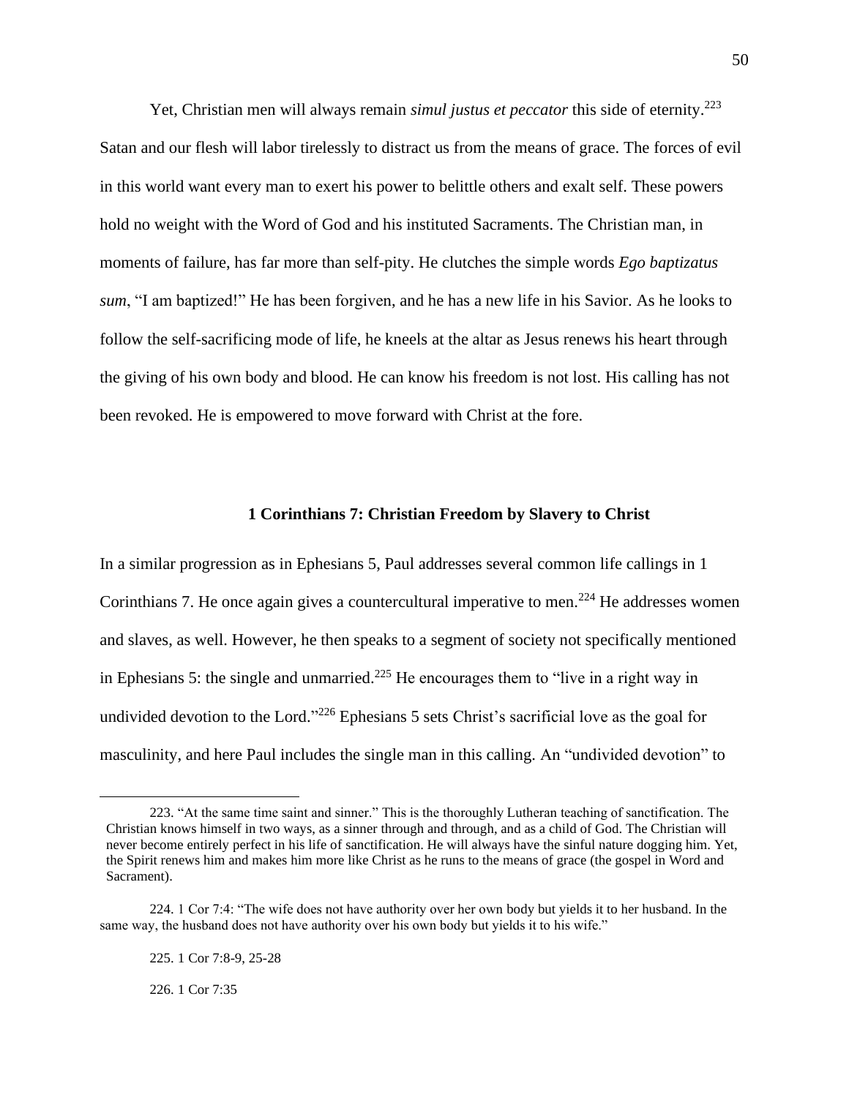Yet, Christian men will always remain *simul justus et peccator* this side of eternity.<sup>223</sup> Satan and our flesh will labor tirelessly to distract us from the means of grace. The forces of evil in this world want every man to exert his power to belittle others and exalt self. These powers hold no weight with the Word of God and his instituted Sacraments. The Christian man, in moments of failure, has far more than self-pity. He clutches the simple words *Ego baptizatus sum*, "I am baptized!" He has been forgiven, and he has a new life in his Savior. As he looks to follow the self-sacrificing mode of life, he kneels at the altar as Jesus renews his heart through the giving of his own body and blood. He can know his freedom is not lost. His calling has not been revoked. He is empowered to move forward with Christ at the fore.

## **1 Corinthians 7: Christian Freedom by Slavery to Christ**

In a similar progression as in Ephesians 5, Paul addresses several common life callings in 1 Corinthians 7. He once again gives a countercultural imperative to men.<sup>224</sup> He addresses women and slaves, as well. However, he then speaks to a segment of society not specifically mentioned in Ephesians 5: the single and unmarried. <sup>225</sup> He encourages them to "live in a right way in undivided devotion to the Lord."<sup>226</sup> Ephesians 5 sets Christ's sacrificial love as the goal for masculinity, and here Paul includes the single man in this calling. An "undivided devotion" to

226. 1 Cor 7:35

<sup>223.</sup> "At the same time saint and sinner." This is the thoroughly Lutheran teaching of sanctification. The Christian knows himself in two ways, as a sinner through and through, and as a child of God. The Christian will never become entirely perfect in his life of sanctification. He will always have the sinful nature dogging him. Yet, the Spirit renews him and makes him more like Christ as he runs to the means of grace (the gospel in Word and Sacrament).

<sup>224.</sup> 1 Cor 7:4: "The wife does not have authority over her own body but yields it to her husband. In the same way, the husband does not have authority over his own body but yields it to his wife."

<sup>225.</sup> 1 Cor 7:8-9, 25-28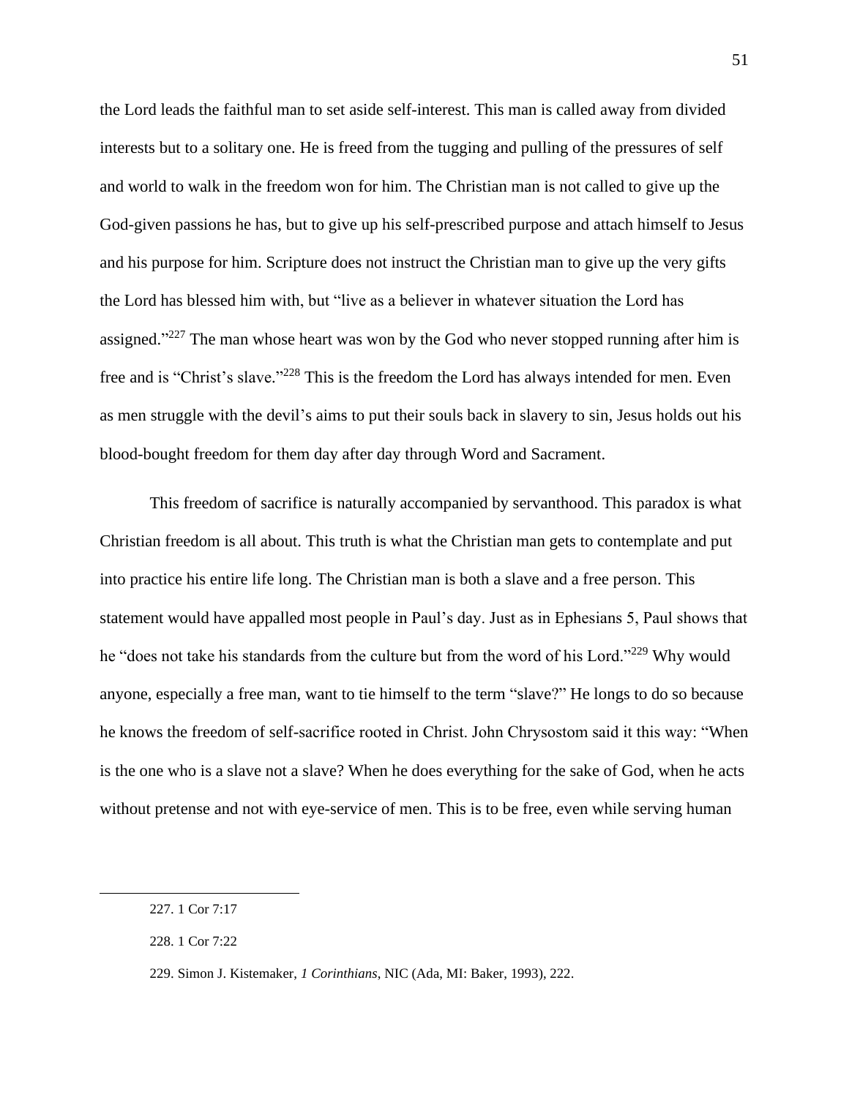the Lord leads the faithful man to set aside self-interest. This man is called away from divided interests but to a solitary one. He is freed from the tugging and pulling of the pressures of self and world to walk in the freedom won for him. The Christian man is not called to give up the God-given passions he has, but to give up his self-prescribed purpose and attach himself to Jesus and his purpose for him. Scripture does not instruct the Christian man to give up the very gifts the Lord has blessed him with, but "live as a believer in whatever situation the Lord has assigned." $227$  The man whose heart was won by the God who never stopped running after him is free and is "Christ's slave."<sup>228</sup> This is the freedom the Lord has always intended for men. Even as men struggle with the devil's aims to put their souls back in slavery to sin, Jesus holds out his blood-bought freedom for them day after day through Word and Sacrament.

This freedom of sacrifice is naturally accompanied by servanthood. This paradox is what Christian freedom is all about. This truth is what the Christian man gets to contemplate and put into practice his entire life long. The Christian man is both a slave and a free person. This statement would have appalled most people in Paul's day. Just as in Ephesians 5, Paul shows that he "does not take his standards from the culture but from the word of his Lord."<sup>229</sup> Why would anyone, especially a free man, want to tie himself to the term "slave?" He longs to do so because he knows the freedom of self-sacrifice rooted in Christ. John Chrysostom said it this way: "When is the one who is a slave not a slave? When he does everything for the sake of God, when he acts without pretense and not with eye-service of men. This is to be free, even while serving human

<sup>227.</sup> 1 Cor 7:17

<sup>228.</sup> 1 Cor 7:22

<sup>229.</sup> Simon J. Kistemaker, *1 Corinthians*, NIC (Ada, MI: Baker, 1993), 222.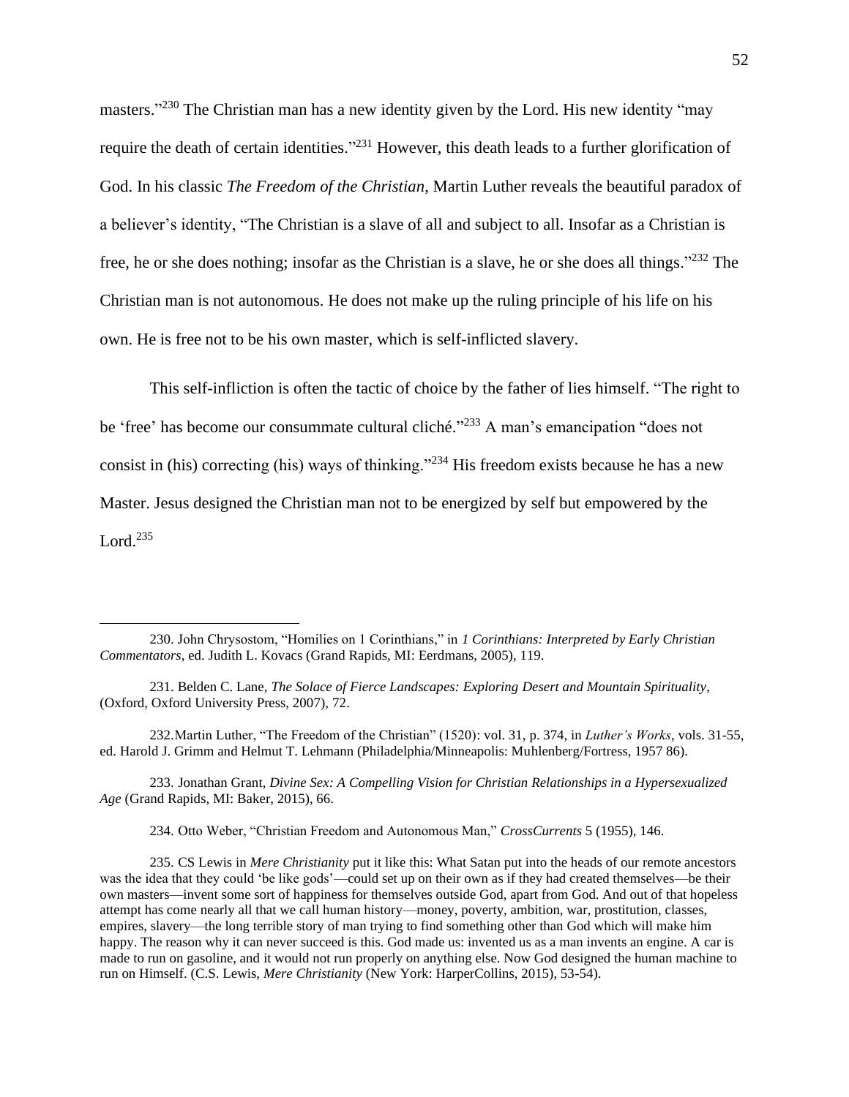masters."<sup>230</sup> The Christian man has a new identity given by the Lord. His new identity "may require the death of certain identities."<sup>231</sup> However, this death leads to a further glorification of God. In his classic *The Freedom of the Christian*, Martin Luther reveals the beautiful paradox of a believer's identity, "The Christian is a slave of all and subject to all. Insofar as a Christian is free, he or she does nothing; insofar as the Christian is a slave, he or she does all things."<sup>232</sup> The Christian man is not autonomous. He does not make up the ruling principle of his life on his own. He is free not to be his own master, which is self-inflicted slavery.

This self-infliction is often the tactic of choice by the father of lies himself. "The right to be 'free' has become our consummate cultural cliché."<sup>233</sup> A man's emancipation "does not consist in (his) correcting (his) ways of thinking."<sup>234</sup> His freedom exists because he has a new Master. Jesus designed the Christian man not to be energized by self but empowered by the Lord. $^{235}$ 

232.Martin Luther, "The Freedom of the Christian" (1520): vol. 31, p. 374, in *Luther's Works*, vols. 31-55, ed. Harold J. Grimm and Helmut T. Lehmann (Philadelphia/Minneapolis: Muhlenberg/Fortress, 1957 86).

233. Jonathan Grant, *Divine Sex: A Compelling Vision for Christian Relationships in a Hypersexualized Age* (Grand Rapids, MI: Baker, 2015), 66.

234. Otto Weber, "Christian Freedom and Autonomous Man," *CrossCurrents* 5 (1955), 146.

<sup>230.</sup> John Chrysostom, "Homilies on 1 Corinthians," in *1 Corinthians: Interpreted by Early Christian Commentators*, ed. Judith L. Kovacs (Grand Rapids, MI: Eerdmans, 2005), 119.

<sup>231.</sup> Belden C. Lane, *The Solace of Fierce Landscapes: Exploring Desert and Mountain Spirituality*, (Oxford, Oxford University Press, 2007), 72.

<sup>235.</sup> CS Lewis in *Mere Christianity* put it like this: What Satan put into the heads of our remote ancestors was the idea that they could 'be like gods'—could set up on their own as if they had created themselves—be their own masters—invent some sort of happiness for themselves outside God, apart from God. And out of that hopeless attempt has come nearly all that we call human history—money, poverty, ambition, war, prostitution, classes, empires, slavery—the long terrible story of man trying to find something other than God which will make him happy. The reason why it can never succeed is this. God made us: invented us as a man invents an engine. A car is made to run on gasoline, and it would not run properly on anything else. Now God designed the human machine to run on Himself. (C.S. Lewis, *Mere Christianity* (New York: HarperCollins, 2015), 53-54).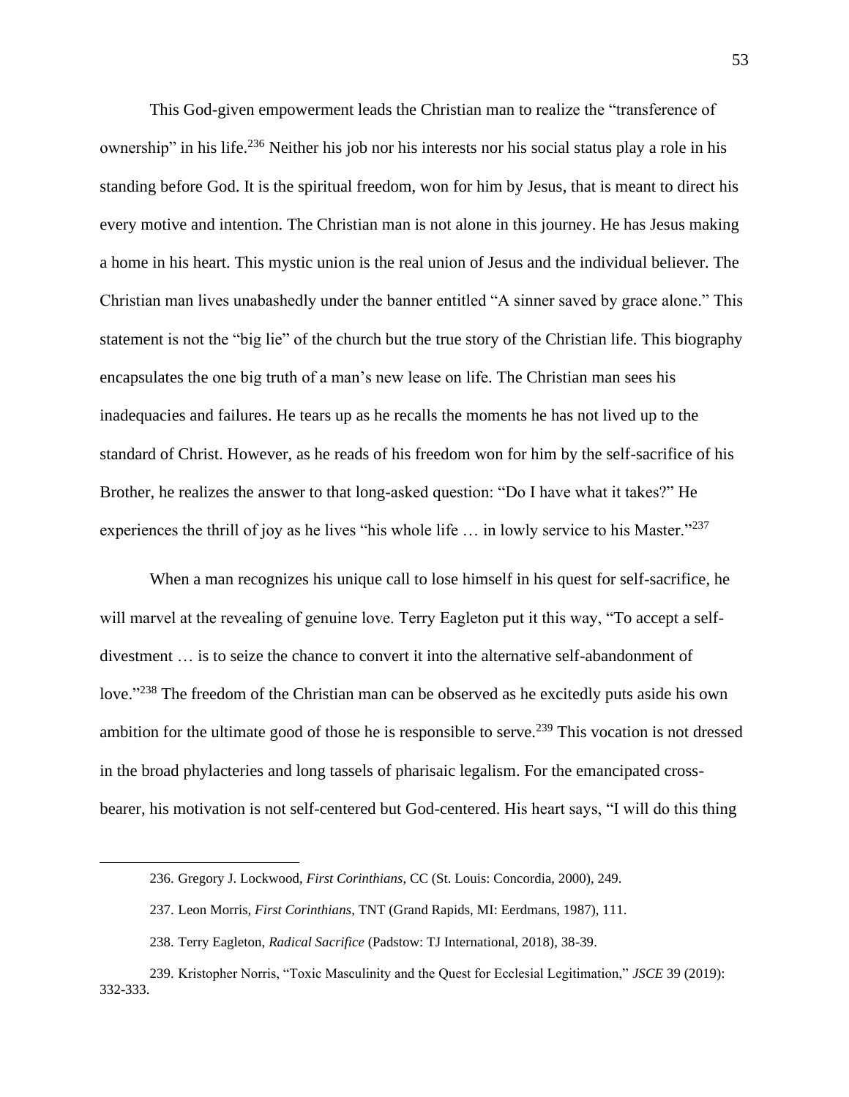This God-given empowerment leads the Christian man to realize the "transference of ownership" in his life.<sup>236</sup> Neither his job nor his interests nor his social status play a role in his standing before God. It is the spiritual freedom, won for him by Jesus, that is meant to direct his every motive and intention. The Christian man is not alone in this journey. He has Jesus making a home in his heart. This mystic union is the real union of Jesus and the individual believer. The Christian man lives unabashedly under the banner entitled "A sinner saved by grace alone." This statement is not the "big lie" of the church but the true story of the Christian life. This biography encapsulates the one big truth of a man's new lease on life. The Christian man sees his inadequacies and failures. He tears up as he recalls the moments he has not lived up to the standard of Christ. However, as he reads of his freedom won for him by the self-sacrifice of his Brother, he realizes the answer to that long-asked question: "Do I have what it takes?" He experiences the thrill of joy as he lives "his whole life ... in lowly service to his Master."<sup>237</sup>

When a man recognizes his unique call to lose himself in his quest for self-sacrifice, he will marvel at the revealing of genuine love. Terry Eagleton put it this way, "To accept a selfdivestment … is to seize the chance to convert it into the alternative self-abandonment of love."<sup>238</sup> The freedom of the Christian man can be observed as he excitedly puts aside his own ambition for the ultimate good of those he is responsible to serve.<sup>239</sup> This vocation is not dressed in the broad phylacteries and long tassels of pharisaic legalism. For the emancipated crossbearer, his motivation is not self-centered but God-centered. His heart says, "I will do this thing

<sup>236.</sup> Gregory J. Lockwood, *First Corinthians*, CC (St. Louis: Concordia, 2000), 249.

<sup>237.</sup> Leon Morris, *First Corinthians*, TNT (Grand Rapids, MI: Eerdmans, 1987), 111.

<sup>238.</sup> Terry Eagleton, *Radical Sacrifice* (Padstow: TJ International, 2018), 38-39.

<sup>239.</sup> Kristopher Norris, "Toxic Masculinity and the Quest for Ecclesial Legitimation," *JSCE* 39 (2019): 332-333.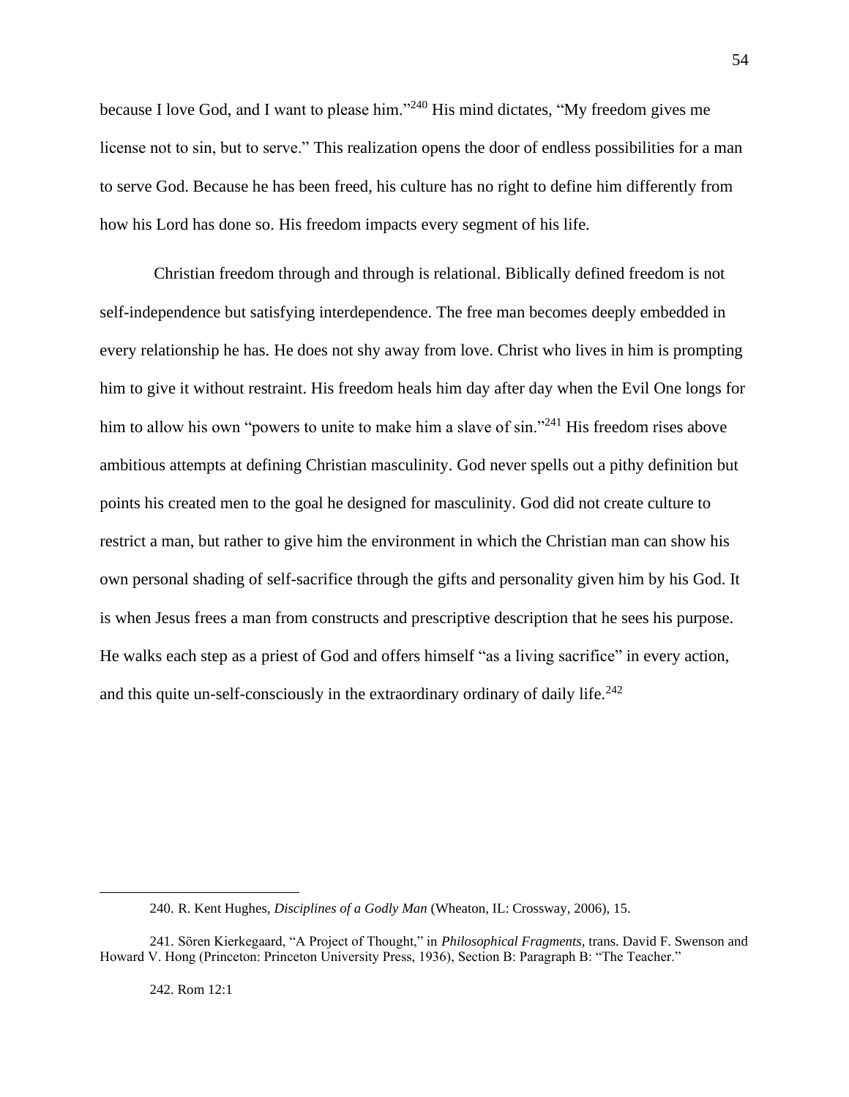because I love God, and I want to please him."<sup>240</sup> His mind dictates, "My freedom gives me license not to sin, but to serve." This realization opens the door of endless possibilities for a man to serve God. Because he has been freed, his culture has no right to define him differently from how his Lord has done so. His freedom impacts every segment of his life.

Christian freedom through and through is relational. Biblically defined freedom is not self-independence but satisfying interdependence. The free man becomes deeply embedded in every relationship he has. He does not shy away from love. Christ who lives in him is prompting him to give it without restraint. His freedom heals him day after day when the Evil One longs for him to allow his own "powers to unite to make him a slave of sin."<sup>241</sup> His freedom rises above ambitious attempts at defining Christian masculinity. God never spells out a pithy definition but points his created men to the goal he designed for masculinity. God did not create culture to restrict a man, but rather to give him the environment in which the Christian man can show his own personal shading of self-sacrifice through the gifts and personality given him by his God. It is when Jesus frees a man from constructs and prescriptive description that he sees his purpose. He walks each step as a priest of God and offers himself "as a living sacrifice" in every action, and this quite un-self-consciously in the extraordinary ordinary of daily life.<sup>242</sup>

242. Rom 12:1

<sup>240.</sup> R. Kent Hughes, *Disciplines of a Godly Man* (Wheaton, IL: Crossway, 2006), 15.

<sup>241.</sup> Sören Kierkegaard, "A Project of Thought," in *Philosophical Fragments*, trans. David F. Swenson and Howard V. Hong (Princeton: Princeton University Press, 1936), Section B: Paragraph B: "The Teacher."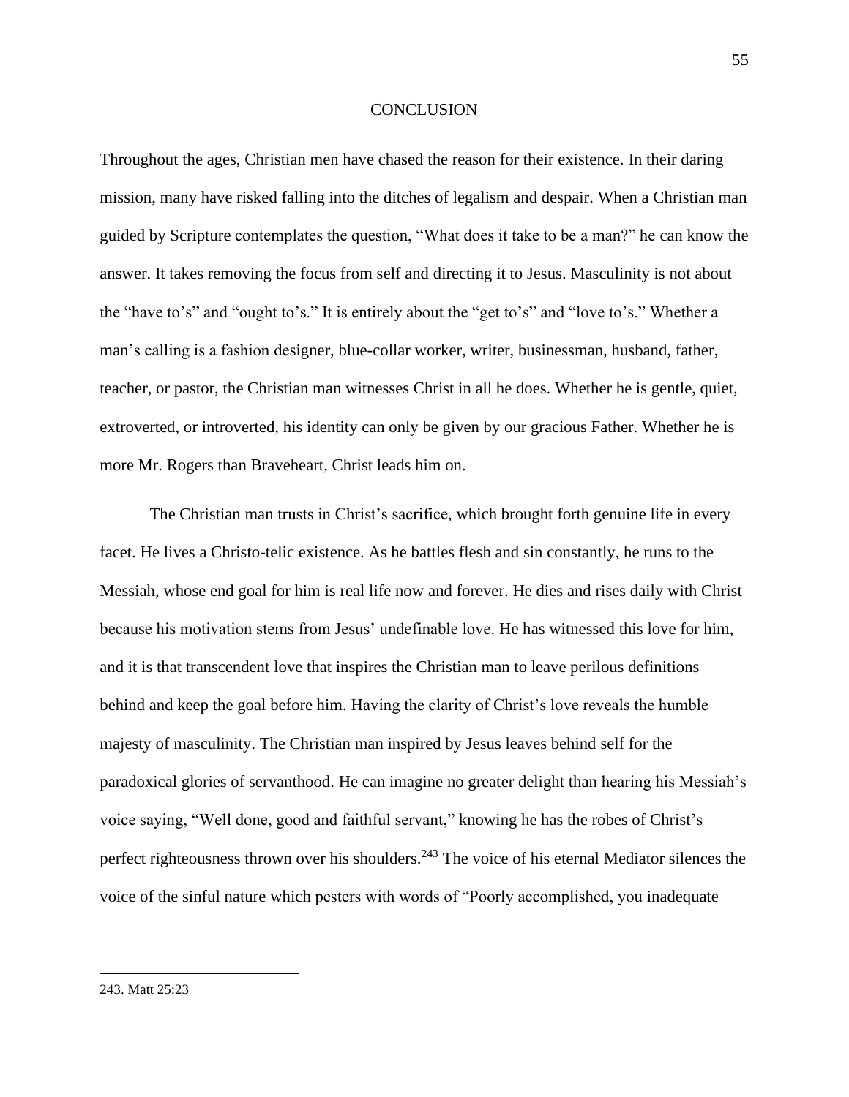#### **CONCLUSION**

Throughout the ages, Christian men have chased the reason for their existence. In their daring mission, many have risked falling into the ditches of legalism and despair. When a Christian man guided by Scripture contemplates the question, "What does it take to be a man?" he can know the answer. It takes removing the focus from self and directing it to Jesus. Masculinity is not about the "have to's" and "ought to's." It is entirely about the "get to's" and "love to's." Whether a man's calling is a fashion designer, blue-collar worker, writer, businessman, husband, father, teacher, or pastor, the Christian man witnesses Christ in all he does. Whether he is gentle, quiet, extroverted, or introverted, his identity can only be given by our gracious Father. Whether he is more Mr. Rogers than Braveheart, Christ leads him on.

The Christian man trusts in Christ's sacrifice, which brought forth genuine life in every facet. He lives a Christo-telic existence. As he battles flesh and sin constantly, he runs to the Messiah, whose end goal for him is real life now and forever. He dies and rises daily with Christ because his motivation stems from Jesus' undefinable love. He has witnessed this love for him, and it is that transcendent love that inspires the Christian man to leave perilous definitions behind and keep the goal before him. Having the clarity of Christ's love reveals the humble majesty of masculinity. The Christian man inspired by Jesus leaves behind self for the paradoxical glories of servanthood. He can imagine no greater delight than hearing his Messiah's voice saying, "Well done, good and faithful servant," knowing he has the robes of Christ's perfect righteousness thrown over his shoulders.<sup>243</sup> The voice of his eternal Mediator silences the voice of the sinful nature which pesters with words of "Poorly accomplished, you inadequate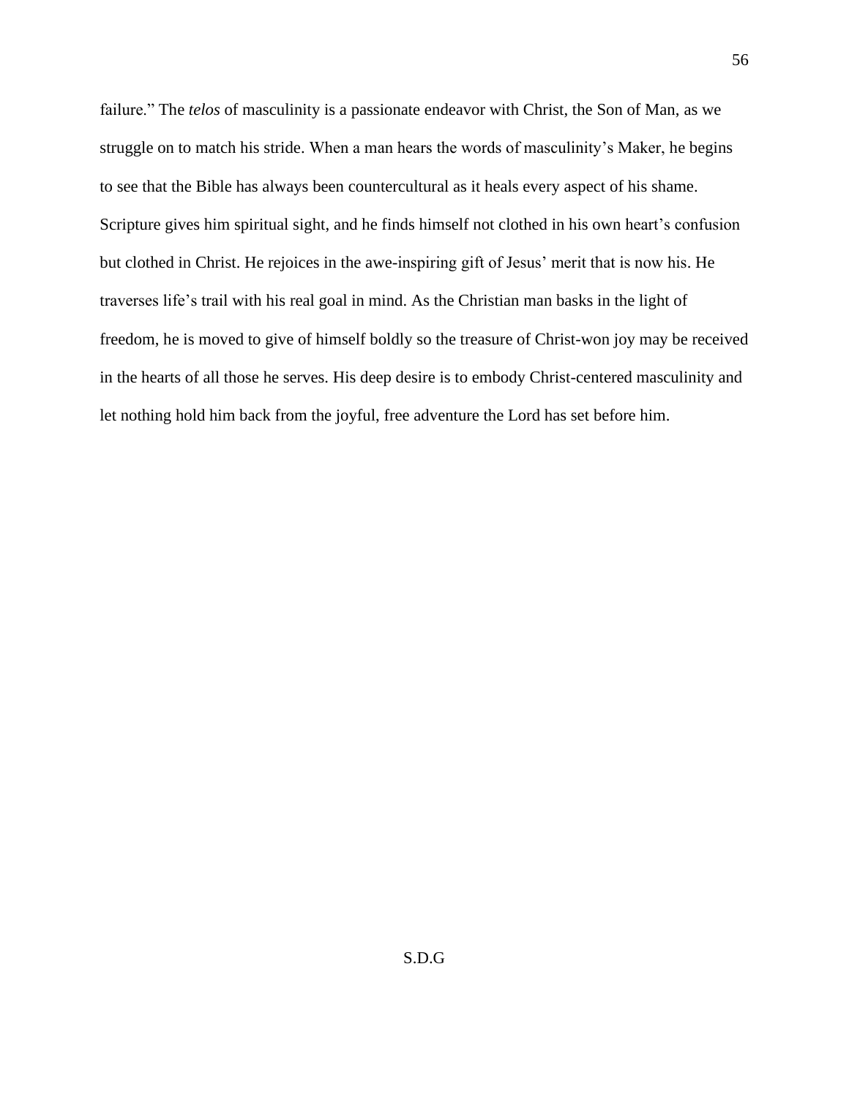failure." The *telos* of masculinity is a passionate endeavor with Christ, the Son of Man, as we struggle on to match his stride. When a man hears the words of masculinity's Maker, he begins to see that the Bible has always been countercultural as it heals every aspect of his shame. Scripture gives him spiritual sight, and he finds himself not clothed in his own heart's confusion but clothed in Christ. He rejoices in the awe-inspiring gift of Jesus' merit that is now his. He traverses life's trail with his real goal in mind. As the Christian man basks in the light of freedom, he is moved to give of himself boldly so the treasure of Christ-won joy may be received in the hearts of all those he serves. His deep desire is to embody Christ-centered masculinity and let nothing hold him back from the joyful, free adventure the Lord has set before him.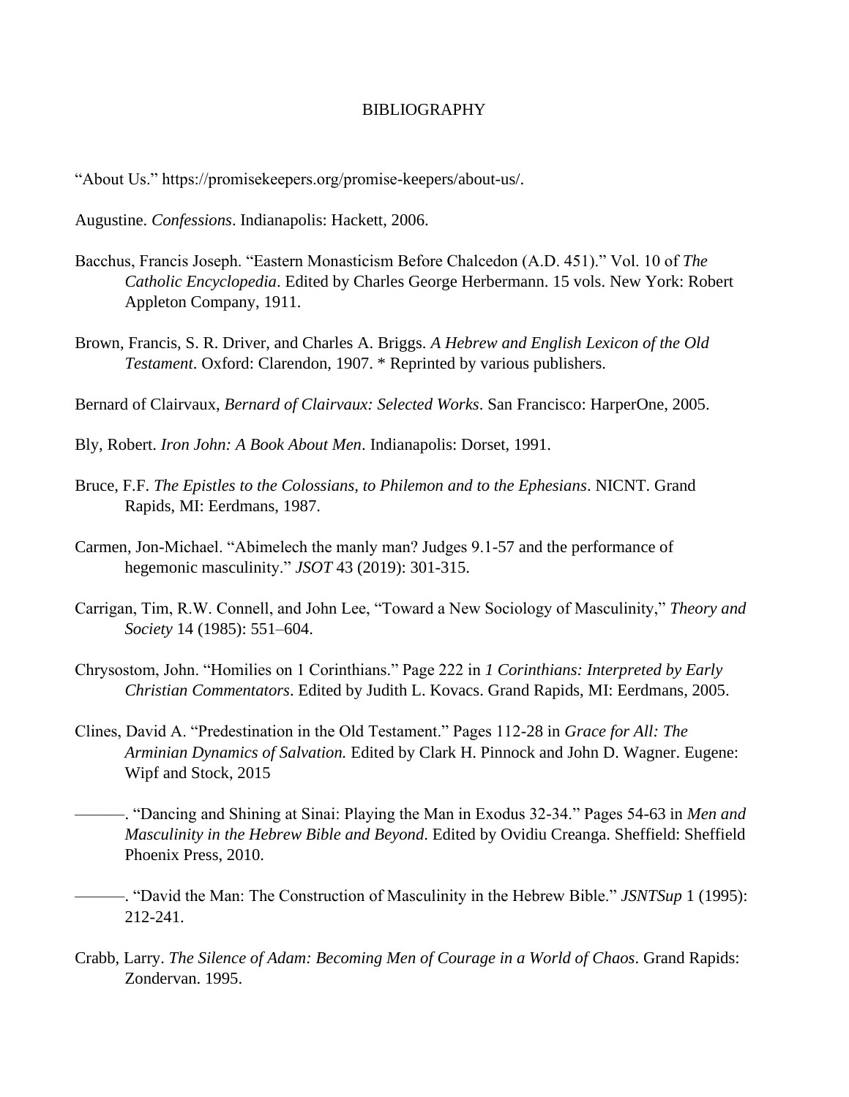#### BIBLIOGRAPHY

"About Us." https://promisekeepers.org/promise-keepers/about-us/.

Augustine. *Confessions*. Indianapolis: Hackett, 2006.

- Bacchus, Francis Joseph. "Eastern Monasticism Before Chalcedon (A.D. 451)." Vol. 10 of *The Catholic Encyclopedia*. Edited by Charles George Herbermann. 15 vols. New York: Robert Appleton Company, 1911.
- Brown, Francis, S. R. Driver, and Charles A. Briggs. *A Hebrew and English Lexicon of the Old Testament*. Oxford: Clarendon, 1907. \* Reprinted by various publishers.

Bernard of Clairvaux, *Bernard of Clairvaux: Selected Works*. San Francisco: HarperOne, 2005.

- Bly, Robert. *Iron John: A Book About Men*. Indianapolis: Dorset, 1991.
- Bruce, F.F. *The Epistles to the Colossians, to Philemon and to the Ephesians*. NICNT. Grand Rapids, MI: Eerdmans, 1987.
- Carmen, Jon-Michael. "Abimelech the manly man? Judges 9.1-57 and the performance of hegemonic masculinity." *JSOT* 43 (2019): 301-315.
- Carrigan, Tim, R.W. Connell, and John Lee, "Toward a New Sociology of Masculinity," *Theory and Society* 14 (1985): 551–604.
- Chrysostom, John. "Homilies on 1 Corinthians." Page 222 in *1 Corinthians: Interpreted by Early Christian Commentators*. Edited by Judith L. Kovacs. Grand Rapids, MI: Eerdmans, 2005.
- Clines, David A. "Predestination in the Old Testament." Pages 112-28 in *Grace for All: The Arminian Dynamics of Salvation.* Edited by Clark H. Pinnock and John D. Wagner. Eugene: Wipf and Stock, 2015
- ———. "Dancing and Shining at Sinai: Playing the Man in Exodus 32-34." Pages 54-63 in *Men and Masculinity in the Hebrew Bible and Beyond*. Edited by Ovidiu Creanga. Sheffield: Sheffield Phoenix Press, 2010.
- ———. "David the Man: The Construction of Masculinity in the Hebrew Bible." *JSNTSup* 1 (1995): 212-241.
- Crabb, Larry. *The Silence of Adam: Becoming Men of Courage in a World of Chaos*. Grand Rapids: Zondervan. 1995.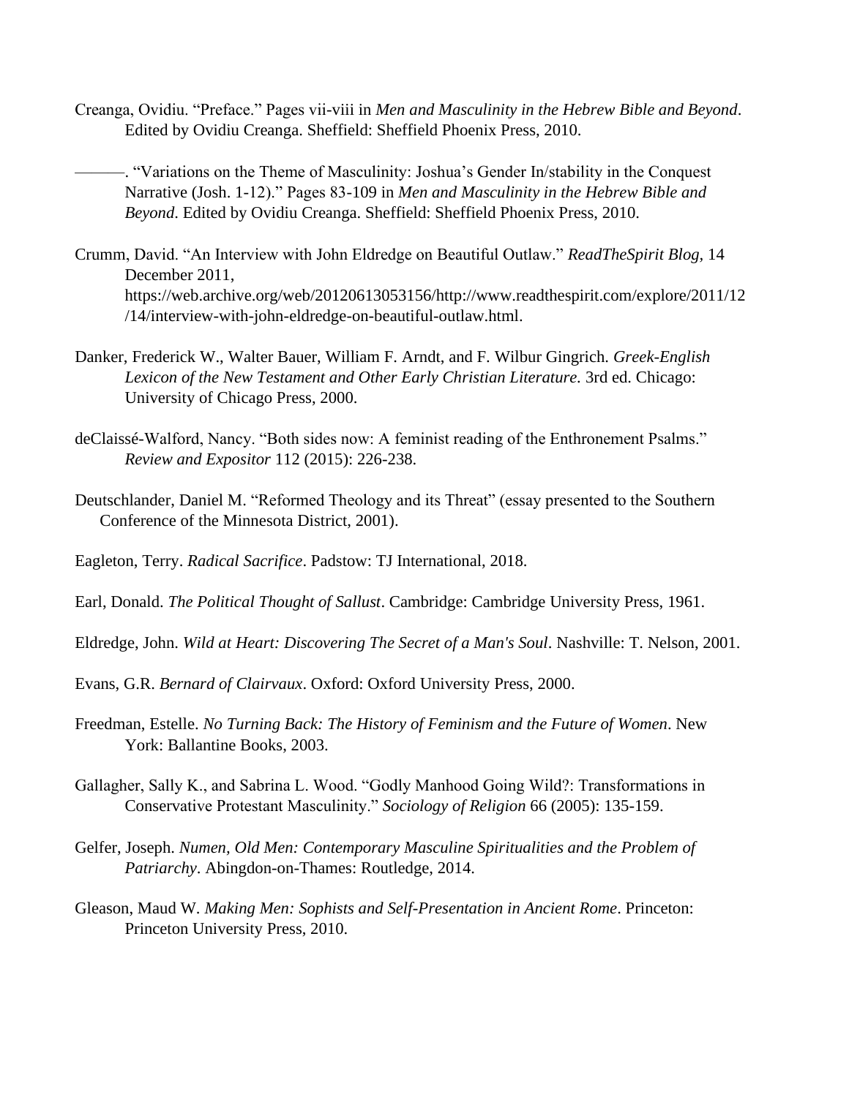- Creanga, Ovidiu. "Preface." Pages vii-viii in *Men and Masculinity in the Hebrew Bible and Beyond*. Edited by Ovidiu Creanga. Sheffield: Sheffield Phoenix Press, 2010.
	- ———. "Variations on the Theme of Masculinity: Joshua's Gender In/stability in the Conquest Narrative (Josh. 1-12)." Pages 83-109 in *Men and Masculinity in the Hebrew Bible and Beyond*. Edited by Ovidiu Creanga. Sheffield: Sheffield Phoenix Press, 2010.
- Crumm, David. "An Interview with John Eldredge on Beautiful Outlaw." *ReadTheSpirit Blog,* 14 December 2011, https://web.archive.org/web/20120613053156/http://www.readthespirit.com/explore/2011/12 /14/interview-with-john-eldredge-on-beautiful-outlaw.html.
- Danker, Frederick W., Walter Bauer, William F. Arndt, and F. Wilbur Gingrich. *Greek-English Lexicon of the New Testament and Other Early Christian Literature.* 3rd ed. Chicago: University of Chicago Press, 2000.
- deClaissé-Walford, Nancy. "Both sides now: A feminist reading of the Enthronement Psalms." *Review and Expositor* 112 (2015): 226-238.
- Deutschlander, Daniel M. "Reformed Theology and its Threat" (essay presented to the Southern Conference of the Minnesota District, 2001).
- Eagleton, Terry. *Radical Sacrifice*. Padstow: TJ International, 2018.
- Earl, Donald. *The Political Thought of Sallust*. Cambridge: Cambridge University Press, 1961.
- Eldredge, John. *Wild at Heart: Discovering The Secret of a Man's Soul*. Nashville: T. Nelson, 2001.
- Evans, G.R. *Bernard of Clairvaux*. Oxford: Oxford University Press, 2000.
- Freedman, Estelle. *No Turning Back: The History of Feminism and the Future of Women*. New York: Ballantine Books, 2003.
- Gallagher, Sally K., and Sabrina L. Wood. "Godly Manhood Going Wild?: Transformations in Conservative Protestant Masculinity." *Sociology of Religion* 66 (2005): 135-159.
- Gelfer, Joseph. *Numen, Old Men: Contemporary Masculine Spiritualities and the Problem of Patriarchy*. Abingdon-on-Thames: Routledge, 2014.
- Gleason, Maud W. *Making Men: Sophists and Self-Presentation in Ancient Rome*. Princeton: Princeton University Press, 2010.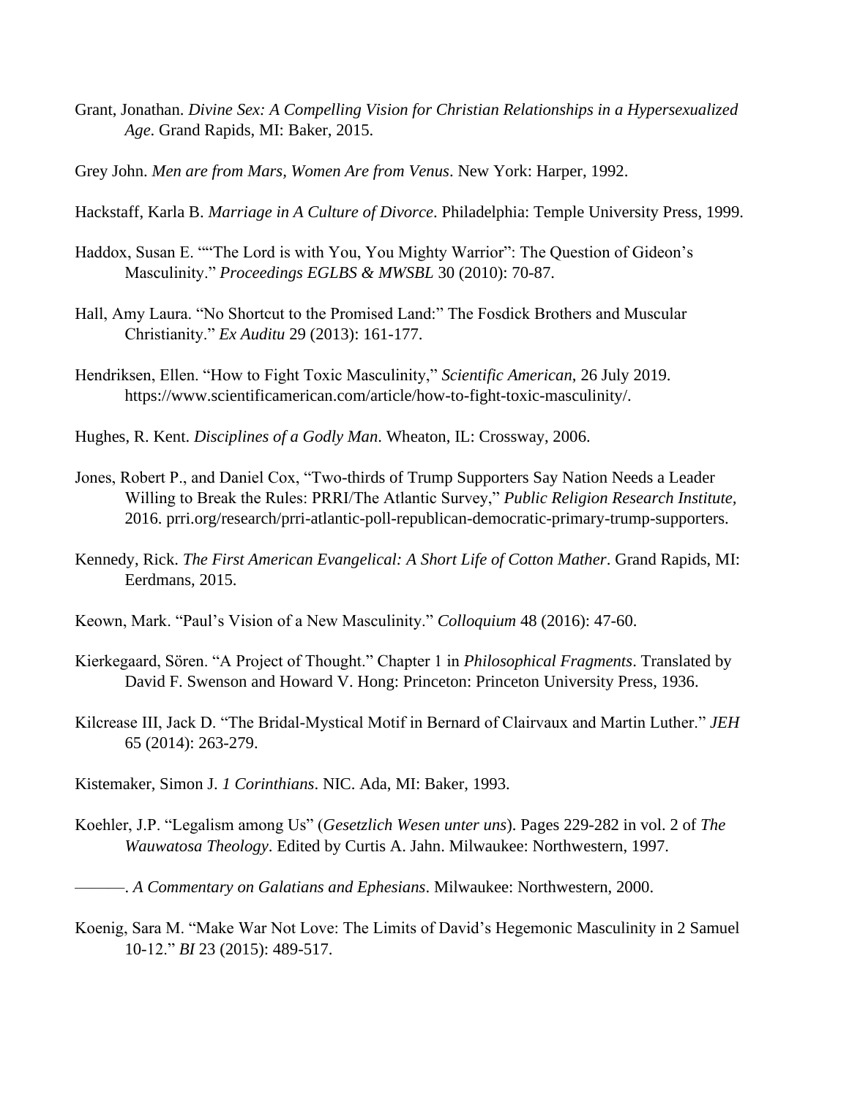- Grant, Jonathan. *Divine Sex: A Compelling Vision for Christian Relationships in a Hypersexualized Age*. Grand Rapids, MI: Baker, 2015.
- Grey John. *Men are from Mars, Women Are from Venus*. New York: Harper, 1992.
- Hackstaff, Karla B. *Marriage in A Culture of Divorce*. Philadelphia: Temple University Press, 1999.
- Haddox, Susan E. ""The Lord is with You, You Mighty Warrior": The Question of Gideon's Masculinity." *Proceedings EGLBS & MWSBL* 30 (2010): 70-87.
- Hall, Amy Laura. "No Shortcut to the Promised Land:" The Fosdick Brothers and Muscular Christianity." *Ex Auditu* 29 (2013): 161-177.
- Hendriksen, Ellen. "How to Fight Toxic Masculinity," *Scientific American*, 26 July 2019. https://www.scientificamerican.com/article/how-to-fight-toxic-masculinity/.
- Hughes, R. Kent. *Disciplines of a Godly Man*. Wheaton, IL: Crossway, 2006.
- Jones, Robert P., and Daniel Cox, "Two-thirds of Trump Supporters Say Nation Needs a Leader Willing to Break the Rules: PRRI/The Atlantic Survey," *Public Religion Research Institute,* 2016. prri.org/research/prri-atlantic-poll-republican-democratic-primary-trump-supporters.
- Kennedy, Rick. *The First American Evangelical: A Short Life of Cotton Mather*. Grand Rapids, MI: Eerdmans, 2015.
- Keown, Mark. "Paul's Vision of a New Masculinity." *Colloquium* 48 (2016): 47-60.
- Kierkegaard, Sören. "A Project of Thought." Chapter 1 in *Philosophical Fragments*. Translated by David F. Swenson and Howard V. Hong: Princeton: Princeton University Press, 1936.
- Kilcrease III, Jack D. "The Bridal-Mystical Motif in Bernard of Clairvaux and Martin Luther." *JEH*  65 (2014): 263-279.
- Kistemaker, Simon J. *1 Corinthians*. NIC. Ada, MI: Baker, 1993.
- Koehler, J.P. "Legalism among Us" (*Gesetzlich Wesen unter uns*). Pages 229-282 in vol. 2 of *The Wauwatosa Theology*. Edited by Curtis A. Jahn. Milwaukee: Northwestern, 1997.
- ———. *A Commentary on Galatians and Ephesians*. Milwaukee: Northwestern, 2000.
- Koenig, Sara M. "Make War Not Love: The Limits of David's Hegemonic Masculinity in 2 Samuel 10-12." *BI* 23 (2015): 489-517.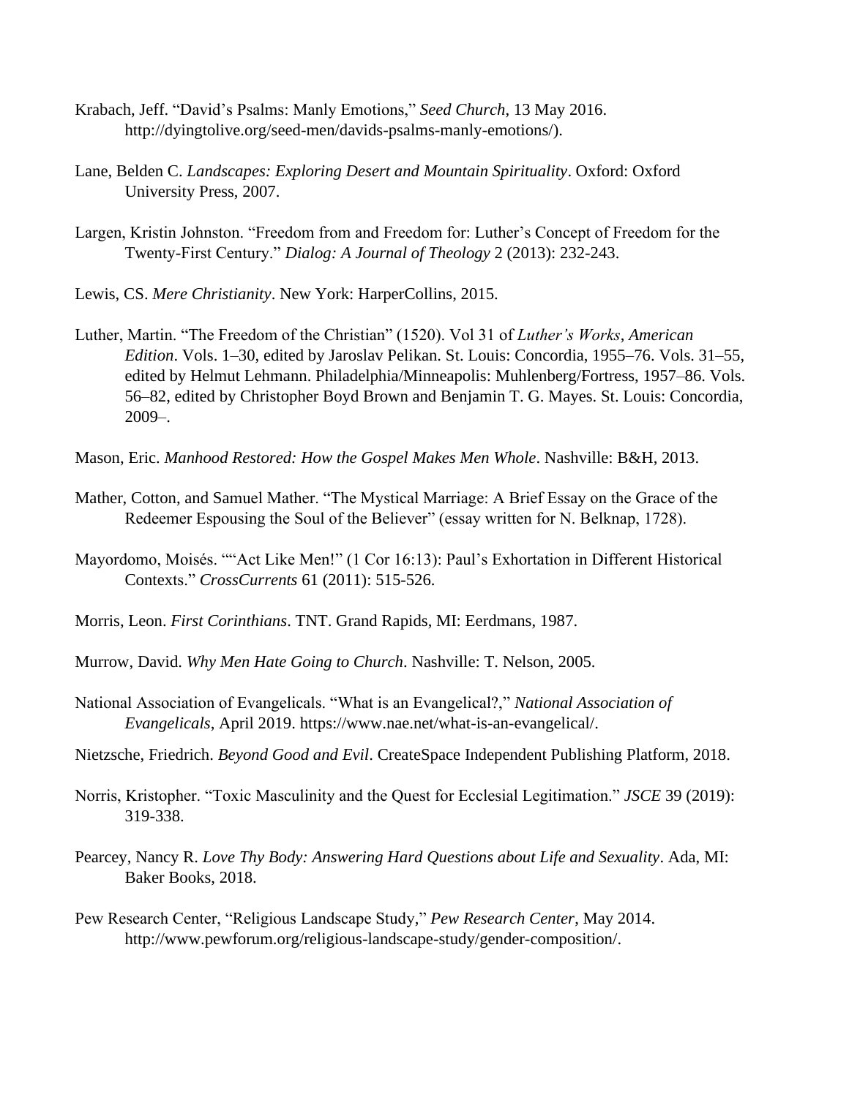- Krabach, Jeff. "David's Psalms: Manly Emotions," *Seed Church*, 13 May 2016. http://dyingtolive.org/seed-men/davids-psalms-manly-emotions/).
- Lane, Belden C. *Landscapes: Exploring Desert and Mountain Spirituality*. Oxford: Oxford University Press, 2007.
- Largen, Kristin Johnston. "Freedom from and Freedom for: Luther's Concept of Freedom for the Twenty-First Century." *Dialog: A Journal of Theology* 2 (2013): 232-243.
- Lewis, CS. *Mere Christianity*. New York: HarperCollins, 2015.
- Luther, Martin. "The Freedom of the Christian" (1520). Vol 31 of *Luther's Works*, *American Edition*. Vols. 1–30, edited by Jaroslav Pelikan. St. Louis: Concordia, 1955–76. Vols. 31–55, edited by Helmut Lehmann. Philadelphia/Minneapolis: Muhlenberg/Fortress, 1957–86. Vols. 56–82, edited by Christopher Boyd Brown and Benjamin T. G. Mayes. St. Louis: Concordia, 2009–.
- Mason, Eric. *Manhood Restored: How the Gospel Makes Men Whole*. Nashville: B&H, 2013.
- Mather, Cotton, and Samuel Mather. "The Mystical Marriage: A Brief Essay on the Grace of the Redeemer Espousing the Soul of the Believer" (essay written for N. Belknap, 1728).
- Mayordomo, Moisés. ""Act Like Men!" (1 Cor 16:13): Paul's Exhortation in Different Historical Contexts." *CrossCurrents* 61 (2011): 515-526.
- Morris, Leon. *First Corinthians*. TNT. Grand Rapids, MI: Eerdmans, 1987.
- Murrow, David. *Why Men Hate Going to Church*. Nashville: T. Nelson, 2005.
- National Association of Evangelicals. "What is an Evangelical?," *National Association of Evangelicals*, April 2019. https://www.nae.net/what-is-an-evangelical/.
- Nietzsche, Friedrich. *Beyond Good and Evil*. CreateSpace Independent Publishing Platform, 2018.
- Norris, Kristopher. "Toxic Masculinity and the Quest for Ecclesial Legitimation." *JSCE* 39 (2019): 319-338.
- Pearcey, Nancy R. *Love Thy Body: Answering Hard Questions about Life and Sexuality*. Ada, MI: Baker Books, 2018.
- Pew Research Center, "Religious Landscape Study," *Pew Research Center*, May 2014. http://www.pewforum.org/religious-landscape-study/gender-composition/.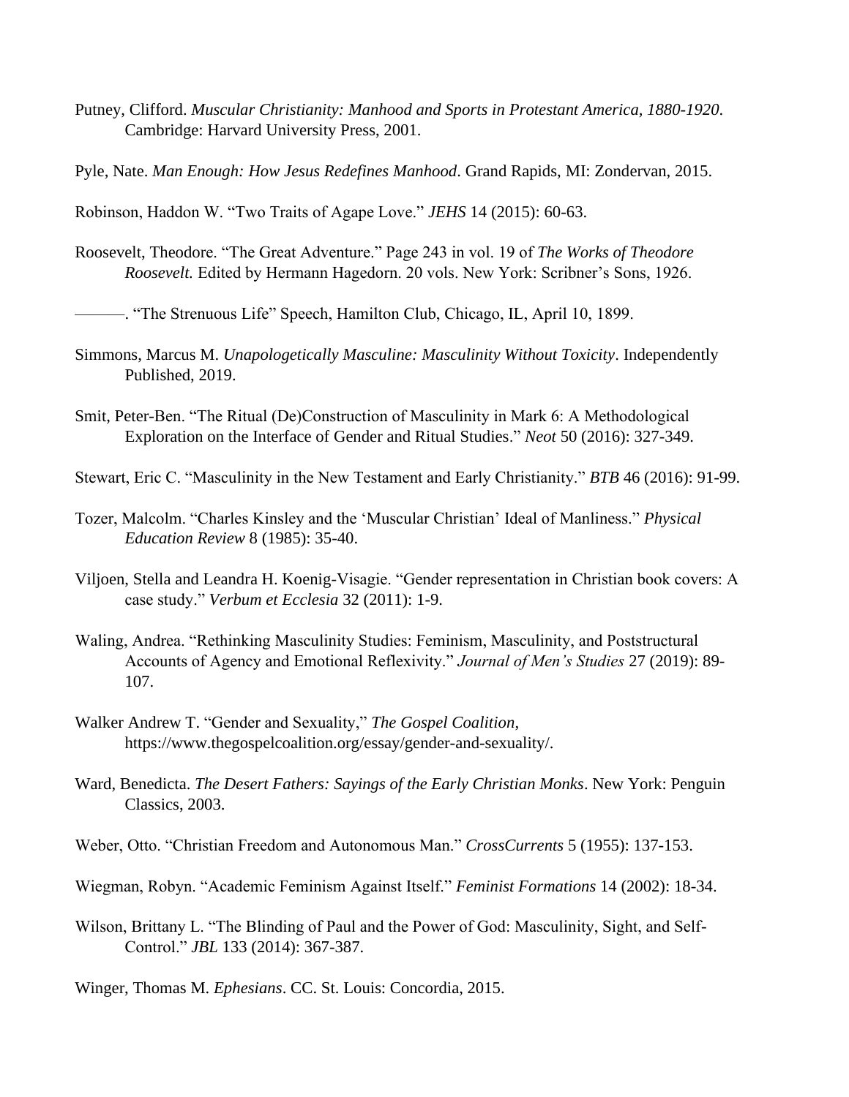- Putney, Clifford. *Muscular Christianity: Manhood and Sports in Protestant America, 1880-1920*. Cambridge: Harvard University Press, 2001.
- Pyle, Nate. *Man Enough: How Jesus Redefines Manhood*. Grand Rapids, MI: Zondervan, 2015.

Robinson, Haddon W. "Two Traits of Agape Love." *JEHS* 14 (2015): 60-63.

Roosevelt, Theodore. "The Great Adventure." Page 243 in vol. 19 of *The Works of Theodore Roosevelt.* Edited by Hermann Hagedorn. 20 vols. New York: Scribner's Sons, 1926.

- Simmons, Marcus M. *Unapologetically Masculine: Masculinity Without Toxicity*. Independently Published, 2019.
- Smit, Peter-Ben. "The Ritual (De)Construction of Masculinity in Mark 6: A Methodological Exploration on the Interface of Gender and Ritual Studies." *Neot* 50 (2016): 327-349.
- Stewart, Eric C. "Masculinity in the New Testament and Early Christianity." *BTB* 46 (2016): 91-99.
- Tozer, Malcolm. "Charles Kinsley and the 'Muscular Christian' Ideal of Manliness." *Physical Education Review* 8 (1985): 35-40.
- Viljoen, Stella and Leandra H. Koenig-Visagie. "Gender representation in Christian book covers: A case study." *Verbum et Ecclesia* 32 (2011): 1-9.
- Waling, Andrea. "Rethinking Masculinity Studies: Feminism, Masculinity, and Poststructural Accounts of Agency and Emotional Reflexivity." *Journal of Men's Studies* 27 (2019): 89- 107.
- Walker Andrew T. "Gender and Sexuality," *The Gospel Coalition*, https://www.thegospelcoalition.org/essay/gender-and-sexuality/.
- Ward, Benedicta. *The Desert Fathers: Sayings of the Early Christian Monks*. New York: Penguin Classics, 2003.
- Weber, Otto. "Christian Freedom and Autonomous Man." *CrossCurrents* 5 (1955): 137-153.
- Wiegman, Robyn. "Academic Feminism Against Itself." *Feminist Formations* 14 (2002): 18-34.
- Wilson, Brittany L. "The Blinding of Paul and the Power of God: Masculinity, Sight, and Self-Control." *JBL* 133 (2014): 367-387.
- Winger, Thomas M. *Ephesians*. CC. St. Louis: Concordia, 2015.

<sup>———. &</sup>quot;The Strenuous Life" Speech, Hamilton Club, Chicago, IL, April 10, 1899.